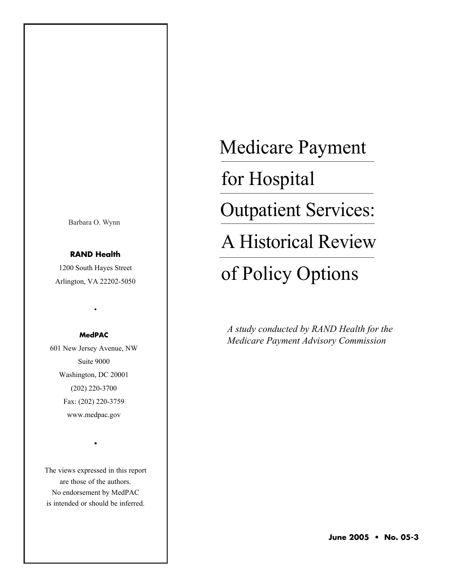Barbara O. Wynn

# **RAND Health**

1200 South Hayes Street Arlington, VA 22202-5050

•

## **MedPAC**

601 New Jersey Avenue, NW Suite 9000 Washington, DC 20001 (202) 220-3700 Fax: (202) 220-3759 www.medpac.gov

The views expressed in this report are those of the authors. No endorsement by MedPAC is intended or should be inferred.

•

Medicare Payment

for Hospital

Outpatient Services:

A Historical Review

# of Policy Options

*A study conducted by RAND Health for the Medicare Payment Advisory Commission*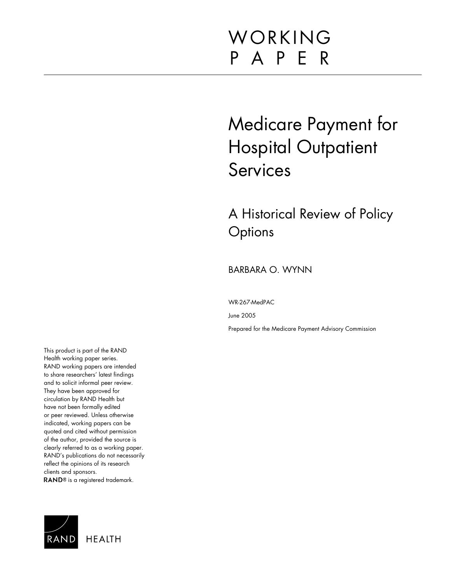# WORKING P A P E R

# Medicare Payment for Hospital Outpatient Services

A Historical Review of Policy **Options** 

BARBARA O. WYNN

WR-267-MedPAC

June 2005

Prepared for the Medicare Payment Advisory Commission

This product is part of the RAND Health working paper series. RAND working papers are intended to share researchers' latest findings and to solicit informal peer review. They have been approved for circulation by RAND Health but have not been formally edited or peer reviewed. Unless otherwise indicated, working papers can be quoted and cited without permission of the author, provided the source is clearly referred to as a working paper. RAND's publications do not necessarily reflect the opinions of its research clients and sponsors. RAND<sup>®</sup> is a registered trademark.

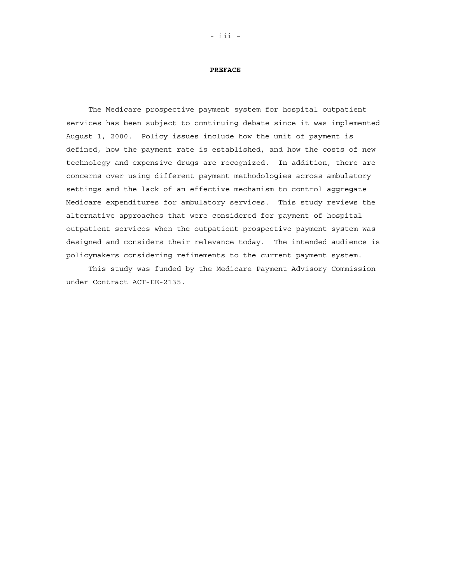#### **PREFACE**

The Medicare prospective payment system for hospital outpatient services has been subject to continuing debate since it was implemented August 1, 2000. Policy issues include how the unit of payment is defined, how the payment rate is established, and how the costs of new technology and expensive drugs are recognized. In addition, there are concerns over using different payment methodologies across ambulatory settings and the lack of an effective mechanism to control aggregate Medicare expenditures for ambulatory services. This study reviews the alternative approaches that were considered for payment of hospital outpatient services when the outpatient prospective payment system was designed and considers their relevance today. The intended audience is policymakers considering refinements to the current payment system.

This study was funded by the Medicare Payment Advisory Commission under Contract ACT-EE-2135.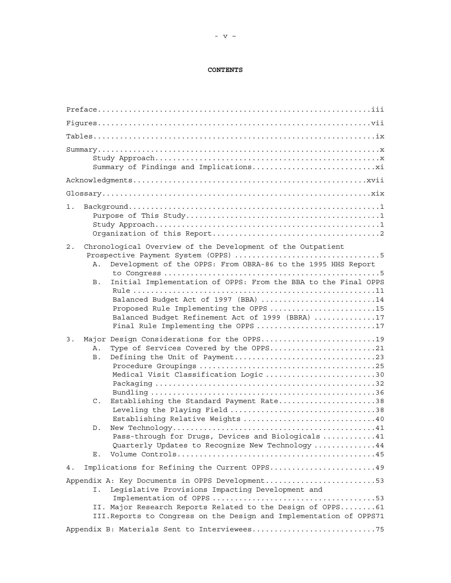## **CONTENTS**

| $1$ .                                                                                                                                                                                                                                                                                                                                                                                                            |
|------------------------------------------------------------------------------------------------------------------------------------------------------------------------------------------------------------------------------------------------------------------------------------------------------------------------------------------------------------------------------------------------------------------|
| Chronological Overview of the Development of the Outpatient<br>2.<br>Development of the OPPS: From OBRA-86 to the 1995 HHS Report<br>Α.<br>Initial Implementation of OPPS: From the BBA to the Final OPPS<br>B.<br>Balanced Budget Act of 1997 (BBA) 14<br>Proposed Rule Implementing the OPPS 15<br>Balanced Budget Refinement Act of 1999 (BBRA) 17<br>Final Rule Implementing the OPPS 17                     |
| Major Design Considerations for the OPPS19<br>3.<br>Type of Services Covered by the OPPS21<br>Α.<br><b>B</b> .<br>Medical Visit Classification Logic 30<br>Establishing the Standard Payment Rate38<br>$\mathsf{C}$ .<br>Leveling the Playing Field 38<br>Establishing Relative Weights 40<br>D.<br>Pass-through for Drugs, Devices and Biologicals 41<br>Quarterly Updates to Recognize New Technology 44<br>Е. |
| Implications for Refining the Current OPPS49<br>4.                                                                                                                                                                                                                                                                                                                                                               |
| Appendix A: Key Documents in OPPS Development53<br>Legislative Provisions Impacting Development and<br>Ι.<br>II. Major Research Reports Related to the Design of OPPS61<br>III. Reports to Congress on the Design and Implementation of OPPS71<br>Appendix B: Materials Sent to Interviewees75                                                                                                                   |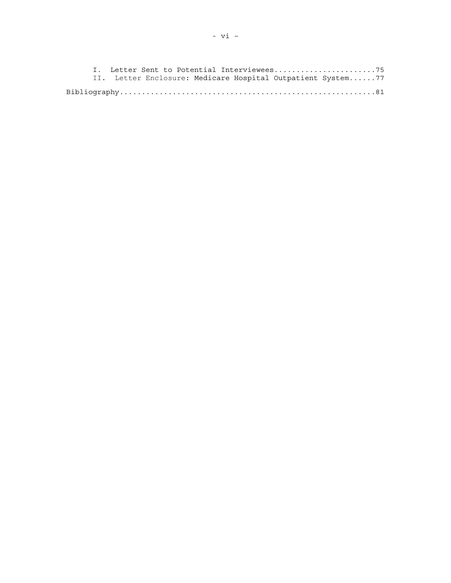I. Letter Sent to Potential Interviewees.......................75 II. Letter Enclosure: Medicare Hospital Outpatient System......77 Bibliography..........................................................81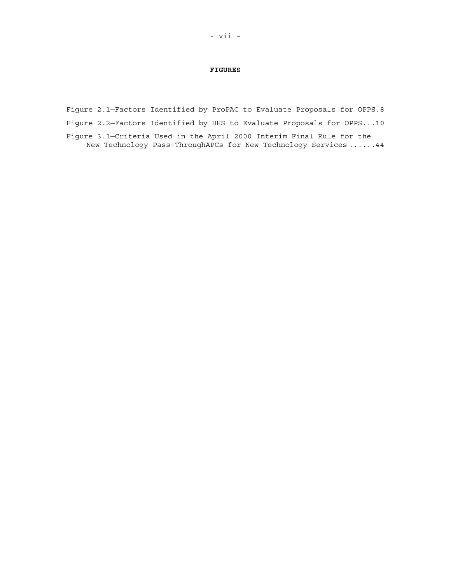#### **FIGURES**

Figure 2.1—Factors Identified by ProPAC to Evaluate Proposals for OPPS.8

Figure 2.2—Factors Identified by HHS to Evaluate Proposals for OPPS...10

Figure 3.1—Criteria Used in the April 2000 Interim Final Rule for the New Technology Pass-ThroughAPCs for New Technology Services ......44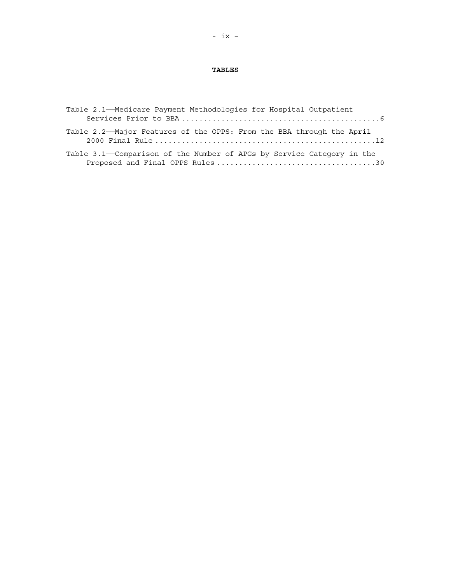## **TABLES**

| Table 2.1-Medicare Payment Methodologies for Hospital Outpatient      |
|-----------------------------------------------------------------------|
|                                                                       |
| Table 2.2—Major Features of the OPPS: From the BBA through the April  |
| Table 3.1—Comparison of the Number of APGs by Service Category in the |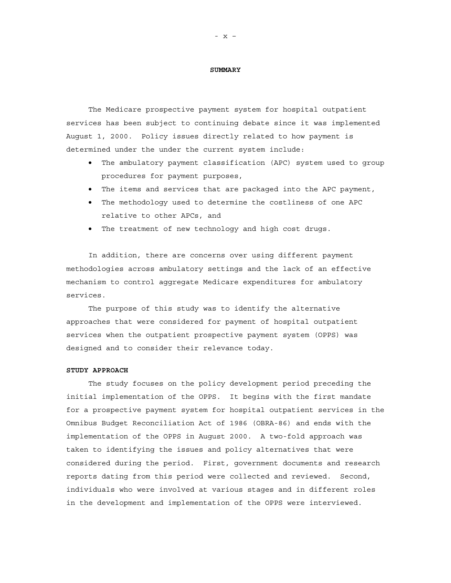#### **SUMMARY**

The Medicare prospective payment system for hospital outpatient services has been subject to continuing debate since it was implemented August 1, 2000. Policy issues directly related to how payment is determined under the under the current system include:

- The ambulatory payment classification (APC) system used to group procedures for payment purposes,
- The items and services that are packaged into the APC payment,
- The methodology used to determine the costliness of one APC relative to other APCs, and
- The treatment of new technology and high cost drugs.

In addition, there are concerns over using different payment methodologies across ambulatory settings and the lack of an effective mechanism to control aggregate Medicare expenditures for ambulatory services.

The purpose of this study was to identify the alternative approaches that were considered for payment of hospital outpatient services when the outpatient prospective payment system (OPPS) was designed and to consider their relevance today.

### **STUDY APPROACH**

The study focuses on the policy development period preceding the initial implementation of the OPPS. It begins with the first mandate for a prospective payment system for hospital outpatient services in the Omnibus Budget Reconciliation Act of 1986 (OBRA-86) and ends with the implementation of the OPPS in August 2000. A two-fold approach was taken to identifying the issues and policy alternatives that were considered during the period. First, government documents and research reports dating from this period were collected and reviewed. Second, individuals who were involved at various stages and in different roles in the development and implementation of the OPPS were interviewed.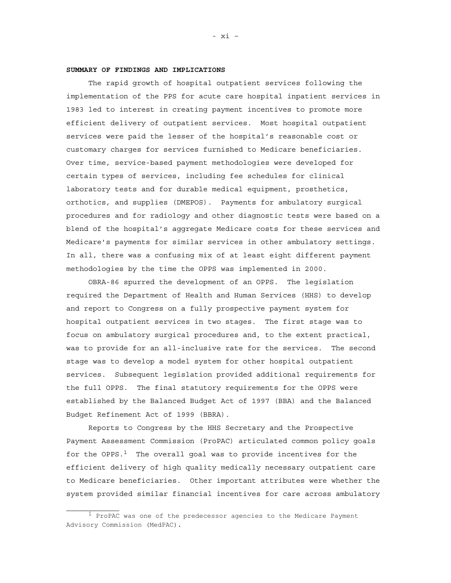### **SUMMARY OF FINDINGS AND IMPLICATIONS**

The rapid growth of hospital outpatient services following the implementation of the PPS for acute care hospital inpatient services in 1983 led to interest in creating payment incentives to promote more efficient delivery of outpatient services. Most hospital outpatient services were paid the lesser of the hospital's reasonable cost or customary charges for services furnished to Medicare beneficiaries. Over time, service-based payment methodologies were developed for certain types of services, including fee schedules for clinical laboratory tests and for durable medical equipment, prosthetics, orthotics, and supplies (DMEPOS). Payments for ambulatory surgical procedures and for radiology and other diagnostic tests were based on a blend of the hospital's aggregate Medicare costs for these services and Medicare's payments for similar services in other ambulatory settings. In all, there was a confusing mix of at least eight different payment methodologies by the time the OPPS was implemented in 2000.

OBRA-86 spurred the development of an OPPS. The legislation required the Department of Health and Human Services (HHS) to develop and report to Congress on a fully prospective payment system for hospital outpatient services in two stages. The first stage was to focus on ambulatory surgical procedures and, to the extent practical, was to provide for an all-inclusive rate for the services. The second stage was to develop a model system for other hospital outpatient services. Subsequent legislation provided additional requirements for the full OPPS. The final statutory requirements for the OPPS were established by the Balanced Budget Act of 1997 (BBA) and the Balanced Budget Refinement Act of 1999 (BBRA).

Reports to Congress by the HHS Secretary and the Prospective Payment Assessment Commission (ProPAC) articulated common policy goals for the OPPS. $<sup>1</sup>$  The overall goal was to provide incentives for the</sup> efficient delivery of high quality medically necessary outpatient care to Medicare beneficiaries. Other important attributes were whether the system provided similar financial incentives for care across ambulatory

 $1$  ProPAC was one of the predecessor agencies to the Medicare Payment Advisory Commission (MedPAC).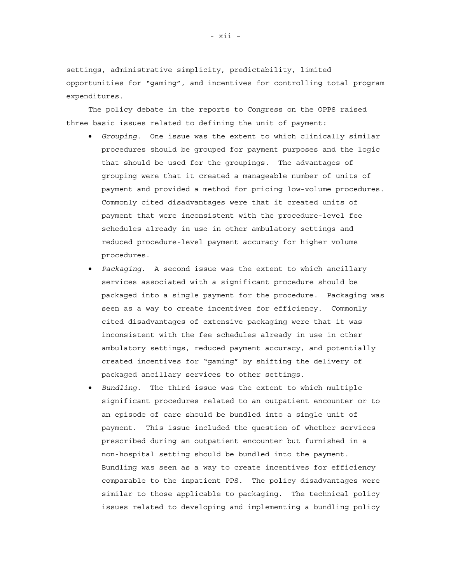settings, administrative simplicity, predictability, limited opportunities for "gaming", and incentives for controlling total program expenditures.

The policy debate in the reports to Congress on the OPPS raised three basic issues related to defining the unit of payment:

- *Grouping*. One issue was the extent to which clinically similar procedures should be grouped for payment purposes and the logic that should be used for the groupings. The advantages of grouping were that it created a manageable number of units of payment and provided a method for pricing low-volume procedures. Commonly cited disadvantages were that it created units of payment that were inconsistent with the procedure-level fee schedules already in use in other ambulatory settings and reduced procedure-level payment accuracy for higher volume procedures.
- *Packaging*. A second issue was the extent to which ancillary services associated with a significant procedure should be packaged into a single payment for the procedure. Packaging was seen as a way to create incentives for efficiency. Commonly cited disadvantages of extensive packaging were that it was inconsistent with the fee schedules already in use in other ambulatory settings, reduced payment accuracy, and potentially created incentives for "gaming" by shifting the delivery of packaged ancillary services to other settings.
- *Bundling*. The third issue was the extent to which multiple significant procedures related to an outpatient encounter or to an episode of care should be bundled into a single unit of payment. This issue included the question of whether services prescribed during an outpatient encounter but furnished in a non-hospital setting should be bundled into the payment. Bundling was seen as a way to create incentives for efficiency comparable to the inpatient PPS. The policy disadvantages were similar to those applicable to packaging. The technical policy issues related to developing and implementing a bundling policy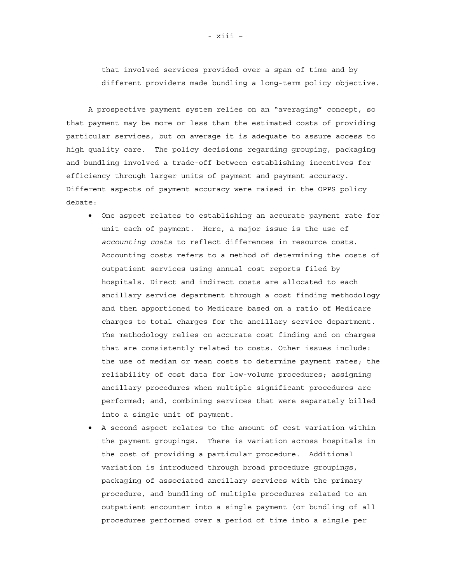that involved services provided over a span of time and by different providers made bundling a long-term policy objective.

A prospective payment system relies on an "averaging" concept, so that payment may be more or less than the estimated costs of providing particular services, but on average it is adequate to assure access to high quality care. The policy decisions regarding grouping, packaging and bundling involved a trade-off between establishing incentives for efficiency through larger units of payment and payment accuracy. Different aspects of payment accuracy were raised in the OPPS policy debate:

- One aspect relates to establishing an accurate payment rate for unit each of payment. Here, a major issue is the use of *accounting costs* to reflect differences in resource costs. Accounting costs refers to a method of determining the costs of outpatient services using annual cost reports filed by hospitals. Direct and indirect costs are allocated to each ancillary service department through a cost finding methodology and then apportioned to Medicare based on a ratio of Medicare charges to total charges for the ancillary service department. The methodology relies on accurate cost finding and on charges that are consistently related to costs. Other issues include: the use of median or mean costs to determine payment rates; the reliability of cost data for low-volume procedures; assigning ancillary procedures when multiple significant procedures are performed; and, combining services that were separately billed into a single unit of payment.
- A second aspect relates to the amount of cost variation within the payment groupings. There is variation across hospitals in the cost of providing a particular procedure. Additional variation is introduced through broad procedure groupings, packaging of associated ancillary services with the primary procedure, and bundling of multiple procedures related to an outpatient encounter into a single payment (or bundling of all procedures performed over a period of time into a single per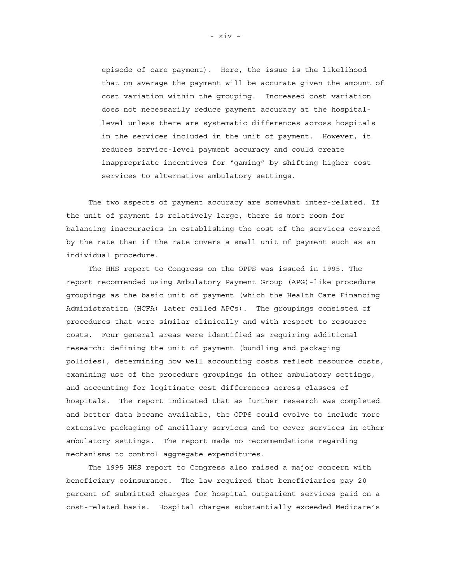episode of care payment). Here, the issue is the likelihood that on average the payment will be accurate given the amount of cost variation within the grouping. Increased cost variation does not necessarily reduce payment accuracy at the hospitallevel unless there are systematic differences across hospitals in the services included in the unit of payment. However, it reduces service-level payment accuracy and could create inappropriate incentives for "gaming" by shifting higher cost services to alternative ambulatory settings.

The two aspects of payment accuracy are somewhat inter-related. If the unit of payment is relatively large, there is more room for balancing inaccuracies in establishing the cost of the services covered by the rate than if the rate covers a small unit of payment such as an individual procedure.

The HHS report to Congress on the OPPS was issued in 1995. The report recommended using Ambulatory Payment Group (APG)-like procedure groupings as the basic unit of payment (which the Health Care Financing Administration (HCFA) later called APCs). The groupings consisted of procedures that were similar clinically and with respect to resource costs. Four general areas were identified as requiring additional research: defining the unit of payment (bundling and packaging policies), determining how well accounting costs reflect resource costs, examining use of the procedure groupings in other ambulatory settings, and accounting for legitimate cost differences across classes of hospitals. The report indicated that as further research was completed and better data became available, the OPPS could evolve to include more extensive packaging of ancillary services and to cover services in other ambulatory settings. The report made no recommendations regarding mechanisms to control aggregate expenditures.

The 1995 HHS report to Congress also raised a major concern with beneficiary coinsurance. The law required that beneficiaries pay 20 percent of submitted charges for hospital outpatient services paid on a cost-related basis. Hospital charges substantially exceeded Medicare's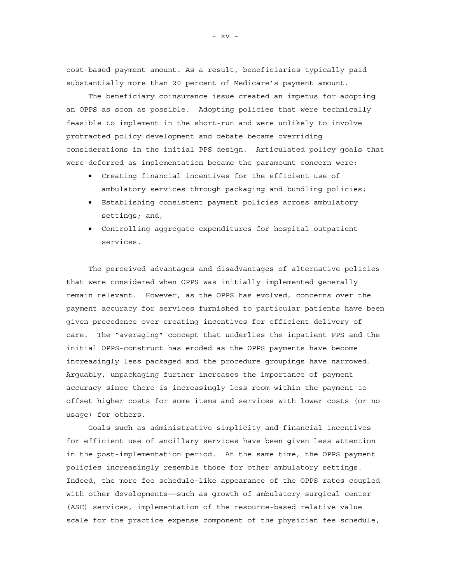cost-based payment amount. As a result, beneficiaries typically paid substantially more than 20 percent of Medicare's payment amount.

The beneficiary coinsurance issue created an impetus for adopting an OPPS as soon as possible. Adopting policies that were technically feasible to implement in the short-run and were unlikely to involve protracted policy development and debate became overriding considerations in the initial PPS design. Articulated policy goals that were deferred as implementation became the paramount concern were:

- Creating financial incentives for the efficient use of ambulatory services through packaging and bundling policies;
- Establishing consistent payment policies across ambulatory settings; and,
- Controlling aggregate expenditures for hospital outpatient services.

The perceived advantages and disadvantages of alternative policies that were considered when OPPS was initially implemented generally remain relevant. However, as the OPPS has evolved, concerns over the payment accuracy for services furnished to particular patients have been given precedence over creating incentives for efficient delivery of care. The "averaging" concept that underlies the inpatient PPS and the initial OPPS-construct has eroded as the OPPS payments have become increasingly less packaged and the procedure groupings have narrowed. Arguably, unpackaging further increases the importance of payment accuracy since there is increasingly less room within the payment to offset higher costs for some items and services with lower costs (or no usage) for others.

Goals such as administrative simplicity and financial incentives for efficient use of ancillary services have been given less attention in the post-implementation period. At the same time, the OPPS payment policies increasingly resemble those for other ambulatory settings. Indeed, the more fee schedule-like appearance of the OPPS rates coupled with other developments——such as growth of ambulatory surgical center (ASC) services, implementation of the resource-based relative value scale for the practice expense component of the physician fee schedule,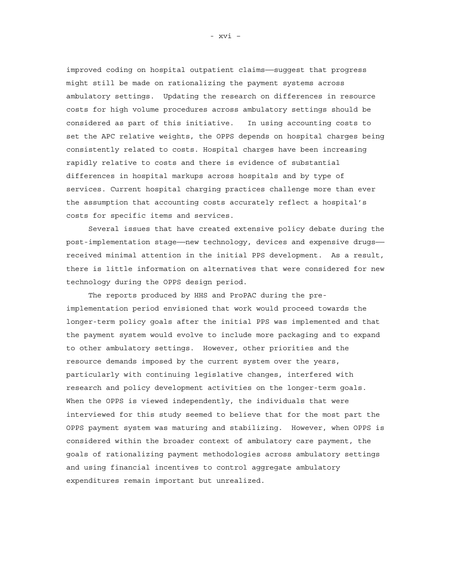improved coding on hospital outpatient claims——suggest that progress might still be made on rationalizing the payment systems across ambulatory settings. Updating the research on differences in resource costs for high volume procedures across ambulatory settings should be considered as part of this initiative. In using accounting costs to set the APC relative weights, the OPPS depends on hospital charges being consistently related to costs. Hospital charges have been increasing rapidly relative to costs and there is evidence of substantial differences in hospital markups across hospitals and by type of services. Current hospital charging practices challenge more than ever the assumption that accounting costs accurately reflect a hospital's costs for specific items and services.

Several issues that have created extensive policy debate during the post-implementation stage——new technology, devices and expensive drugs— received minimal attention in the initial PPS development. As a result, there is little information on alternatives that were considered for new technology during the OPPS design period.

The reports produced by HHS and ProPAC during the preimplementation period envisioned that work would proceed towards the longer-term policy goals after the initial PPS was implemented and that the payment system would evolve to include more packaging and to expand to other ambulatory settings. However, other priorities and the resource demands imposed by the current system over the years, particularly with continuing legislative changes, interfered with research and policy development activities on the longer-term goals. When the OPPS is viewed independently, the individuals that were interviewed for this study seemed to believe that for the most part the OPPS payment system was maturing and stabilizing. However, when OPPS is considered within the broader context of ambulatory care payment, the goals of rationalizing payment methodologies across ambulatory settings and using financial incentives to control aggregate ambulatory expenditures remain important but unrealized.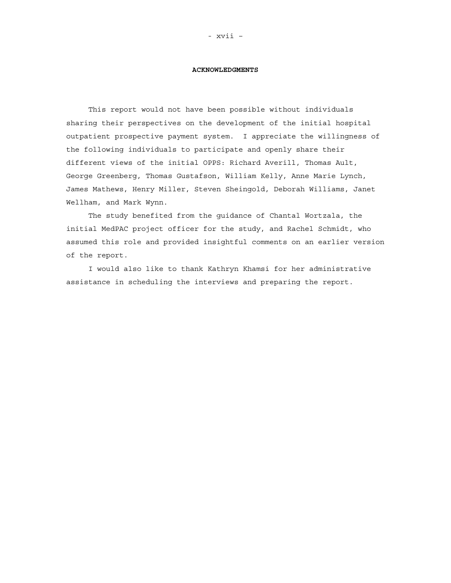#### **ACKNOWLEDGMENTS**

This report would not have been possible without individuals sharing their perspectives on the development of the initial hospital outpatient prospective payment system. I appreciate the willingness of the following individuals to participate and openly share their different views of the initial OPPS: Richard Averill, Thomas Ault, George Greenberg, Thomas Gustafson, William Kelly, Anne Marie Lynch, James Mathews, Henry Miller, Steven Sheingold, Deborah Williams, Janet Wellham, and Mark Wynn.

The study benefited from the guidance of Chantal Wortzala, the initial MedPAC project officer for the study, and Rachel Schmidt, who assumed this role and provided insightful comments on an earlier version of the report.

I would also like to thank Kathryn Khamsi for her administrative assistance in scheduling the interviews and preparing the report.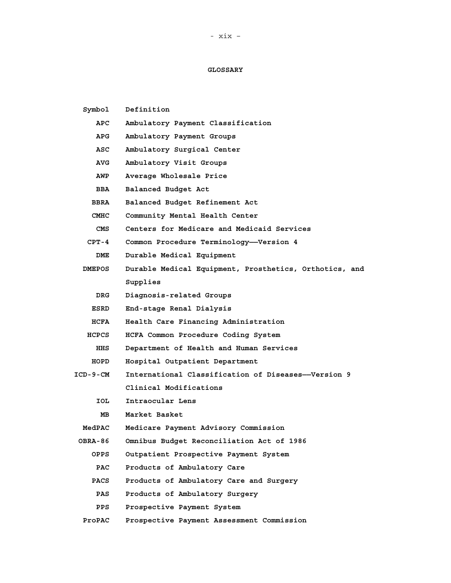## **GLOSSARY**

| Symbol      | Definition                                             |  |  |  |  |
|-------------|--------------------------------------------------------|--|--|--|--|
| APC         | Ambulatory Payment Classification                      |  |  |  |  |
| APG         | Ambulatory Payment Groups                              |  |  |  |  |
| ASC         | Ambulatory Surgical Center                             |  |  |  |  |
| AVG         | Ambulatory Visit Groups                                |  |  |  |  |
| AWP         | Average Wholesale Price                                |  |  |  |  |
| <b>BBA</b>  | Balanced Budget Act                                    |  |  |  |  |
| BBRA        | Balanced Budget Refinement Act                         |  |  |  |  |
| CMHC        | Community Mental Health Center                         |  |  |  |  |
| CMS         | Centers for Medicare and Medicaid Services             |  |  |  |  |
| $CPT-4$     | Common Procedure Terminology-Version 4                 |  |  |  |  |
| DME         | Durable Medical Equipment                              |  |  |  |  |
| DMEPOS      | Durable Medical Equipment, Prosthetics, Orthotics, and |  |  |  |  |
|             | Supplies                                               |  |  |  |  |
| DRG.        | Diagnosis-related Groups                               |  |  |  |  |
| ESRD        | End-stage Renal Dialysis                               |  |  |  |  |
| <b>HCFA</b> | Health Care Financing Administration                   |  |  |  |  |
| HCPCS       | HCFA Common Procedure Coding System                    |  |  |  |  |
| HHS         | Department of Health and Human Services                |  |  |  |  |
| HOPD        | Hospital Outpatient Department                         |  |  |  |  |
| ICD-9-CM    | International Classification of Diseases--Version 9    |  |  |  |  |
|             | Clinical Modifications                                 |  |  |  |  |
| IOL         | Intraocular Lens                                       |  |  |  |  |
| MВ          | Market Basket                                          |  |  |  |  |
| MedPAC      | Medicare Payment Advisory Commission                   |  |  |  |  |
| OBRA-86     | Omnibus Budget Reconciliation Act of 1986              |  |  |  |  |
| OPPS        | Outpatient Prospective Payment System                  |  |  |  |  |
| PAC         | Products of Ambulatory Care                            |  |  |  |  |
| PACS        | Products of Ambulatory Care and Surgery                |  |  |  |  |
| PAS         | Products of Ambulatory Surgery                         |  |  |  |  |
| PPS         | Prospective Payment System                             |  |  |  |  |
|             |                                                        |  |  |  |  |

**ProPAC Prospective Payment Assessment Commission**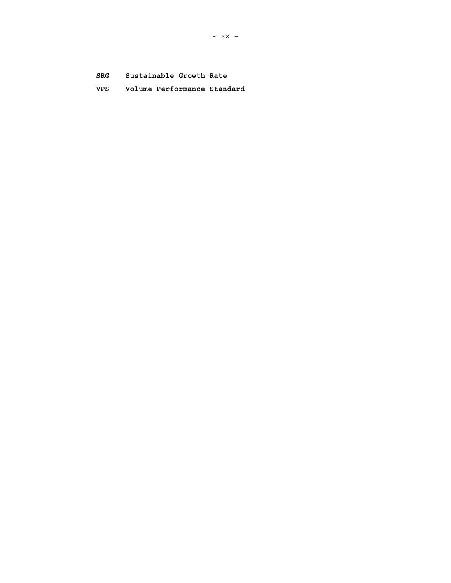Sustainable Growth Rate SRG

VPS Volume Performance Standard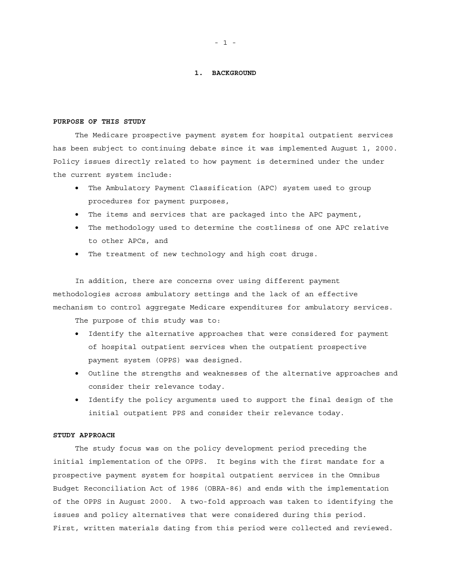## **1. BACKGROUND**

#### **PURPOSE OF THIS STUDY**

The Medicare prospective payment system for hospital outpatient services has been subject to continuing debate since it was implemented August 1, 2000. Policy issues directly related to how payment is determined under the under the current system include:

- The Ambulatory Payment Classification (APC) system used to group procedures for payment purposes,
- The items and services that are packaged into the APC payment,
- The methodology used to determine the costliness of one APC relative to other APCs, and
- The treatment of new technology and high cost drugs.

In addition, there are concerns over using different payment methodologies across ambulatory settings and the lack of an effective mechanism to control aggregate Medicare expenditures for ambulatory services.

The purpose of this study was to:

- Identify the alternative approaches that were considered for payment of hospital outpatient services when the outpatient prospective payment system (OPPS) was designed.
- Outline the strengths and weaknesses of the alternative approaches and consider their relevance today.
- Identify the policy arguments used to support the final design of the initial outpatient PPS and consider their relevance today.

#### **STUDY APPROACH**

The study focus was on the policy development period preceding the initial implementation of the OPPS. It begins with the first mandate for a prospective payment system for hospital outpatient services in the Omnibus Budget Reconciliation Act of 1986 (OBRA-86) and ends with the implementation of the OPPS in August 2000. A two-fold approach was taken to identifying the issues and policy alternatives that were considered during this period. First, written materials dating from this period were collected and reviewed.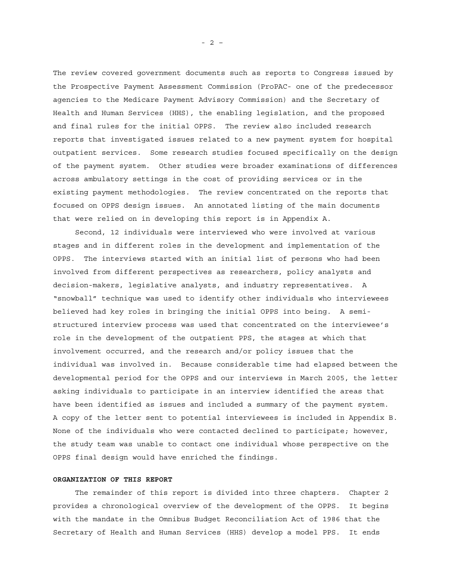The review covered government documents such as reports to Congress issued by the Prospective Payment Assessment Commission (ProPAC- one of the predecessor agencies to the Medicare Payment Advisory Commission) and the Secretary of Health and Human Services (HHS), the enabling legislation, and the proposed and final rules for the initial OPPS. The review also included research reports that investigated issues related to a new payment system for hospital outpatient services. Some research studies focused specifically on the design of the payment system. Other studies were broader examinations of differences across ambulatory settings in the cost of providing services or in the existing payment methodologies. The review concentrated on the reports that focused on OPPS design issues. An annotated listing of the main documents that were relied on in developing this report is in Appendix A.

Second, 12 individuals were interviewed who were involved at various stages and in different roles in the development and implementation of the OPPS. The interviews started with an initial list of persons who had been involved from different perspectives as researchers, policy analysts and decision-makers, legislative analysts, and industry representatives. A "snowball" technique was used to identify other individuals who interviewees believed had key roles in bringing the initial OPPS into being. A semistructured interview process was used that concentrated on the interviewee's role in the development of the outpatient PPS, the stages at which that involvement occurred, and the research and/or policy issues that the individual was involved in. Because considerable time had elapsed between the developmental period for the OPPS and our interviews in March 2005, the letter asking individuals to participate in an interview identified the areas that have been identified as issues and included a summary of the payment system. A copy of the letter sent to potential interviewees is included in Appendix B. None of the individuals who were contacted declined to participate; however, the study team was unable to contact one individual whose perspective on the OPPS final design would have enriched the findings.

#### **ORGANIZATION OF THIS REPORT**

The remainder of this report is divided into three chapters. Chapter 2 provides a chronological overview of the development of the OPPS. It begins with the mandate in the Omnibus Budget Reconciliation Act of 1986 that the Secretary of Health and Human Services (HHS) develop a model PPS. It ends

- 2 –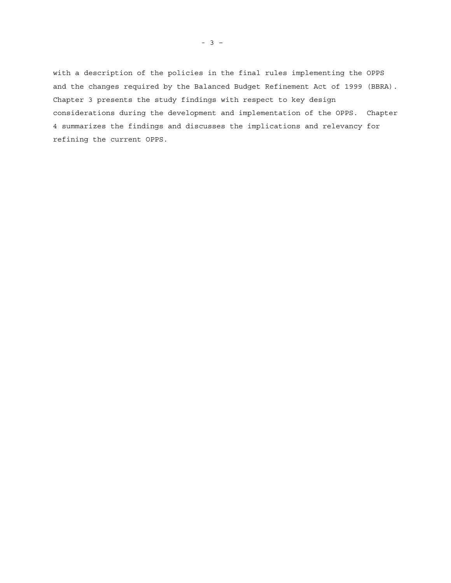with a description of the policies in the final rules implementing the OPPS and the changes required by the Balanced Budget Refinement Act of 1999 (BBRA). Chapter 3 presents the study findings with respect to key design considerations during the development and implementation of the OPPS. Chapter 4 summarizes the findings and discusses the implications and relevancy for refining the current OPPS.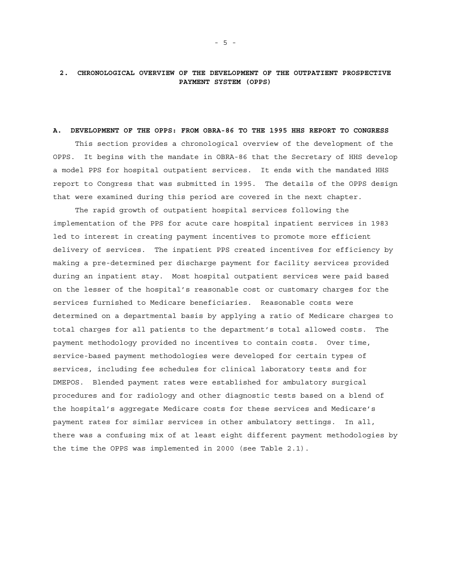### **A. DEVELOPMENT OF THE OPPS: FROM OBRA-86 TO THE 1995 HHS REPORT TO CONGRESS**

This section provides a chronological overview of the development of the OPPS. It begins with the mandate in OBRA-86 that the Secretary of HHS develop a model PPS for hospital outpatient services. It ends with the mandated HHS report to Congress that was submitted in 1995. The details of the OPPS design that were examined during this period are covered in the next chapter.

The rapid growth of outpatient hospital services following the implementation of the PPS for acute care hospital inpatient services in 1983 led to interest in creating payment incentives to promote more efficient delivery of services. The inpatient PPS created incentives for efficiency by making a pre-determined per discharge payment for facility services provided during an inpatient stay. Most hospital outpatient services were paid based on the lesser of the hospital's reasonable cost or customary charges for the services furnished to Medicare beneficiaries. Reasonable costs were determined on a departmental basis by applying a ratio of Medicare charges to total charges for all patients to the department's total allowed costs. The payment methodology provided no incentives to contain costs. Over time, service-based payment methodologies were developed for certain types of services, including fee schedules for clinical laboratory tests and for DMEPOS. Blended payment rates were established for ambulatory surgical procedures and for radiology and other diagnostic tests based on a blend of the hospital's aggregate Medicare costs for these services and Medicare's payment rates for similar services in other ambulatory settings. In all, there was a confusing mix of at least eight different payment methodologies by the time the OPPS was implemented in 2000 (see Table 2.1).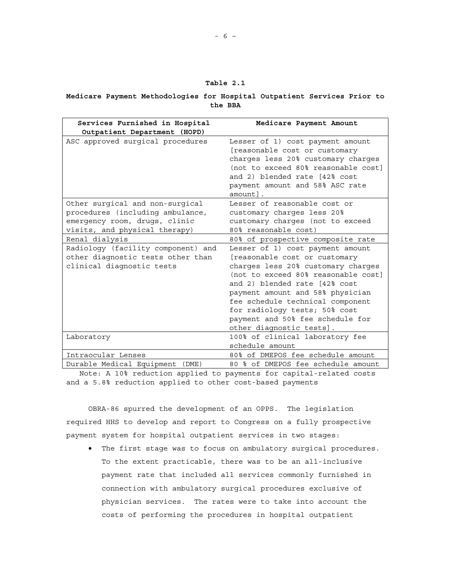| ran L |  |  |
|-------|--|--|
|-------|--|--|

## **Medicare Payment Methodologies for Hospital Outpatient Services Prior to the BBA**

| Services Furnished in Hospital<br>Outpatient Department (HOPD)                                                                        | Medicare Payment Amount                                                                                                                                                                                                                                                                                                                                  |
|---------------------------------------------------------------------------------------------------------------------------------------|----------------------------------------------------------------------------------------------------------------------------------------------------------------------------------------------------------------------------------------------------------------------------------------------------------------------------------------------------------|
| ASC approved surgical procedures                                                                                                      | Lesser of 1) cost payment amount<br>[reasonable cost or customary<br>charges less 20% customary charges<br>(not to exceed 80% reasonable cost]<br>and 2) blended rate [42% cost<br>payment amount and 58% ASC rate<br>amount].                                                                                                                           |
| Other surgical and non-surgical<br>procedures (including ambulance,<br>emergency room, drugs, clinic<br>visits, and physical therapy) | Lesser of reasonable cost or<br>customary charges less 20%<br>customary charges (not to exceed<br>80% reasonable cost)                                                                                                                                                                                                                                   |
| Renal dialysis                                                                                                                        | 80% of prospective composite rate                                                                                                                                                                                                                                                                                                                        |
| Radiology (facility component) and<br>other diagnostic tests other than<br>clinical diagnostic tests                                  | Lesser of 1) cost payment amount<br>[reasonable cost or customary<br>charges less 20% customary charges<br>(not to exceed 80% reasonable cost)<br>and 2) blended rate [42% cost<br>payment amount and 58% physician<br>fee schedule technical component<br>for radiology tests; 50% cost<br>payment and 50% fee schedule for<br>other diagnostic tests]. |
| Laboratory                                                                                                                            | 100% of clinical laboratory fee<br>schedule amount                                                                                                                                                                                                                                                                                                       |
| Intraocular Lenses                                                                                                                    | 80% of DMEPOS fee schedule amount                                                                                                                                                                                                                                                                                                                        |
| Durable Medical Equipment<br>(DME)                                                                                                    | 80 % of DMEPOS fee schedule amount                                                                                                                                                                                                                                                                                                                       |

Note: A 10% reduction applied to payments for capital-related costs and a 5.8% reduction applied to other cost-based payments

OBRA-86 spurred the development of an OPPS. The legislation required HHS to develop and report to Congress on a fully prospective payment system for hospital outpatient services in two stages:

• The first stage was to focus on ambulatory surgical procedures. To the extent practicable, there was to be an all-inclusive payment rate that included all services commonly furnished in connection with ambulatory surgical procedures exclusive of physician services. The rates were to take into account the costs of performing the procedures in hospital outpatient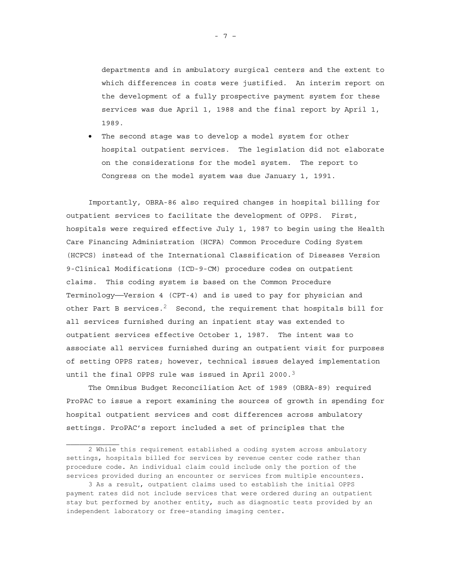departments and in ambulatory surgical centers and the extent to which differences in costs were justified. An interim report on the development of a fully prospective payment system for these services was due April 1, 1988 and the final report by April 1, 1989.

• The second stage was to develop a model system for other hospital outpatient services. The legislation did not elaborate on the considerations for the model system. The report to Congress on the model system was due January 1, 1991.

Importantly, OBRA-86 also required changes in hospital billing for outpatient services to facilitate the development of OPPS. First, hospitals were required effective July 1, 1987 to begin using the Health Care Financing Administration (HCFA) Common Procedure Coding System (HCPCS) instead of the International Classification of Diseases Version 9-Clinical Modifications (ICD-9-CM) procedure codes on outpatient claims. This coding system is based on the Common Procedure Terminology—Version 4 (CPT-4) and is used to pay for physician and other Part B services.<sup>2</sup> Second, the requirement that hospitals bill for all services furnished during an inpatient stay was extended to outpatient services effective October 1, 1987. The intent was to associate all services furnished during an outpatient visit for purposes of setting OPPS rates; however, technical issues delayed implementation until the final OPPS rule was issued in April 2000. $3$ 

The Omnibus Budget Reconciliation Act of 1989 (OBRA-89) required ProPAC to issue a report examining the sources of growth in spending for hospital outpatient services and cost differences across ambulatory settings. ProPAC's report included a set of principles that the

- 7 –

<sup>2</sup> While this requirement established a coding system across ambulatory settings, hospitals billed for services by revenue center code rather than procedure code. An individual claim could include only the portion of the services provided during an encounter or services from multiple encounters.

<sup>3</sup> As a result, outpatient claims used to establish the initial OPPS payment rates did not include services that were ordered during an outpatient stay but performed by another entity, such as diagnostic tests provided by an independent laboratory or free-standing imaging center.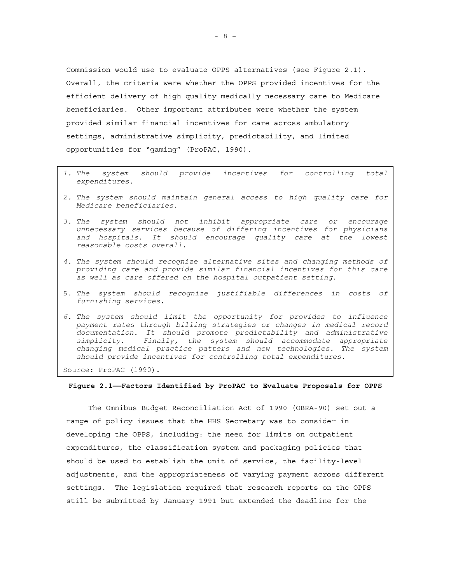Commission would use to evaluate OPPS alternatives (see Figure 2.1). Overall, the criteria were whether the OPPS provided incentives for the efficient delivery of high quality medically necessary care to Medicare beneficiaries. Other important attributes were whether the system provided similar financial incentives for care across ambulatory settings, administrative simplicity, predictability, and limited opportunities for "gaming" (ProPAC, 1990).

- *1. The system should provide incentives for controlling total expenditures.*
- *2. The system should maintain general access to high quality care for Medicare beneficiaries.*
- *3. The system should not inhibit appropriate care or encourage unnecessary services because of differing incentives for physicians and hospitals. It should encourage quality care at the lowest reasonable costs overall.*
- *4. The system should recognize alternative sites and changing methods of providing care and provide similar financial incentives for this care as well as care offered on the hospital outpatient setting.*
- 5. *The system should recognize justifiable differences in costs of furnishing services.*
- *6. The system should limit the opportunity for provides to influence payment rates through billing strategies or changes in medical record documentation. It should promote predictability and administrative simplicity. Finally, the system should accommodate appropriate changing medical practice patters and new technologies. The system should provide incentives for controlling total expenditures.*

Source: ProPAC (1990).

#### **Figure 2.1——Factors Identified by ProPAC to Evaluate Proposals for OPPS**

The Omnibus Budget Reconciliation Act of 1990 (OBRA-90) set out a range of policy issues that the HHS Secretary was to consider in developing the OPPS, including: the need for limits on outpatient expenditures, the classification system and packaging policies that should be used to establish the unit of service, the facility-level adjustments, and the appropriateness of varying payment across different settings. The legislation required that research reports on the OPPS still be submitted by January 1991 but extended the deadline for the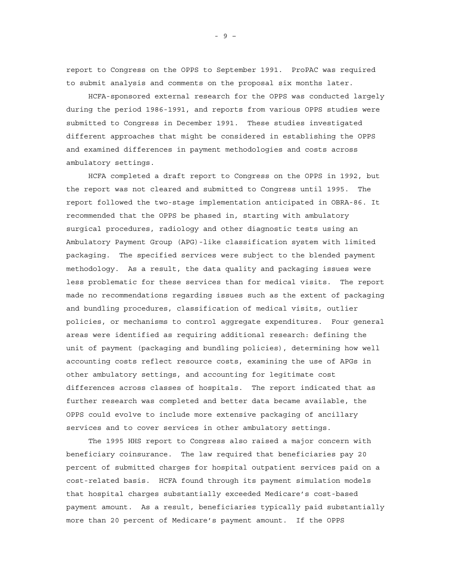report to Congress on the OPPS to September 1991. ProPAC was required to submit analysis and comments on the proposal six months later.

HCFA-sponsored external research for the OPPS was conducted largely during the period 1986-1991, and reports from various OPPS studies were submitted to Congress in December 1991. These studies investigated different approaches that might be considered in establishing the OPPS and examined differences in payment methodologies and costs across ambulatory settings.

HCFA completed a draft report to Congress on the OPPS in 1992, but the report was not cleared and submitted to Congress until 1995. The report followed the two-stage implementation anticipated in OBRA-86. It recommended that the OPPS be phased in, starting with ambulatory surgical procedures, radiology and other diagnostic tests using an Ambulatory Payment Group (APG)-like classification system with limited packaging. The specified services were subject to the blended payment methodology. As a result, the data quality and packaging issues were less problematic for these services than for medical visits. The report made no recommendations regarding issues such as the extent of packaging and bundling procedures, classification of medical visits, outlier policies, or mechanisms to control aggregate expenditures. Four general areas were identified as requiring additional research: defining the unit of payment (packaging and bundling policies), determining how well accounting costs reflect resource costs, examining the use of APGs in other ambulatory settings, and accounting for legitimate cost differences across classes of hospitals. The report indicated that as further research was completed and better data became available, the OPPS could evolve to include more extensive packaging of ancillary services and to cover services in other ambulatory settings.

The 1995 HHS report to Congress also raised a major concern with beneficiary coinsurance. The law required that beneficiaries pay 20 percent of submitted charges for hospital outpatient services paid on a cost-related basis. HCFA found through its payment simulation models that hospital charges substantially exceeded Medicare's cost-based payment amount. As a result, beneficiaries typically paid substantially more than 20 percent of Medicare's payment amount. If the OPPS

- 9 –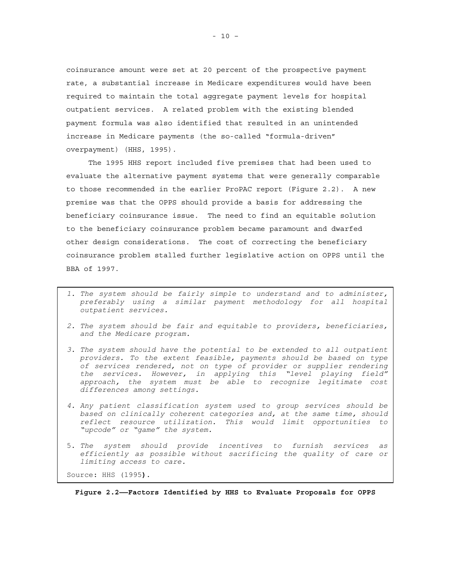coinsurance amount were set at 20 percent of the prospective payment rate, a substantial increase in Medicare expenditures would have been required to maintain the total aggregate payment levels for hospital outpatient services. A related problem with the existing blended payment formula was also identified that resulted in an unintended increase in Medicare payments (the so-called "formula-driven" overpayment) (HHS, 1995).

The 1995 HHS report included five premises that had been used to evaluate the alternative payment systems that were generally comparable to those recommended in the earlier ProPAC report (Figure 2.2). A new premise was that the OPPS should provide a basis for addressing the beneficiary coinsurance issue. The need to find an equitable solution to the beneficiary coinsurance problem became paramount and dwarfed other design considerations. The cost of correcting the beneficiary coinsurance problem stalled further legislative action on OPPS until the BBA of 1997.

- *1. The system should be fairly simple to understand and to administer, preferably using a similar payment methodology for all hospital outpatient services.*
- *2. The system should be fair and equitable to providers, beneficiaries, and the Medicare program.*
- *3. The system should have the potential to be extended to all outpatient providers. To the extent feasible, payments should be based on type of services rendered, not on type of provider or supplier rendering the services. However, in applying this "level playing field" approach, the system must be able to recognize legitimate cost differences among settings.*
- *4. Any patient classification system used to group services should be based on clinically coherent categories and, at the same time, should reflect resource utilization. This would limit opportunities to "upcode" or "game" the system.*
- 5. *The system should provide incentives to furnish services as efficiently as possible without sacrificing the quality of care or limiting access to care.*

Source: HHS (1995**).** 

**Figure 2.2——Factors Identified by HHS to Evaluate Proposals for OPPS**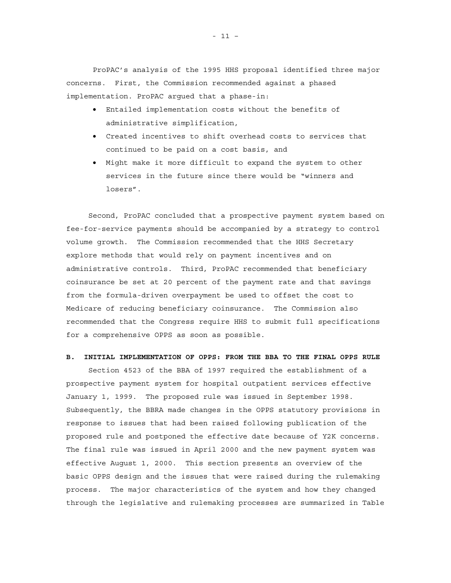ProPAC's analysis of the 1995 HHS proposal identified three major concerns. First, the Commission recommended against a phased implementation. ProPAC argued that a phase-in:

- Entailed implementation costs without the benefits of administrative simplification,
- Created incentives to shift overhead costs to services that continued to be paid on a cost basis, and
- Might make it more difficult to expand the system to other services in the future since there would be "winners and losers".

Second, ProPAC concluded that a prospective payment system based on fee-for-service payments should be accompanied by a strategy to control volume growth. The Commission recommended that the HHS Secretary explore methods that would rely on payment incentives and on administrative controls. Third, ProPAC recommended that beneficiary coinsurance be set at 20 percent of the payment rate and that savings from the formula-driven overpayment be used to offset the cost to Medicare of reducing beneficiary coinsurance. The Commission also recommended that the Congress require HHS to submit full specifications for a comprehensive OPPS as soon as possible.

## **B. INITIAL IMPLEMENTATION OF OPPS: FROM THE BBA TO THE FINAL OPPS RULE**

Section 4523 of the BBA of 1997 required the establishment of a prospective payment system for hospital outpatient services effective January 1, 1999. The proposed rule was issued in September 1998. Subsequently, the BBRA made changes in the OPPS statutory provisions in response to issues that had been raised following publication of the proposed rule and postponed the effective date because of Y2K concerns. The final rule was issued in April 2000 and the new payment system was effective August 1, 2000. This section presents an overview of the basic OPPS design and the issues that were raised during the rulemaking process. The major characteristics of the system and how they changed through the legislative and rulemaking processes are summarized in Table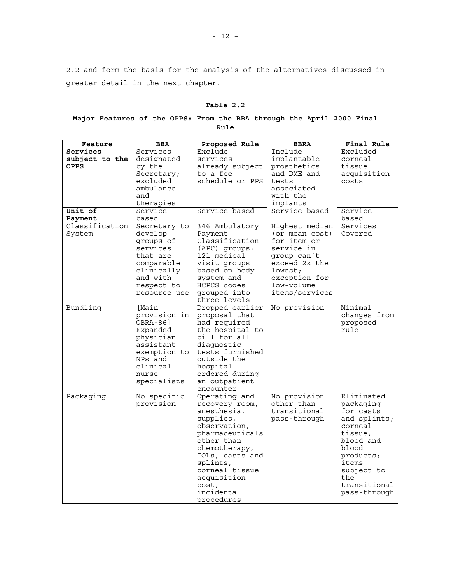2.2 and form the basis for the analysis of the alternatives discussed in greater detail in the next chapter.

# **Table 2.2**

# **Major Features of the OPPS: From the BBA through the April 2000 Final Rule**

| Feature        | BBA          | Proposed Rule   | <b>BBRA</b>    | Final Rule   |
|----------------|--------------|-----------------|----------------|--------------|
| Services       | Services     | Exclude         | Include        | Excluded     |
| subject to the | designated   | services        | implantable    | corneal      |
| OPPS           | by the       | already subject | prosthetics    | tissue       |
|                | Secretary;   | to a fee        | and DME and    | acquisition  |
|                | excluded     | schedule or PPS | tests          | costs        |
|                | ambulance    |                 | associated     |              |
|                | and          |                 | with the       |              |
|                | therapies    |                 | implants       |              |
| Unit of        | Service-     | Service-based   | Service-based  | Service-     |
| Payment        | based        |                 |                | based        |
| Classification | Secretary to | 346 Ambulatory  | Highest median | Services     |
| System         | develop      | Payment         | (or mean cost) | Covered      |
|                | groups of    | Classification  | for item or    |              |
|                | services     | $(APC)$ groups; | service in     |              |
|                | that are     | 121 medical     | group can't    |              |
|                | comparable   | visit groups    | exceed 2x the  |              |
|                | clinically   | based on body   | lowest;        |              |
|                | and with     | system and      | exception for  |              |
|                | respect to   | HCPCS codes     | low-volume     |              |
|                | resource use | grouped into    | items/services |              |
|                |              | three levels    |                |              |
| Bundling       | [Main        | Dropped earlier | No provision   | Minimal      |
|                | provision in | proposal that   |                | changes from |
|                | OBRA-86]     | had required    |                | proposed     |
|                | Expanded     | the hospital to |                | rule         |
|                | physician    | bill for all    |                |              |
|                | assistant    | diaqnostic      |                |              |
|                | exemption to | tests furnished |                |              |
|                | NPs and      | outside the     |                |              |
|                | clinical     | hospital        |                |              |
|                | nurse        | ordered during  |                |              |
|                | specialists  | an outpatient   |                |              |
|                |              | encounter       |                |              |
| Packaging      | No specific  | Operating and   | No provision   | Eliminated   |
|                | provision    | recovery room,  | other than     | packaging    |
|                |              | anesthesia,     | transitional   | for casts    |
|                |              | supplies,       | pass-through   | and splints; |
|                |              | observation,    |                | corneal      |
|                |              | pharmaceuticals |                | tissue;      |
|                |              | other than      |                | blood and    |
|                |              | chemotherapy,   |                | blood        |
|                |              | IOLs, casts and |                | products;    |
|                |              | splints,        |                | items        |
|                |              | corneal tissue  |                | subject to   |
|                |              | acquisition     |                | the          |
|                |              | cost,           |                | transitional |
|                |              | incidental      |                | pass-through |
|                |              | procedures      |                |              |

- 12 –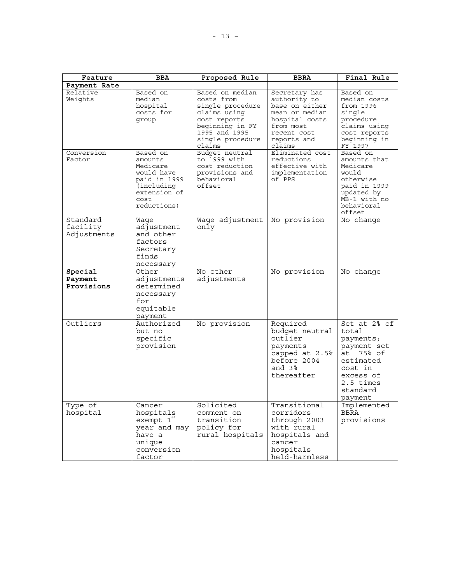| Feature                             | <b>BBA</b>                                                                                                          | Proposed Rule                                                                                                                                       | <b>BBRA</b>                                                                                                                              | Final Rule                                                                                                                                               |
|-------------------------------------|---------------------------------------------------------------------------------------------------------------------|-----------------------------------------------------------------------------------------------------------------------------------------------------|------------------------------------------------------------------------------------------------------------------------------------------|----------------------------------------------------------------------------------------------------------------------------------------------------------|
| Payment Rate                        |                                                                                                                     |                                                                                                                                                     |                                                                                                                                          |                                                                                                                                                          |
| Relative<br>Weights                 | Based on<br>median<br>hospital<br>costs for<br>group                                                                | Based on median<br>costs from<br>single procedure<br>claims using<br>cost reports<br>beginning in FY<br>1995 and 1995<br>single procedure<br>claims | Secretary has<br>authority to<br>base on either<br>mean or median<br>hospital costs<br>from most<br>recent cost<br>reports and<br>claims | Based on<br>median costs<br>from 1996<br>single<br>procedure<br>claims using<br>cost reports<br>beginning in<br>FY 1997                                  |
| Conversion<br>Factor                | Based on<br>amounts<br>Medicare<br>would have<br>paid in 1999<br>(including)<br>extension of<br>cost<br>reductions) | Budget neutral<br>to 1999 with<br>cost reduction<br>provisions and<br>behavioral<br>offset                                                          | Eliminated cost<br>reductions<br>effective with<br>implementation<br>of PPS                                                              | Based on<br>amounts that<br>Medicare<br>would<br>otherwise<br>paid in 1999<br>updated by<br>MB-1 with no<br>behavioral<br>offset                         |
| Standard<br>facility<br>Adjustments | Waqe<br>adjustment<br>and other<br>factors<br>Secretary<br>finds<br>necessary                                       | Wage adjustment<br>only                                                                                                                             | No provision                                                                                                                             | No change                                                                                                                                                |
| Special<br>Payment<br>Provisions    | Other<br>adjustments<br>determined<br>necessary<br>for<br>equitable<br>payment                                      | No other<br>adjustments                                                                                                                             | No provision                                                                                                                             | No change                                                                                                                                                |
| Outliers                            | Authorized<br>but no<br>specific<br>provision                                                                       | No provision                                                                                                                                        | Required<br>budget neutral<br>outlier<br>payments<br>capped at 2.5%<br>before 2004<br>and $3\%$<br>thereafter                            | $Set$ at $2\frac{6}{5}$ of<br>total<br>payments;<br>payment set<br>75% of<br>at<br>estimated<br>cost in<br>excess of<br>2.5 times<br>standard<br>payment |
| Type of<br>hospital                 | Cancer<br>hospitals<br>exempt 1 <sup>st</sup><br>year and may<br>have a<br>unique<br>conversion<br>factor           | Solicited<br>comment on<br>transition<br>policy for<br>rural hospitals                                                                              | Transitional<br>corridors<br>through 2003<br>with rural<br>hospitals and<br>cancer<br>hospitals<br>held-harmless                         | Implemented<br><b>BBRA</b><br>provisions                                                                                                                 |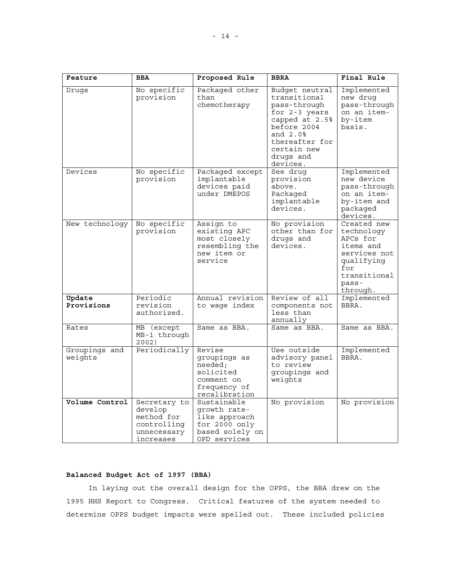| Feature                  | <b>BBA</b>                                                                       | Proposed Rule                                                                                    | <b>BBRA</b>                                                                                                                                                               | Final Rule                                                                                                                   |
|--------------------------|----------------------------------------------------------------------------------|--------------------------------------------------------------------------------------------------|---------------------------------------------------------------------------------------------------------------------------------------------------------------------------|------------------------------------------------------------------------------------------------------------------------------|
| Drugs                    | No specific<br>provision                                                         | Packaged other<br>than<br>chemotherapy                                                           | Budget neutral<br>transitional<br>pass-through<br>for 2-3 years<br>capped at 2.5%<br>before 2004<br>and $2.0\%$<br>thereafter for<br>certain new<br>drugs and<br>devices. | Implemented<br>new druq<br>pass-through<br>on an item-<br>by-item<br>basis.                                                  |
| Devices                  | No specific<br>provision                                                         | Packaged except<br>implantable<br>devices paid<br>under DMEPOS                                   | See drug<br>provision<br>above.<br>Packaged<br>implantable<br>devices.                                                                                                    | Implemented<br>new device<br>pass-through<br>on an item-<br>by-item and<br>packaged<br>devices.                              |
| New technology           | No specific<br>provision                                                         | Assign to<br>existing APC<br>most closely<br>resembling the<br>new item or<br>service            | No provision<br>other than for<br>drugs and<br>devices.                                                                                                                   | Created new<br>technology<br>APCs for<br>items and<br>services not<br>qualifying<br>for<br>transitional<br>pass-<br>through. |
| Update<br>Provisions     | Periodic<br>revision<br>authorized.                                              | Annual revision<br>to waqe index                                                                 | Review of all<br>components not<br>less than<br>annually                                                                                                                  | Implemented<br>BBRA.                                                                                                         |
| Rates                    | MB (except<br>MB-1 through<br>2002)                                              | Same as BBA.                                                                                     | Same as BBA.                                                                                                                                                              | Same as BBA.                                                                                                                 |
| Groupings and<br>weights | Periodically                                                                     | Revise<br>groupings as<br>needed;<br>solicited<br>comment on<br>frequency of<br>recalibration    | Use outside<br>advisory panel<br>to review<br>groupings and<br>weights                                                                                                    | Implemented<br>BBRA.                                                                                                         |
| Volume Control           | Secretary to<br>develop<br>method for<br>controlling<br>unnecessary<br>increases | Sustainable<br>qrowth rate-<br>like approach<br>for 2000 only<br>based solely on<br>OPD services | No provision                                                                                                                                                              | No provision                                                                                                                 |

# **Balanced Budget Act of 1997 (BBA)**

In laying out the overall design for the OPPS, the BBA drew on the 1995 HHS Report to Congress. Critical features of the system needed to determine OPPS budget impacts were spelled out. These included policies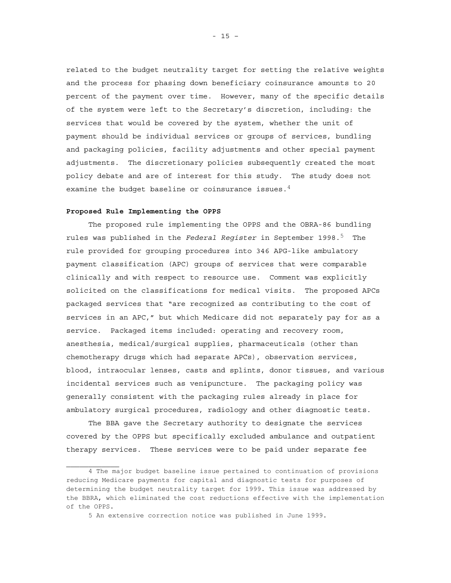related to the budget neutrality target for setting the relative weights and the process for phasing down beneficiary coinsurance amounts to 20 percent of the payment over time. However, many of the specific details of the system were left to the Secretary's discretion, including: the services that would be covered by the system, whether the unit of payment should be individual services or groups of services, bundling and packaging policies, facility adjustments and other special payment adjustments. The discretionary policies subsequently created the most policy debate and are of interest for this study. The study does not examine the budget baseline or coinsurance issues.  $4$ 

#### **Proposed Rule Implementing the OPPS**

The proposed rule implementing the OPPS and the OBRA-86 bundling rules was published in the *Federal Register* in September 1998.<sup>5</sup> The rule provided for grouping procedures into 346 APG-like ambulatory payment classification (APC) groups of services that were comparable clinically and with respect to resource use. Comment was explicitly solicited on the classifications for medical visits. The proposed APCs packaged services that "are recognized as contributing to the cost of services in an APC," but which Medicare did not separately pay for as a service. Packaged items included: operating and recovery room, anesthesia, medical/surgical supplies, pharmaceuticals (other than chemotherapy drugs which had separate APCs), observation services, blood, intraocular lenses, casts and splints, donor tissues, and various incidental services such as venipuncture. The packaging policy was generally consistent with the packaging rules already in place for ambulatory surgical procedures, radiology and other diagnostic tests.

The BBA gave the Secretary authority to designate the services covered by the OPPS but specifically excluded ambulance and outpatient therapy services. These services were to be paid under separate fee

<sup>4</sup> The major budget baseline issue pertained to continuation of provisions reducing Medicare payments for capital and diagnostic tests for purposes of determining the budget neutrality target for 1999. This issue was addressed by the BBRA, which eliminated the cost reductions effective with the implementation of the OPPS.

<sup>5</sup> An extensive correction notice was published in June 1999.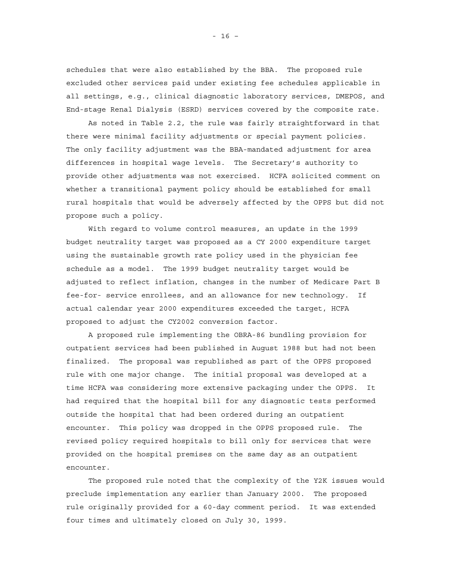schedules that were also established by the BBA. The proposed rule excluded other services paid under existing fee schedules applicable in all settings, e.g., clinical diagnostic laboratory services, DMEPOS, and End-stage Renal Dialysis (ESRD) services covered by the composite rate.

As noted in Table 2.2, the rule was fairly straightforward in that there were minimal facility adjustments or special payment policies. The only facility adjustment was the BBA-mandated adjustment for area differences in hospital wage levels. The Secretary's authority to provide other adjustments was not exercised. HCFA solicited comment on whether a transitional payment policy should be established for small rural hospitals that would be adversely affected by the OPPS but did not propose such a policy.

With regard to volume control measures, an update in the 1999 budget neutrality target was proposed as a CY 2000 expenditure target using the sustainable growth rate policy used in the physician fee schedule as a model. The 1999 budget neutrality target would be adjusted to reflect inflation, changes in the number of Medicare Part B fee-for- service enrollees, and an allowance for new technology. If actual calendar year 2000 expenditures exceeded the target, HCFA proposed to adjust the CY2002 conversion factor.

A proposed rule implementing the OBRA-86 bundling provision for outpatient services had been published in August 1988 but had not been finalized. The proposal was republished as part of the OPPS proposed rule with one major change. The initial proposal was developed at a time HCFA was considering more extensive packaging under the OPPS. It had required that the hospital bill for any diagnostic tests performed outside the hospital that had been ordered during an outpatient encounter. This policy was dropped in the OPPS proposed rule. The revised policy required hospitals to bill only for services that were provided on the hospital premises on the same day as an outpatient encounter.

The proposed rule noted that the complexity of the Y2K issues would preclude implementation any earlier than January 2000. The proposed rule originally provided for a 60-day comment period. It was extended four times and ultimately closed on July 30, 1999.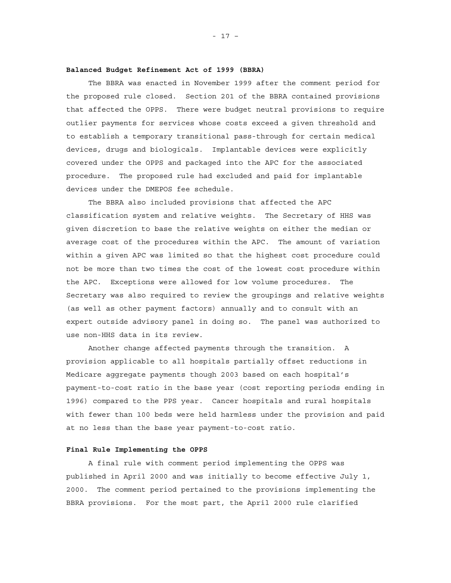### **Balanced Budget Refinement Act of 1999 (BBRA)**

The BBRA was enacted in November 1999 after the comment period for the proposed rule closed. Section 201 of the BBRA contained provisions that affected the OPPS. There were budget neutral provisions to require outlier payments for services whose costs exceed a given threshold and to establish a temporary transitional pass-through for certain medical devices, drugs and biologicals. Implantable devices were explicitly covered under the OPPS and packaged into the APC for the associated procedure. The proposed rule had excluded and paid for implantable devices under the DMEPOS fee schedule.

The BBRA also included provisions that affected the APC classification system and relative weights. The Secretary of HHS was given discretion to base the relative weights on either the median or average cost of the procedures within the APC. The amount of variation within a given APC was limited so that the highest cost procedure could not be more than two times the cost of the lowest cost procedure within the APC. Exceptions were allowed for low volume procedures. The Secretary was also required to review the groupings and relative weights (as well as other payment factors) annually and to consult with an expert outside advisory panel in doing so. The panel was authorized to use non-HHS data in its review.

Another change affected payments through the transition. A provision applicable to all hospitals partially offset reductions in Medicare aggregate payments though 2003 based on each hospital's payment-to-cost ratio in the base year (cost reporting periods ending in 1996) compared to the PPS year. Cancer hospitals and rural hospitals with fewer than 100 beds were held harmless under the provision and paid at no less than the base year payment-to-cost ratio.

#### **Final Rule Implementing the OPPS**

A final rule with comment period implementing the OPPS was published in April 2000 and was initially to become effective July 1, 2000. The comment period pertained to the provisions implementing the BBRA provisions. For the most part, the April 2000 rule clarified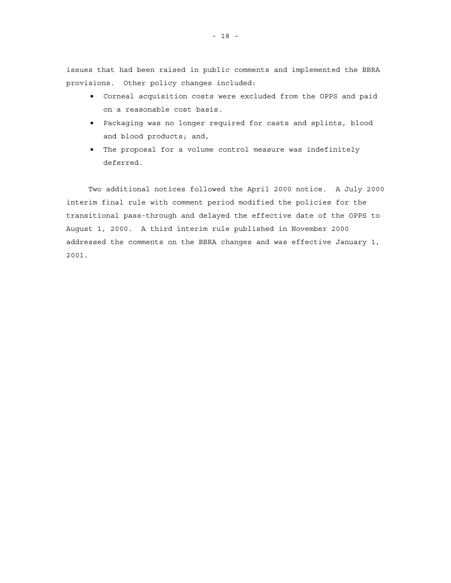issues that had been raised in public comments and implemented the BBRA provisions. Other policy changes included:

- Corneal acquisition costs were excluded from the OPPS and paid on a reasonable cost basis.
- Packaging was no longer required for casts and splints, blood and blood products; and,
- The proposal for a volume control measure was indefinitely deferred.

Two additional notices followed the April 2000 notice. A July 2000 interim final rule with comment period modified the policies for the transitional pass-through and delayed the effective date of the OPPS to August 1, 2000. A third interim rule published in November 2000 addressed the comments on the BBRA changes and was effective January 1, 2001.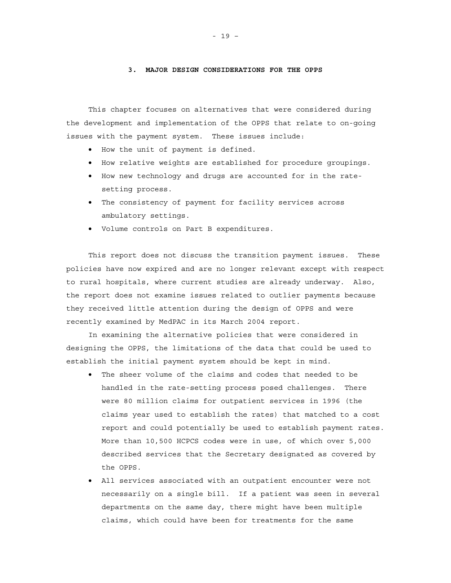### **3. MAJOR DESIGN CONSIDERATIONS FOR THE OPPS**

This chapter focuses on alternatives that were considered during the development and implementation of the OPPS that relate to on-going issues with the payment system. These issues include:

- How the unit of payment is defined.
- How relative weights are established for procedure groupings.
- How new technology and drugs are accounted for in the ratesetting process.
- The consistency of payment for facility services across ambulatory settings.
- Volume controls on Part B expenditures.

This report does not discuss the transition payment issues. These policies have now expired and are no longer relevant except with respect to rural hospitals, where current studies are already underway. Also, the report does not examine issues related to outlier payments because they received little attention during the design of OPPS and were recently examined by MedPAC in its March 2004 report.

In examining the alternative policies that were considered in designing the OPPS, the limitations of the data that could be used to establish the initial payment system should be kept in mind.

- The sheer volume of the claims and codes that needed to be handled in the rate-setting process posed challenges. There were 80 million claims for outpatient services in 1996 (the claims year used to establish the rates) that matched to a cost report and could potentially be used to establish payment rates. More than 10,500 HCPCS codes were in use, of which over 5,000 described services that the Secretary designated as covered by the OPPS.
- All services associated with an outpatient encounter were not necessarily on a single bill. If a patient was seen in several departments on the same day, there might have been multiple claims, which could have been for treatments for the same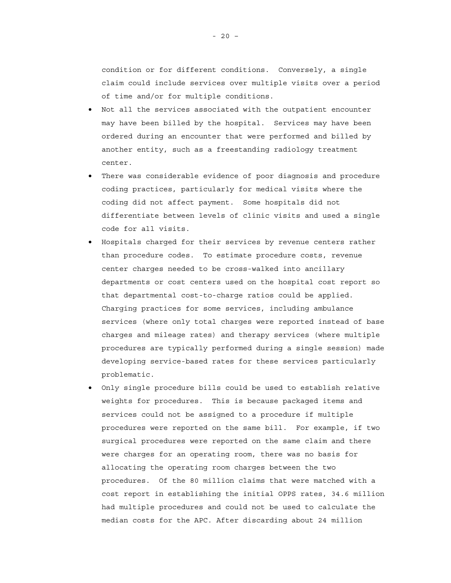condition or for different conditions. Conversely, a single claim could include services over multiple visits over a period of time and/or for multiple conditions.

- Not all the services associated with the outpatient encounter may have been billed by the hospital. Services may have been ordered during an encounter that were performed and billed by another entity, such as a freestanding radiology treatment center.
- There was considerable evidence of poor diagnosis and procedure coding practices, particularly for medical visits where the coding did not affect payment. Some hospitals did not differentiate between levels of clinic visits and used a single code for all visits.
- Hospitals charged for their services by revenue centers rather than procedure codes. To estimate procedure costs, revenue center charges needed to be cross-walked into ancillary departments or cost centers used on the hospital cost report so that departmental cost-to-charge ratios could be applied. Charging practices for some services, including ambulance services (where only total charges were reported instead of base charges and mileage rates) and therapy services (where multiple procedures are typically performed during a single session) made developing service-based rates for these services particularly problematic.
- Only single procedure bills could be used to establish relative weights for procedures. This is because packaged items and services could not be assigned to a procedure if multiple procedures were reported on the same bill. For example, if two surgical procedures were reported on the same claim and there were charges for an operating room, there was no basis for allocating the operating room charges between the two procedures. Of the 80 million claims that were matched with a cost report in establishing the initial OPPS rates, 34.6 million had multiple procedures and could not be used to calculate the median costs for the APC. After discarding about 24 million

- 20 –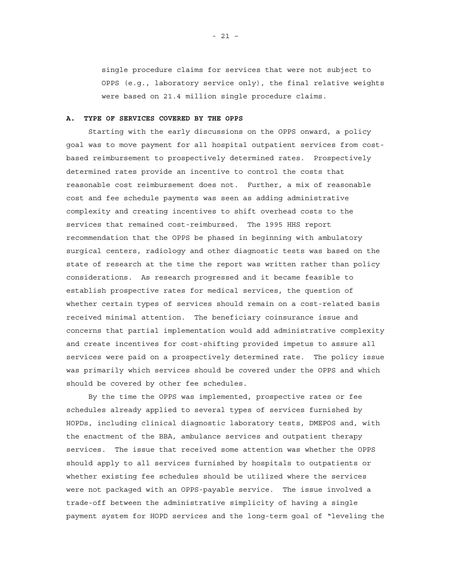single procedure claims for services that were not subject to OPPS (e.g., laboratory service only), the final relative weights were based on 21.4 million single procedure claims.

### **A. TYPE OF SERVICES COVERED BY THE OPPS**

Starting with the early discussions on the OPPS onward, a policy goal was to move payment for all hospital outpatient services from costbased reimbursement to prospectively determined rates. Prospectively determined rates provide an incentive to control the costs that reasonable cost reimbursement does not. Further, a mix of reasonable cost and fee schedule payments was seen as adding administrative complexity and creating incentives to shift overhead costs to the services that remained cost-reimbursed. The 1995 HHS report recommendation that the OPPS be phased in beginning with ambulatory surgical centers, radiology and other diagnostic tests was based on the state of research at the time the report was written rather than policy considerations. As research progressed and it became feasible to establish prospective rates for medical services, the question of whether certain types of services should remain on a cost-related basis received minimal attention. The beneficiary coinsurance issue and concerns that partial implementation would add administrative complexity and create incentives for cost-shifting provided impetus to assure all services were paid on a prospectively determined rate. The policy issue was primarily which services should be covered under the OPPS and which should be covered by other fee schedules.

By the time the OPPS was implemented, prospective rates or fee schedules already applied to several types of services furnished by HOPDs, including clinical diagnostic laboratory tests, DMEPOS and, with the enactment of the BBA, ambulance services and outpatient therapy services. The issue that received some attention was whether the OPPS should apply to all services furnished by hospitals to outpatients or whether existing fee schedules should be utilized where the services were not packaged with an OPPS-payable service. The issue involved a trade-off between the administrative simplicity of having a single payment system for HOPD services and the long-term goal of "leveling the

- 21 –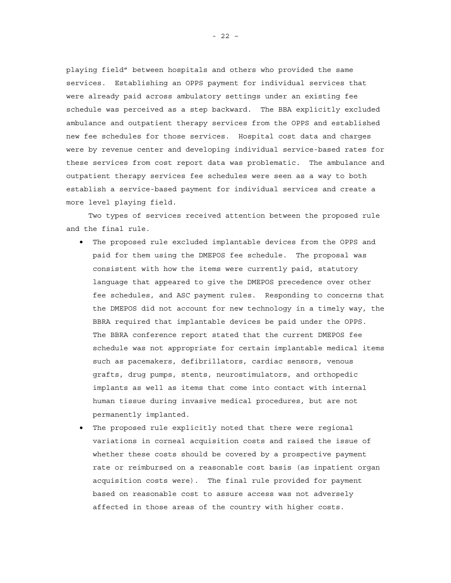playing field" between hospitals and others who provided the same services. Establishing an OPPS payment for individual services that were already paid across ambulatory settings under an existing fee schedule was perceived as a step backward. The BBA explicitly excluded ambulance and outpatient therapy services from the OPPS and established new fee schedules for those services. Hospital cost data and charges were by revenue center and developing individual service-based rates for these services from cost report data was problematic. The ambulance and outpatient therapy services fee schedules were seen as a way to both establish a service-based payment for individual services and create a more level playing field.

Two types of services received attention between the proposed rule and the final rule.

- The proposed rule excluded implantable devices from the OPPS and paid for them using the DMEPOS fee schedule. The proposal was consistent with how the items were currently paid, statutory language that appeared to give the DMEPOS precedence over other fee schedules, and ASC payment rules. Responding to concerns that the DMEPOS did not account for new technology in a timely way, the BBRA required that implantable devices be paid under the OPPS. The BBRA conference report stated that the current DMEPOS fee schedule was not appropriate for certain implantable medical items such as pacemakers, defibrillators, cardiac sensors, venous grafts, drug pumps, stents, neurostimulators, and orthopedic implants as well as items that come into contact with internal human tissue during invasive medical procedures, but are not permanently implanted.
- The proposed rule explicitly noted that there were regional variations in corneal acquisition costs and raised the issue of whether these costs should be covered by a prospective payment rate or reimbursed on a reasonable cost basis (as inpatient organ acquisition costs were). The final rule provided for payment based on reasonable cost to assure access was not adversely affected in those areas of the country with higher costs.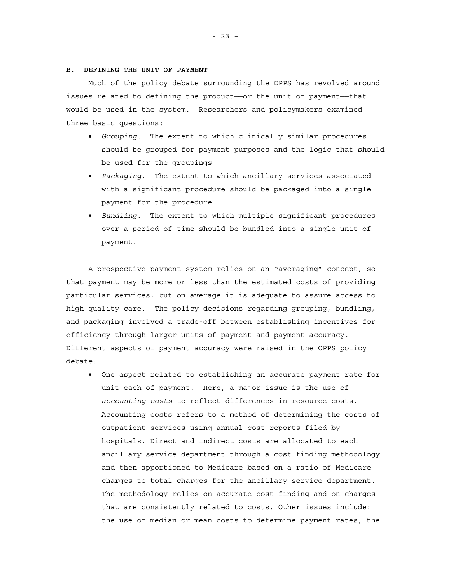### **B. DEFINING THE UNIT OF PAYMENT**

Much of the policy debate surrounding the OPPS has revolved around issues related to defining the product——or the unit of payment——that would be used in the system. Researchers and policymakers examined three basic questions:

- *Grouping*. The extent to which clinically similar procedures should be grouped for payment purposes and the logic that should be used for the groupings
- *Packaging*. The extent to which ancillary services associated with a significant procedure should be packaged into a single payment for the procedure
- *Bundling*. The extent to which multiple significant procedures over a period of time should be bundled into a single unit of payment.

A prospective payment system relies on an "averaging" concept, so that payment may be more or less than the estimated costs of providing particular services, but on average it is adequate to assure access to high quality care. The policy decisions regarding grouping, bundling, and packaging involved a trade-off between establishing incentives for efficiency through larger units of payment and payment accuracy. Different aspects of payment accuracy were raised in the OPPS policy debate:

• One aspect related to establishing an accurate payment rate for unit each of payment. Here, a major issue is the use of *accounting costs* to reflect differences in resource costs. Accounting costs refers to a method of determining the costs of outpatient services using annual cost reports filed by hospitals. Direct and indirect costs are allocated to each ancillary service department through a cost finding methodology and then apportioned to Medicare based on a ratio of Medicare charges to total charges for the ancillary service department. The methodology relies on accurate cost finding and on charges that are consistently related to costs. Other issues include: the use of median or mean costs to determine payment rates; the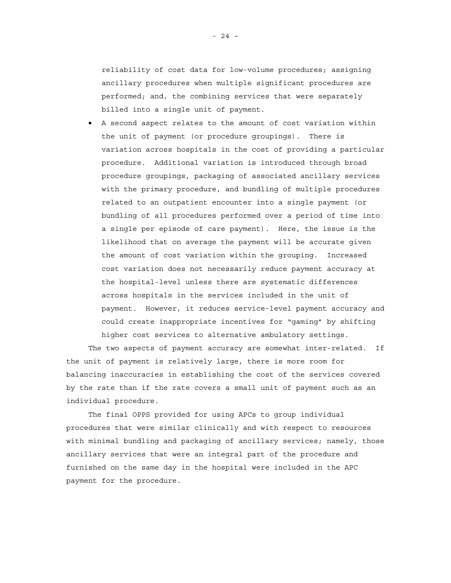reliability of cost data for low-volume procedures; assigning ancillary procedures when multiple significant procedures are performed; and, the combining services that were separately billed into a single unit of payment.

• A second aspect relates to the amount of cost variation within the unit of payment (or procedure groupings). There is variation across hospitals in the cost of providing a particular procedure. Additional variation is introduced through broad procedure groupings, packaging of associated ancillary services with the primary procedure, and bundling of multiple procedures related to an outpatient encounter into a single payment (or bundling of all procedures performed over a period of time into a single per episode of care payment). Here, the issue is the likelihood that on average the payment will be accurate given the amount of cost variation within the grouping. Increased cost variation does not necessarily reduce payment accuracy at the hospital-level unless there are systematic differences across hospitals in the services included in the unit of payment. However, it reduces service-level payment accuracy and could create inappropriate incentives for "gaming" by shifting higher cost services to alternative ambulatory settings.

The two aspects of payment accuracy are somewhat inter-related. If the unit of payment is relatively large, there is more room for balancing inaccuracies in establishing the cost of the services covered by the rate than if the rate covers a small unit of payment such as an individual procedure.

The final OPPS provided for using APCs to group individual procedures that were similar clinically and with respect to resources with minimal bundling and packaging of ancillary services; namely, those ancillary services that were an integral part of the procedure and furnished on the same day in the hospital were included in the APC payment for the procedure.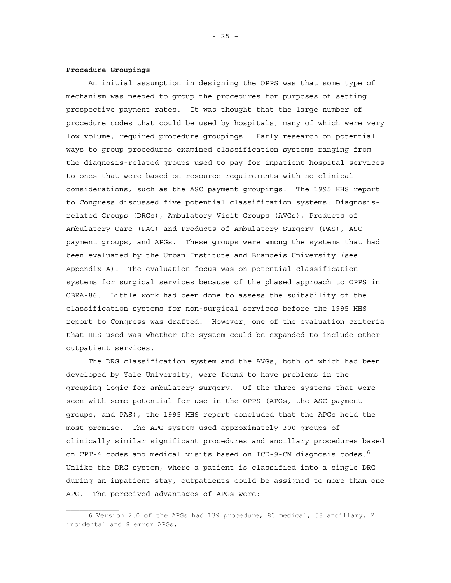### **Procedure Groupings**

An initial assumption in designing the OPPS was that some type of mechanism was needed to group the procedures for purposes of setting prospective payment rates. It was thought that the large number of procedure codes that could be used by hospitals, many of which were very low volume, required procedure groupings. Early research on potential ways to group procedures examined classification systems ranging from the diagnosis-related groups used to pay for inpatient hospital services to ones that were based on resource requirements with no clinical considerations, such as the ASC payment groupings. The 1995 HHS report to Congress discussed five potential classification systems: Diagnosisrelated Groups (DRGs), Ambulatory Visit Groups (AVGs), Products of Ambulatory Care (PAC) and Products of Ambulatory Surgery (PAS), ASC payment groups, and APGs. These groups were among the systems that had been evaluated by the Urban Institute and Brandeis University (see Appendix A). The evaluation focus was on potential classification systems for surgical services because of the phased approach to OPPS in OBRA-86. Little work had been done to assess the suitability of the classification systems for non-surgical services before the 1995 HHS report to Congress was drafted. However, one of the evaluation criteria that HHS used was whether the system could be expanded to include other outpatient services.

The DRG classification system and the AVGs, both of which had been developed by Yale University, were found to have problems in the grouping logic for ambulatory surgery. Of the three systems that were seen with some potential for use in the OPPS (APGs, the ASC payment groups, and PAS), the 1995 HHS report concluded that the APGs held the most promise. The APG system used approximately 300 groups of clinically similar significant procedures and ancillary procedures based on CPT-4 codes and medical visits based on ICD-9-CM diagnosis codes.<sup>6</sup> Unlike the DRG system, where a patient is classified into a single DRG during an inpatient stay, outpatients could be assigned to more than one APG. The perceived advantages of APGs were:

<sup>6</sup> Version 2.0 of the APGs had 139 procedure, 83 medical, 58 ancillary, 2 incidental and 8 error APGs.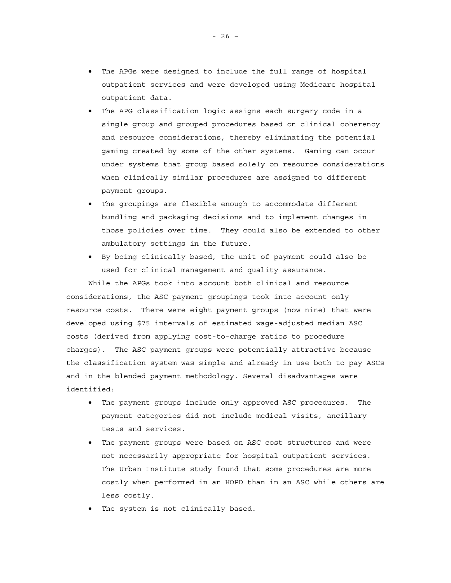- The APGs were designed to include the full range of hospital outpatient services and were developed using Medicare hospital outpatient data.
- The APG classification logic assigns each surgery code in a single group and grouped procedures based on clinical coherency and resource considerations, thereby eliminating the potential gaming created by some of the other systems. Gaming can occur under systems that group based solely on resource considerations when clinically similar procedures are assigned to different payment groups.
- The groupings are flexible enough to accommodate different bundling and packaging decisions and to implement changes in those policies over time. They could also be extended to other ambulatory settings in the future.
- By being clinically based, the unit of payment could also be used for clinical management and quality assurance.

While the APGs took into account both clinical and resource considerations, the ASC payment groupings took into account only resource costs. There were eight payment groups (now nine) that were developed using \$75 intervals of estimated wage-adjusted median ASC costs (derived from applying cost-to-charge ratios to procedure charges). The ASC payment groups were potentially attractive because the classification system was simple and already in use both to pay ASCs and in the blended payment methodology. Several disadvantages were identified:

- The payment groups include only approved ASC procedures. The payment categories did not include medical visits, ancillary tests and services.
- The payment groups were based on ASC cost structures and were not necessarily appropriate for hospital outpatient services. The Urban Institute study found that some procedures are more costly when performed in an HOPD than in an ASC while others are less costly.
- The system is not clinically based.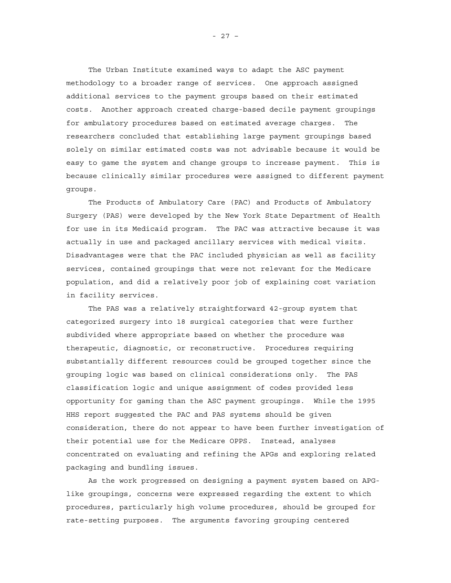The Urban Institute examined ways to adapt the ASC payment methodology to a broader range of services. One approach assigned additional services to the payment groups based on their estimated costs. Another approach created charge-based decile payment groupings for ambulatory procedures based on estimated average charges. The researchers concluded that establishing large payment groupings based solely on similar estimated costs was not advisable because it would be easy to game the system and change groups to increase payment. This is because clinically similar procedures were assigned to different payment groups.

The Products of Ambulatory Care (PAC) and Products of Ambulatory Surgery (PAS) were developed by the New York State Department of Health for use in its Medicaid program. The PAC was attractive because it was actually in use and packaged ancillary services with medical visits. Disadvantages were that the PAC included physician as well as facility services, contained groupings that were not relevant for the Medicare population, and did a relatively poor job of explaining cost variation in facility services.

The PAS was a relatively straightforward 42-group system that categorized surgery into 18 surgical categories that were further subdivided where appropriate based on whether the procedure was therapeutic, diagnostic, or reconstructive. Procedures requiring substantially different resources could be grouped together since the grouping logic was based on clinical considerations only. The PAS classification logic and unique assignment of codes provided less opportunity for gaming than the ASC payment groupings. While the 1995 HHS report suggested the PAC and PAS systems should be given consideration, there do not appear to have been further investigation of their potential use for the Medicare OPPS. Instead, analyses concentrated on evaluating and refining the APGs and exploring related packaging and bundling issues.

As the work progressed on designing a payment system based on APGlike groupings, concerns were expressed regarding the extent to which procedures, particularly high volume procedures, should be grouped for rate-setting purposes. The arguments favoring grouping centered

- 27 –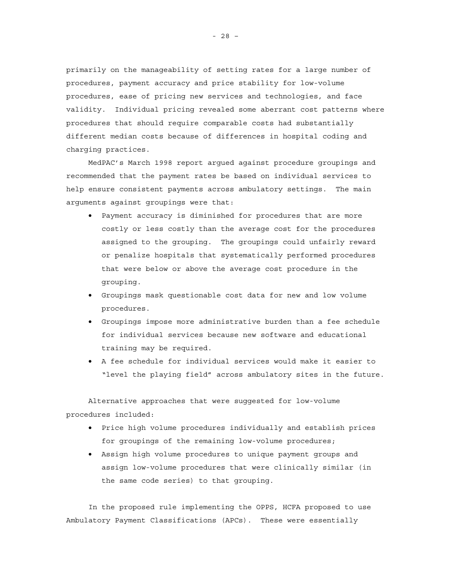primarily on the manageability of setting rates for a large number of procedures, payment accuracy and price stability for low-volume procedures, ease of pricing new services and technologies, and face validity. Individual pricing revealed some aberrant cost patterns where procedures that should require comparable costs had substantially different median costs because of differences in hospital coding and charging practices.

MedPAC's March 1998 report argued against procedure groupings and recommended that the payment rates be based on individual services to help ensure consistent payments across ambulatory settings. The main arguments against groupings were that:

- Payment accuracy is diminished for procedures that are more costly or less costly than the average cost for the procedures assigned to the grouping. The groupings could unfairly reward or penalize hospitals that systematically performed procedures that were below or above the average cost procedure in the grouping.
- Groupings mask questionable cost data for new and low volume procedures.
- Groupings impose more administrative burden than a fee schedule for individual services because new software and educational training may be required.
- A fee schedule for individual services would make it easier to "level the playing field" across ambulatory sites in the future.

Alternative approaches that were suggested for low-volume procedures included:

- Price high volume procedures individually and establish prices for groupings of the remaining low-volume procedures;
- Assign high volume procedures to unique payment groups and assign low-volume procedures that were clinically similar (in the same code series) to that grouping.

In the proposed rule implementing the OPPS, HCFA proposed to use Ambulatory Payment Classifications (APCs). These were essentially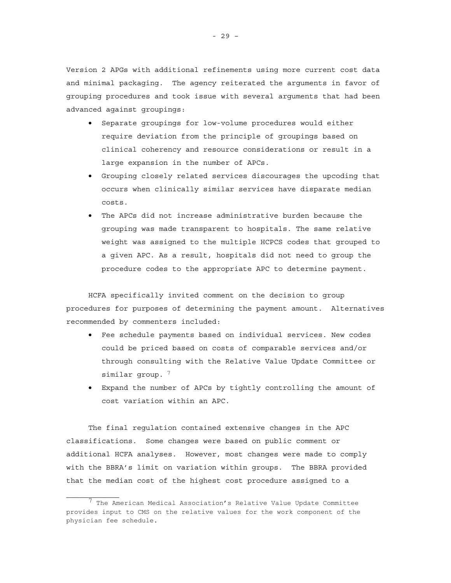Version 2 APGs with additional refinements using more current cost data and minimal packaging. The agency reiterated the arguments in favor of grouping procedures and took issue with several arguments that had been advanced against groupings:

- Separate groupings for low-volume procedures would either require deviation from the principle of groupings based on clinical coherency and resource considerations or result in a large expansion in the number of APCs.
- Grouping closely related services discourages the upcoding that occurs when clinically similar services have disparate median costs.
- The APCs did not increase administrative burden because the grouping was made transparent to hospitals. The same relative weight was assigned to the multiple HCPCS codes that grouped to a given APC. As a result, hospitals did not need to group the procedure codes to the appropriate APC to determine payment.

HCFA specifically invited comment on the decision to group procedures for purposes of determining the payment amount. Alternatives recommended by commenters included:

- Fee schedule payments based on individual services. New codes could be priced based on costs of comparable services and/or through consulting with the Relative Value Update Committee or similar group.  $7$
- Expand the number of APCs by tightly controlling the amount of cost variation within an APC.

The final regulation contained extensive changes in the APC classifications. Some changes were based on public comment or additional HCFA analyses. However, most changes were made to comply with the BBRA's limit on variation within groups. The BBRA provided that the median cost of the highest cost procedure assigned to a

 $^7$  The American Medical Association's Relative Value Update Committee provides input to CMS on the relative values for the work component of the physician fee schedule.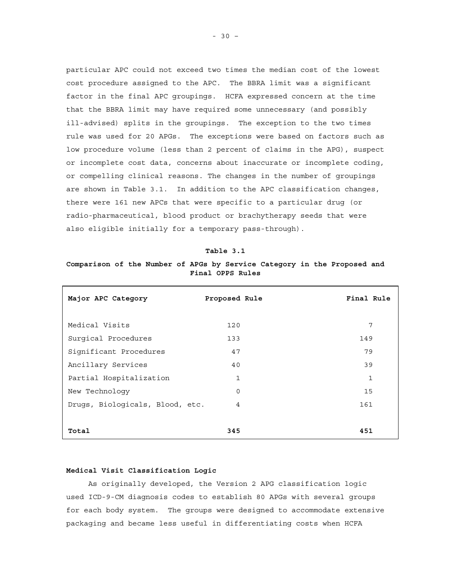particular APC could not exceed two times the median cost of the lowest cost procedure assigned to the APC. The BBRA limit was a significant factor in the final APC groupings. HCFA expressed concern at the time that the BBRA limit may have required some unnecessary (and possibly ill-advised) splits in the groupings. The exception to the two times rule was used for 20 APGs. The exceptions were based on factors such as low procedure volume (less than 2 percent of claims in the APG), suspect or incomplete cost data, concerns about inaccurate or incomplete coding, or compelling clinical reasons. The changes in the number of groupings are shown in Table 3.1. In addition to the APC classification changes, there were 161 new APCs that were specific to a particular drug (or radio-pharmaceutical, blood product or brachytherapy seeds that were also eligible initially for a temporary pass-through).

| m. | Tabl |  |  |
|----|------|--|--|
|    |      |  |  |

# **Comparison of the Number of APGs by Service Category in the Proposed and Final OPPS Rules**

| Major APC Category              | Proposed Rule | Final Rule |
|---------------------------------|---------------|------------|
| Medical Visits                  | 120           | 7          |
| Surgical Procedures             | 133           | 149        |
| Significant Procedures          | 47            | 79         |
| Ancillary Services              | 40            | 39         |
| Partial Hospitalization         | 1             | 1          |
| New Technology                  | 0             | 15         |
| Drugs, Biologicals, Blood, etc. | 4             | 161        |
|                                 |               |            |
| Total                           | 345           | 451        |

### **Medical Visit Classification Logic**

As originally developed, the Version 2 APG classification logic used ICD-9-CM diagnosis codes to establish 80 APGs with several groups for each body system. The groups were designed to accommodate extensive packaging and became less useful in differentiating costs when HCFA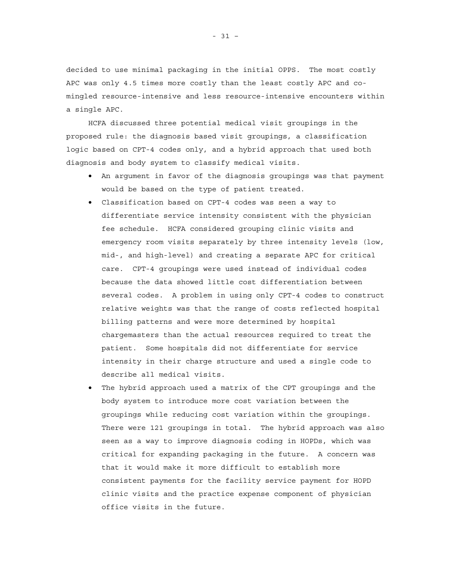decided to use minimal packaging in the initial OPPS. The most costly APC was only 4.5 times more costly than the least costly APC and comingled resource-intensive and less resource-intensive encounters within a single APC.

HCFA discussed three potential medical visit groupings in the proposed rule: the diagnosis based visit groupings, a classification logic based on CPT-4 codes only, and a hybrid approach that used both diagnosis and body system to classify medical visits.

- An argument in favor of the diagnosis groupings was that payment would be based on the type of patient treated.
- Classification based on CPT-4 codes was seen a way to differentiate service intensity consistent with the physician fee schedule. HCFA considered grouping clinic visits and emergency room visits separately by three intensity levels (low, mid-, and high-level) and creating a separate APC for critical care. CPT-4 groupings were used instead of individual codes because the data showed little cost differentiation between several codes. A problem in using only CPT-4 codes to construct relative weights was that the range of costs reflected hospital billing patterns and were more determined by hospital chargemasters than the actual resources required to treat the patient. Some hospitals did not differentiate for service intensity in their charge structure and used a single code to describe all medical visits.
- The hybrid approach used a matrix of the CPT groupings and the body system to introduce more cost variation between the groupings while reducing cost variation within the groupings. There were 121 groupings in total. The hybrid approach was also seen as a way to improve diagnosis coding in HOPDs, which was critical for expanding packaging in the future. A concern was that it would make it more difficult to establish more consistent payments for the facility service payment for HOPD clinic visits and the practice expense component of physician office visits in the future.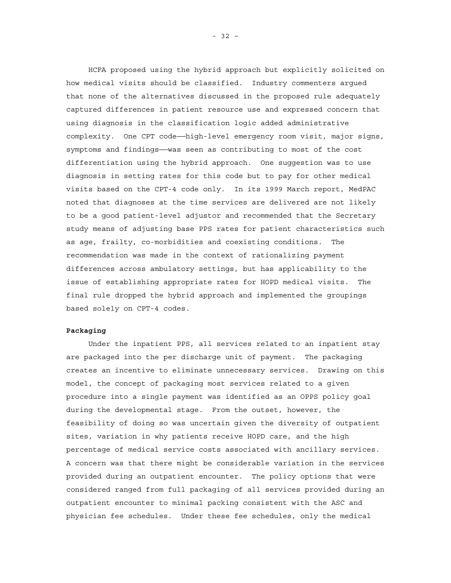HCFA proposed using the hybrid approach but explicitly solicited on how medical visits should be classified. Industry commenters argued that none of the alternatives discussed in the proposed rule adequately captured differences in patient resource use and expressed concern that using diagnosis in the classification logic added administrative complexity. One CPT code——high-level emergency room visit, major signs, symptoms and findings——was seen as contributing to most of the cost differentiation using the hybrid approach. One suggestion was to use diagnosis in setting rates for this code but to pay for other medical visits based on the CPT-4 code only. In its 1999 March report, MedPAC noted that diagnoses at the time services are delivered are not likely to be a good patient-level adjustor and recommended that the Secretary study means of adjusting base PPS rates for patient characteristics such as age, frailty, co-morbidities and coexisting conditions. The recommendation was made in the context of rationalizing payment differences across ambulatory settings, but has applicability to the issue of establishing appropriate rates for HOPD medical visits. The final rule dropped the hybrid approach and implemented the groupings based solely on CPT-4 codes.

### **Packaging**

Under the inpatient PPS, all services related to an inpatient stay are packaged into the per discharge unit of payment. The packaging creates an incentive to eliminate unnecessary services. Drawing on this model, the concept of packaging most services related to a given procedure into a single payment was identified as an OPPS policy goal during the developmental stage. From the outset, however, the feasibility of doing so was uncertain given the diversity of outpatient sites, variation in why patients receive HOPD care, and the high percentage of medical service costs associated with ancillary services. A concern was that there might be considerable variation in the services provided during an outpatient encounter. The policy options that were considered ranged from full packaging of all services provided during an outpatient encounter to minimal packing consistent with the ASC and physician fee schedules. Under these fee schedules, only the medical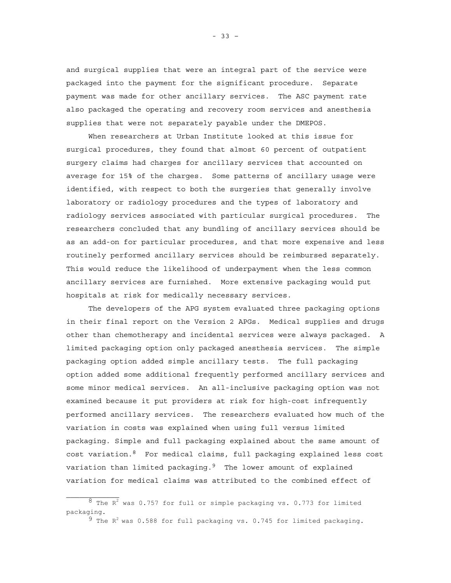and surgical supplies that were an integral part of the service were packaged into the payment for the significant procedure. Separate payment was made for other ancillary services. The ASC payment rate also packaged the operating and recovery room services and anesthesia supplies that were not separately payable under the DMEPOS.

When researchers at Urban Institute looked at this issue for surgical procedures, they found that almost 60 percent of outpatient surgery claims had charges for ancillary services that accounted on average for 15% of the charges. Some patterns of ancillary usage were identified, with respect to both the surgeries that generally involve laboratory or radiology procedures and the types of laboratory and radiology services associated with particular surgical procedures. The researchers concluded that any bundling of ancillary services should be as an add-on for particular procedures, and that more expensive and less routinely performed ancillary services should be reimbursed separately. This would reduce the likelihood of underpayment when the less common ancillary services are furnished. More extensive packaging would put hospitals at risk for medically necessary services.

The developers of the APG system evaluated three packaging options in their final report on the Version 2 APGs. Medical supplies and drugs other than chemotherapy and incidental services were always packaged. A limited packaging option only packaged anesthesia services. The simple packaging option added simple ancillary tests. The full packaging option added some additional frequently performed ancillary services and some minor medical services. An all-inclusive packaging option was not examined because it put providers at risk for high-cost infrequently performed ancillary services. The researchers evaluated how much of the variation in costs was explained when using full versus limited packaging. Simple and full packaging explained about the same amount of cost variation.8 For medical claims, full packaging explained less cost variation than limited packaging.<sup>9</sup> The lower amount of explained variation for medical claims was attributed to the combined effect of

 $8$  The R<sup>2</sup> was 0.757 for full or simple packaging vs. 0.773 for limited packaging.

 $9$  The R<sup>2</sup> was 0.588 for full packaging vs. 0.745 for limited packaging.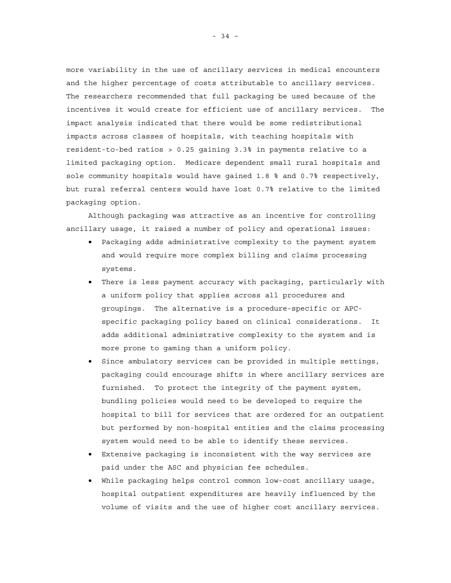more variability in the use of ancillary services in medical encounters and the higher percentage of costs attributable to ancillary services. The researchers recommended that full packaging be used because of the incentives it would create for efficient use of ancillary services. The impact analysis indicated that there would be some redistributional impacts across classes of hospitals, with teaching hospitals with resident-to-bed ratios > 0.25 gaining 3.3% in payments relative to a limited packaging option. Medicare dependent small rural hospitals and sole community hospitals would have gained 1.8 % and 0.7% respectively, but rural referral centers would have lost 0.7% relative to the limited packaging option.

Although packaging was attractive as an incentive for controlling ancillary usage, it raised a number of policy and operational issues:

- Packaging adds administrative complexity to the payment system and would require more complex billing and claims processing systems.
- There is less payment accuracy with packaging, particularly with a uniform policy that applies across all procedures and groupings. The alternative is a procedure-specific or APCspecific packaging policy based on clinical considerations. It adds additional administrative complexity to the system and is more prone to gaming than a uniform policy.
- Since ambulatory services can be provided in multiple settings, packaging could encourage shifts in where ancillary services are furnished. To protect the integrity of the payment system, bundling policies would need to be developed to require the hospital to bill for services that are ordered for an outpatient but performed by non-hospital entities and the claims processing system would need to be able to identify these services.
- Extensive packaging is inconsistent with the way services are paid under the ASC and physician fee schedules.
- While packaging helps control common low-cost ancillary usage, hospital outpatient expenditures are heavily influenced by the volume of visits and the use of higher cost ancillary services.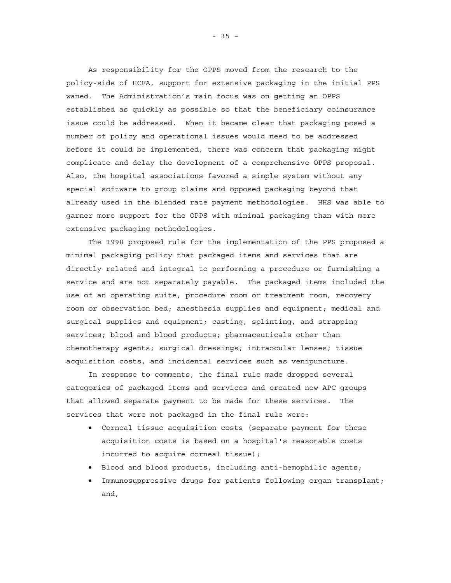As responsibility for the OPPS moved from the research to the policy-side of HCFA, support for extensive packaging in the initial PPS waned. The Administration's main focus was on getting an OPPS established as quickly as possible so that the beneficiary coinsurance issue could be addressed. When it became clear that packaging posed a number of policy and operational issues would need to be addressed before it could be implemented, there was concern that packaging might complicate and delay the development of a comprehensive OPPS proposal. Also, the hospital associations favored a simple system without any special software to group claims and opposed packaging beyond that already used in the blended rate payment methodologies. HHS was able to garner more support for the OPPS with minimal packaging than with more extensive packaging methodologies.

The 1998 proposed rule for the implementation of the PPS proposed a minimal packaging policy that packaged items and services that are directly related and integral to performing a procedure or furnishing a service and are not separately payable. The packaged items included the use of an operating suite, procedure room or treatment room, recovery room or observation bed; anesthesia supplies and equipment; medical and surgical supplies and equipment; casting, splinting, and strapping services; blood and blood products; pharmaceuticals other than chemotherapy agents; surgical dressings; intraocular lenses; tissue acquisition costs, and incidental services such as venipuncture.

In response to comments, the final rule made dropped several categories of packaged items and services and created new APC groups that allowed separate payment to be made for these services. The services that were not packaged in the final rule were:

- Corneal tissue acquisition costs (separate payment for these acquisition costs is based on a hospital's reasonable costs incurred to acquire corneal tissue);
- Blood and blood products, including anti-hemophilic agents;
- Immunosuppressive drugs for patients following organ transplant; and,

- 35 –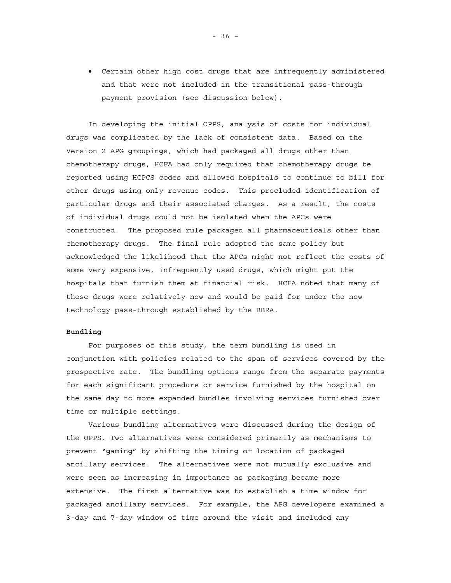• Certain other high cost drugs that are infrequently administered and that were not included in the transitional pass-through payment provision (see discussion below).

In developing the initial OPPS, analysis of costs for individual drugs was complicated by the lack of consistent data. Based on the Version 2 APG groupings, which had packaged all drugs other than chemotherapy drugs, HCFA had only required that chemotherapy drugs be reported using HCPCS codes and allowed hospitals to continue to bill for other drugs using only revenue codes. This precluded identification of particular drugs and their associated charges. As a result, the costs of individual drugs could not be isolated when the APCs were constructed. The proposed rule packaged all pharmaceuticals other than chemotherapy drugs. The final rule adopted the same policy but acknowledged the likelihood that the APCs might not reflect the costs of some very expensive, infrequently used drugs, which might put the hospitals that furnish them at financial risk. HCFA noted that many of these drugs were relatively new and would be paid for under the new technology pass-through established by the BBRA.

# **Bundling**

For purposes of this study, the term bundling is used in conjunction with policies related to the span of services covered by the prospective rate. The bundling options range from the separate payments for each significant procedure or service furnished by the hospital on the same day to more expanded bundles involving services furnished over time or multiple settings.

Various bundling alternatives were discussed during the design of the OPPS. Two alternatives were considered primarily as mechanisms to prevent "gaming" by shifting the timing or location of packaged ancillary services. The alternatives were not mutually exclusive and were seen as increasing in importance as packaging became more extensive. The first alternative was to establish a time window for packaged ancillary services. For example, the APG developers examined a 3-day and 7-day window of time around the visit and included any

- 36 –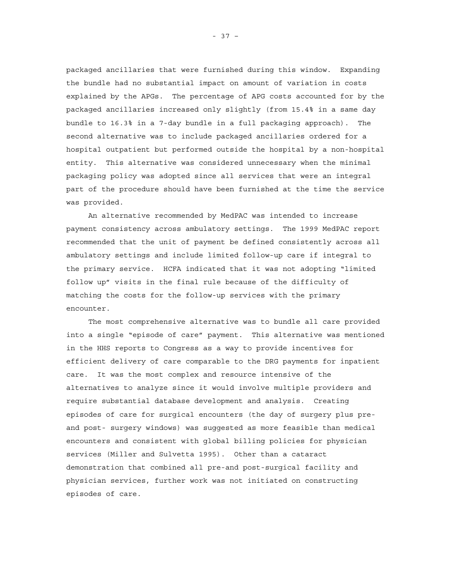packaged ancillaries that were furnished during this window. Expanding the bundle had no substantial impact on amount of variation in costs explained by the APGs. The percentage of APG costs accounted for by the packaged ancillaries increased only slightly (from 15.4% in a same day bundle to 16.3% in a 7-day bundle in a full packaging approach). The second alternative was to include packaged ancillaries ordered for a hospital outpatient but performed outside the hospital by a non-hospital entity. This alternative was considered unnecessary when the minimal packaging policy was adopted since all services that were an integral part of the procedure should have been furnished at the time the service was provided.

An alternative recommended by MedPAC was intended to increase payment consistency across ambulatory settings. The 1999 MedPAC report recommended that the unit of payment be defined consistently across all ambulatory settings and include limited follow-up care if integral to the primary service. HCFA indicated that it was not adopting "limited follow up" visits in the final rule because of the difficulty of matching the costs for the follow-up services with the primary encounter.

The most comprehensive alternative was to bundle all care provided into a single "episode of care" payment. This alternative was mentioned in the HHS reports to Congress as a way to provide incentives for efficient delivery of care comparable to the DRG payments for inpatient care. It was the most complex and resource intensive of the alternatives to analyze since it would involve multiple providers and require substantial database development and analysis. Creating episodes of care for surgical encounters (the day of surgery plus preand post- surgery windows) was suggested as more feasible than medical encounters and consistent with global billing policies for physician services (Miller and Sulvetta 1995). Other than a cataract demonstration that combined all pre-and post-surgical facility and physician services, further work was not initiated on constructing episodes of care.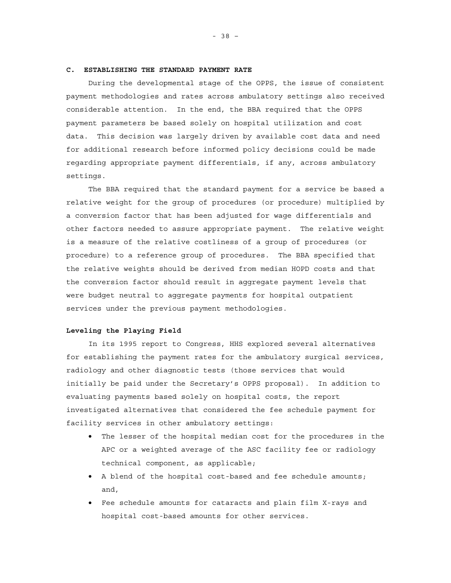### **C. ESTABLISHING THE STANDARD PAYMENT RATE**

During the developmental stage of the OPPS, the issue of consistent payment methodologies and rates across ambulatory settings also received considerable attention. In the end, the BBA required that the OPPS payment parameters be based solely on hospital utilization and cost data. This decision was largely driven by available cost data and need for additional research before informed policy decisions could be made regarding appropriate payment differentials, if any, across ambulatory settings.

The BBA required that the standard payment for a service be based a relative weight for the group of procedures (or procedure) multiplied by a conversion factor that has been adjusted for wage differentials and other factors needed to assure appropriate payment. The relative weight is a measure of the relative costliness of a group of procedures (or procedure) to a reference group of procedures. The BBA specified that the relative weights should be derived from median HOPD costs and that the conversion factor should result in aggregate payment levels that were budget neutral to aggregate payments for hospital outpatient services under the previous payment methodologies.

### **Leveling the Playing Field**

In its 1995 report to Congress, HHS explored several alternatives for establishing the payment rates for the ambulatory surgical services, radiology and other diagnostic tests (those services that would initially be paid under the Secretary's OPPS proposal). In addition to evaluating payments based solely on hospital costs, the report investigated alternatives that considered the fee schedule payment for facility services in other ambulatory settings:

- The lesser of the hospital median cost for the procedures in the APC or a weighted average of the ASC facility fee or radiology technical component, as applicable;
- A blend of the hospital cost-based and fee schedule amounts; and,
- Fee schedule amounts for cataracts and plain film X-rays and hospital cost-based amounts for other services.

- 38 –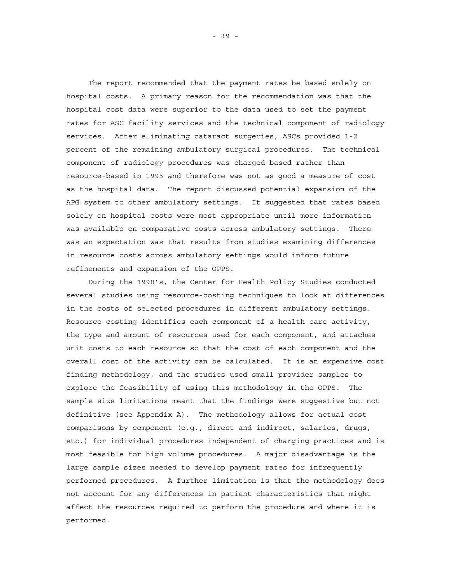The report recommended that the payment rates be based solely on hospital costs. A primary reason for the recommendation was that the hospital cost data were superior to the data used to set the payment rates for ASC facility services and the technical component of radiology services. After eliminating cataract surgeries, ASCs provided 1-2 percent of the remaining ambulatory surgical procedures. The technical component of radiology procedures was charged-based rather than resource-based in 1995 and therefore was not as good a measure of cost as the hospital data. The report discussed potential expansion of the APG system to other ambulatory settings. It suggested that rates based solely on hospital costs were most appropriate until more information was available on comparative costs across ambulatory settings. There was an expectation was that results from studies examining differences in resource costs across ambulatory settings would inform future refinements and expansion of the OPPS.

During the 1990's, the Center for Health Policy Studies conducted several studies using resource-costing techniques to look at differences in the costs of selected procedures in different ambulatory settings. Resource costing identifies each component of a health care activity, the type and amount of resources used for each component, and attaches unit costs to each resource so that the cost of each component and the overall cost of the activity can be calculated. It is an expensive cost finding methodology, and the studies used small provider samples to explore the feasibility of using this methodology in the OPPS. The sample size limitations meant that the findings were suggestive but not definitive (see Appendix A). The methodology allows for actual cost comparisons by component (e.g., direct and indirect, salaries, drugs, etc.) for individual procedures independent of charging practices and is most feasible for high volume procedures. A major disadvantage is the large sample sizes needed to develop payment rates for infrequently performed procedures. A further limitation is that the methodology does not account for any differences in patient characteristics that might affect the resources required to perform the procedure and where it is performed.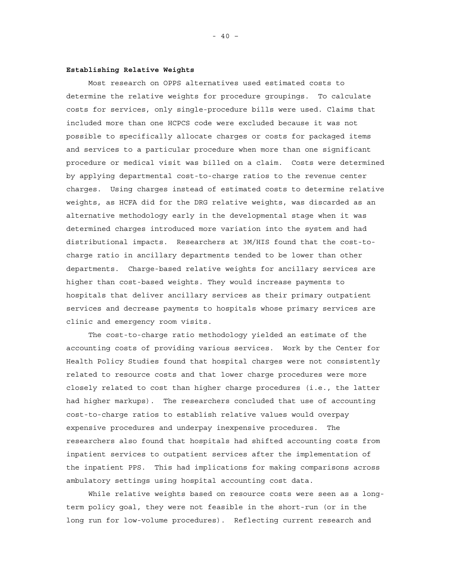### **Establishing Relative Weights**

Most research on OPPS alternatives used estimated costs to determine the relative weights for procedure groupings. To calculate costs for services, only single-procedure bills were used. Claims that included more than one HCPCS code were excluded because it was not possible to specifically allocate charges or costs for packaged items and services to a particular procedure when more than one significant procedure or medical visit was billed on a claim. Costs were determined by applying departmental cost-to-charge ratios to the revenue center charges. Using charges instead of estimated costs to determine relative weights, as HCFA did for the DRG relative weights, was discarded as an alternative methodology early in the developmental stage when it was determined charges introduced more variation into the system and had distributional impacts. Researchers at 3M/HIS found that the cost-tocharge ratio in ancillary departments tended to be lower than other departments. Charge-based relative weights for ancillary services are higher than cost-based weights. They would increase payments to hospitals that deliver ancillary services as their primary outpatient services and decrease payments to hospitals whose primary services are clinic and emergency room visits.

The cost-to-charge ratio methodology yielded an estimate of the accounting costs of providing various services. Work by the Center for Health Policy Studies found that hospital charges were not consistently related to resource costs and that lower charge procedures were more closely related to cost than higher charge procedures (i.e., the latter had higher markups). The researchers concluded that use of accounting cost-to-charge ratios to establish relative values would overpay expensive procedures and underpay inexpensive procedures. The researchers also found that hospitals had shifted accounting costs from inpatient services to outpatient services after the implementation of the inpatient PPS. This had implications for making comparisons across ambulatory settings using hospital accounting cost data.

While relative weights based on resource costs were seen as a longterm policy goal, they were not feasible in the short-run (or in the long run for low-volume procedures). Reflecting current research and

 $- 40 -$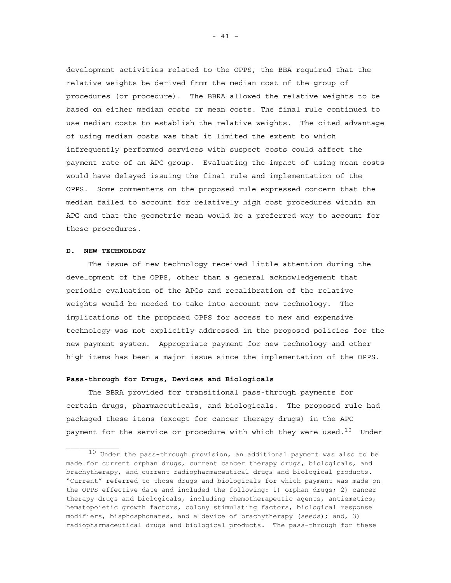development activities related to the OPPS, the BBA required that the relative weights be derived from the median cost of the group of procedures (or procedure). The BBRA allowed the relative weights to be based on either median costs or mean costs. The final rule continued to use median costs to establish the relative weights. The cited advantage of using median costs was that it limited the extent to which infrequently performed services with suspect costs could affect the payment rate of an APC group. Evaluating the impact of using mean costs would have delayed issuing the final rule and implementation of the OPPS. Some commenters on the proposed rule expressed concern that the median failed to account for relatively high cost procedures within an APG and that the geometric mean would be a preferred way to account for these procedures.

# **D. NEW TECHNOLOGY**

The issue of new technology received little attention during the development of the OPPS, other than a general acknowledgement that periodic evaluation of the APGs and recalibration of the relative weights would be needed to take into account new technology. The implications of the proposed OPPS for access to new and expensive technology was not explicitly addressed in the proposed policies for the new payment system. Appropriate payment for new technology and other high items has been a major issue since the implementation of the OPPS.

### **Pass-through for Drugs, Devices and Biologicals**

The BBRA provided for transitional pass-through payments for certain drugs, pharmaceuticals, and biologicals. The proposed rule had packaged these items (except for cancer therapy drugs) in the APC payment for the service or procedure with which they were used. $^{10}$  Under

 $10$  Under the pass-through provision, an additional payment was also to be made for current orphan drugs, current cancer therapy drugs, biologicals, and brachytherapy, and current radiopharmaceutical drugs and biological products. "Current" referred to those drugs and biologicals for which payment was made on the OPPS effective date and included the following: 1) orphan drugs; 2) cancer therapy drugs and biologicals, including chemotherapeutic agents, antiemetics, hematopoietic growth factors, colony stimulating factors, biological response modifiers, bisphosphonates, and a device of brachytherapy (seeds); and, 3) radiopharmaceutical drugs and biological products. The pass-through for these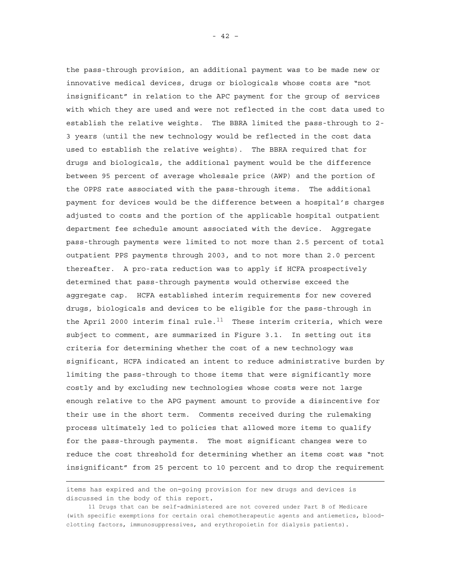the pass-through provision, an additional payment was to be made new or innovative medical devices, drugs or biologicals whose costs are "not insignificant" in relation to the APC payment for the group of services with which they are used and were not reflected in the cost data used to establish the relative weights. The BBRA limited the pass-through to 2- 3 years (until the new technology would be reflected in the cost data used to establish the relative weights). The BBRA required that for drugs and biologicals, the additional payment would be the difference between 95 percent of average wholesale price (AWP) and the portion of the OPPS rate associated with the pass-through items. The additional payment for devices would be the difference between a hospital's charges adjusted to costs and the portion of the applicable hospital outpatient department fee schedule amount associated with the device. Aggregate pass-through payments were limited to not more than 2.5 percent of total outpatient PPS payments through 2003, and to not more than 2.0 percent thereafter. A pro-rata reduction was to apply if HCFA prospectively determined that pass-through payments would otherwise exceed the aggregate cap. HCFA established interim requirements for new covered drugs, biologicals and devices to be eligible for the pass-through in the April 2000 interim final rule.<sup>11</sup> These interim criteria, which were subject to comment, are summarized in Figure 3.1. In setting out its criteria for determining whether the cost of a new technology was significant, HCFA indicated an intent to reduce administrative burden by limiting the pass-through to those items that were significantly more costly and by excluding new technologies whose costs were not large enough relative to the APG payment amount to provide a disincentive for their use in the short term. Comments received during the rulemaking process ultimately led to policies that allowed more items to qualify for the pass-through payments. The most significant changes were to reduce the cost threshold for determining whether an items cost was "not insignificant" from 25 percent to 10 percent and to drop the requirement

÷

items has expired and the on-going provision for new drugs and devices is discussed in the body of this report.

<sup>11</sup> Drugs that can be self-administered are not covered under Part B of Medicare (with specific exemptions for certain oral chemotherapeutic agents and antiemetics, bloodclotting factors, immunosuppressives, and erythropoietin for dialysis patients).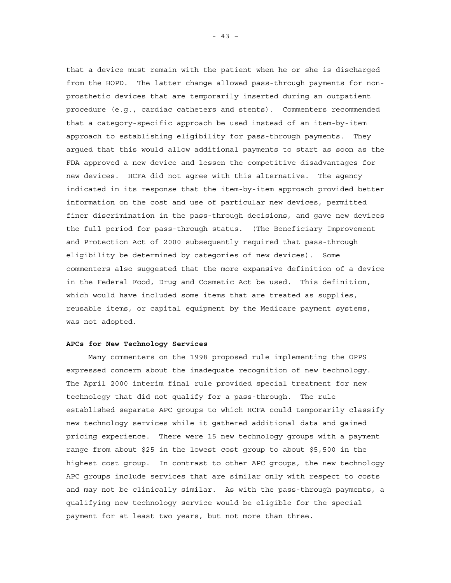that a device must remain with the patient when he or she is discharged from the HOPD. The latter change allowed pass-through payments for nonprosthetic devices that are temporarily inserted during an outpatient procedure (e.g., cardiac catheters and stents). Commenters recommended that a category-specific approach be used instead of an item-by-item approach to establishing eligibility for pass-through payments. They argued that this would allow additional payments to start as soon as the FDA approved a new device and lessen the competitive disadvantages for new devices. HCFA did not agree with this alternative. The agency indicated in its response that the item-by-item approach provided better information on the cost and use of particular new devices, permitted finer discrimination in the pass-through decisions, and gave new devices the full period for pass-through status. (The Beneficiary Improvement and Protection Act of 2000 subsequently required that pass-through eligibility be determined by categories of new devices). Some commenters also suggested that the more expansive definition of a device in the Federal Food, Drug and Cosmetic Act be used. This definition, which would have included some items that are treated as supplies, reusable items, or capital equipment by the Medicare payment systems, was not adopted.

#### **APCs for New Technology Services**

Many commenters on the 1998 proposed rule implementing the OPPS expressed concern about the inadequate recognition of new technology. The April 2000 interim final rule provided special treatment for new technology that did not qualify for a pass-through. The rule established separate APC groups to which HCFA could temporarily classify new technology services while it gathered additional data and gained pricing experience. There were 15 new technology groups with a payment range from about \$25 in the lowest cost group to about \$5,500 in the highest cost group. In contrast to other APC groups, the new technology APC groups include services that are similar only with respect to costs and may not be clinically similar. As with the pass-through payments, a qualifying new technology service would be eligible for the special payment for at least two years, but not more than three.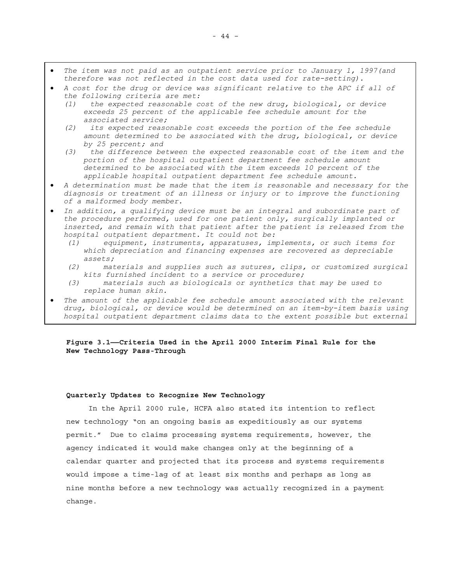- *The item was not paid as an outpatient service prior to January 1, 1997(and therefore was not reflected in the cost data used for rate-setting).*
- *A cost for the drug or device was significant relative to the APC if all of the following criteria are met:* 
	- *(1) the expected reasonable cost of the new drug, biological, or device exceeds 25 percent of the applicable fee schedule amount for the associated service;*
	- *(2) its expected reasonable cost exceeds the portion of the fee schedule amount determined to be associated with the drug, biological, or device by 25 percent; and*
	- *(3) the difference between the expected reasonable cost of the item and the portion of the hospital outpatient department fee schedule amount determined to be associated with the item exceeds 10 percent of the applicable hospital outpatient department fee schedule amount.*
- *A determination must be made that the item is reasonable and necessary for the diagnosis or treatment of an illness or injury or to improve the functioning of a malformed body member.*
- *In addition, a qualifying device must be an integral and subordinate part of the procedure performed, used for one patient only, surgically implanted or*  inserted, and remain with that patient after the patient is released from the *hospital outpatient department. It could not be:* 
	- *(1) equipment, instruments, apparatuses, implements, or such items for which depreciation and financing expenses are recovered as depreciable assets;*
	- *(2) materials and supplies such as sutures, clips, or customized surgical kits furnished incident to a service or procedure;*
	- *(3) materials such as biologicals or synthetics that may be used to replace human skin.*
- The amount of the applicable fee schedule amount associated with the relevant *drug, biological, or device would be determined on an item-by-item basis using hospital outpatient department claims data to the extent possible but external*

# **Figure 3.1——Criteria Used in the April 2000 Interim Final Rule for the New Technology Pass-Through**

#### **Quarterly Updates to Recognize New Technology**

In the April 2000 rule, HCFA also stated its intention to reflect new technology "on an ongoing basis as expeditiously as our systems permit." Due to claims processing systems requirements, however, the agency indicated it would make changes only at the beginning of a calendar quarter and projected that its process and systems requirements would impose a time-lag of at least six months and perhaps as long as nine months before a new technology was actually recognized in a payment change.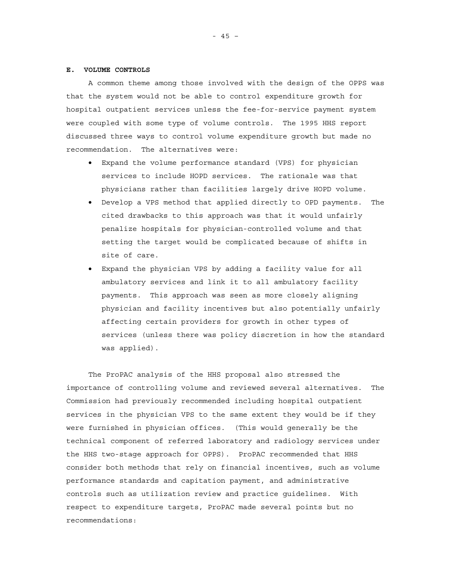#### **E. VOLUME CONTROLS**

A common theme among those involved with the design of the OPPS was that the system would not be able to control expenditure growth for hospital outpatient services unless the fee-for-service payment system were coupled with some type of volume controls. The 1995 HHS report discussed three ways to control volume expenditure growth but made no recommendation. The alternatives were:

- Expand the volume performance standard (VPS) for physician services to include HOPD services. The rationale was that physicians rather than facilities largely drive HOPD volume.
- Develop a VPS method that applied directly to OPD payments. The cited drawbacks to this approach was that it would unfairly penalize hospitals for physician-controlled volume and that setting the target would be complicated because of shifts in site of care.
- Expand the physician VPS by adding a facility value for all ambulatory services and link it to all ambulatory facility payments. This approach was seen as more closely aligning physician and facility incentives but also potentially unfairly affecting certain providers for growth in other types of services (unless there was policy discretion in how the standard was applied).

The ProPAC analysis of the HHS proposal also stressed the importance of controlling volume and reviewed several alternatives. The Commission had previously recommended including hospital outpatient services in the physician VPS to the same extent they would be if they were furnished in physician offices. (This would generally be the technical component of referred laboratory and radiology services under the HHS two-stage approach for OPPS). ProPAC recommended that HHS consider both methods that rely on financial incentives, such as volume performance standards and capitation payment, and administrative controls such as utilization review and practice guidelines. With respect to expenditure targets, ProPAC made several points but no recommendations: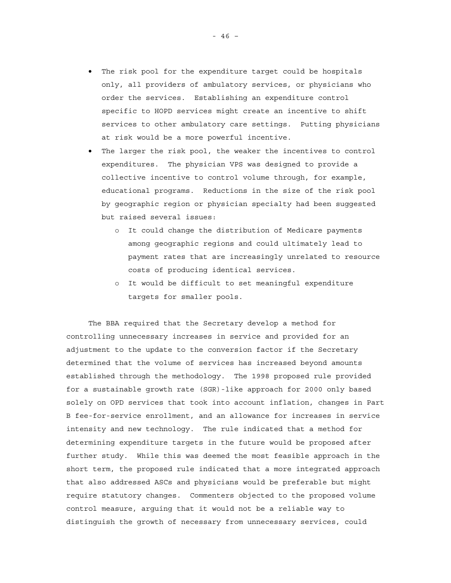- The risk pool for the expenditure target could be hospitals only, all providers of ambulatory services, or physicians who order the services. Establishing an expenditure control specific to HOPD services might create an incentive to shift services to other ambulatory care settings. Putting physicians at risk would be a more powerful incentive.
- The larger the risk pool, the weaker the incentives to control expenditures. The physician VPS was designed to provide a collective incentive to control volume through, for example, educational programs. Reductions in the size of the risk pool by geographic region or physician specialty had been suggested but raised several issues:
	- o It could change the distribution of Medicare payments among geographic regions and could ultimately lead to payment rates that are increasingly unrelated to resource costs of producing identical services.
	- o It would be difficult to set meaningful expenditure targets for smaller pools.

The BBA required that the Secretary develop a method for controlling unnecessary increases in service and provided for an adjustment to the update to the conversion factor if the Secretary determined that the volume of services has increased beyond amounts established through the methodology. The 1998 proposed rule provided for a sustainable growth rate (SGR)-like approach for 2000 only based solely on OPD services that took into account inflation, changes in Part B fee-for-service enrollment, and an allowance for increases in service intensity and new technology. The rule indicated that a method for determining expenditure targets in the future would be proposed after further study. While this was deemed the most feasible approach in the short term, the proposed rule indicated that a more integrated approach that also addressed ASCs and physicians would be preferable but might require statutory changes. Commenters objected to the proposed volume control measure, arguing that it would not be a reliable way to distinguish the growth of necessary from unnecessary services, could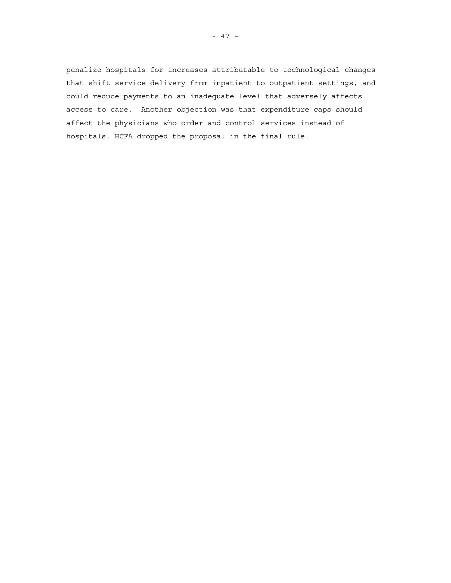penalize hospitals for increases attributable to technological changes that shift service delivery from inpatient to outpatient settings, and could reduce payments to an inadequate level that adversely affects access to care. Another objection was that expenditure caps should affect the physicians who order and control services instead of hospitals. HCFA dropped the proposal in the final rule.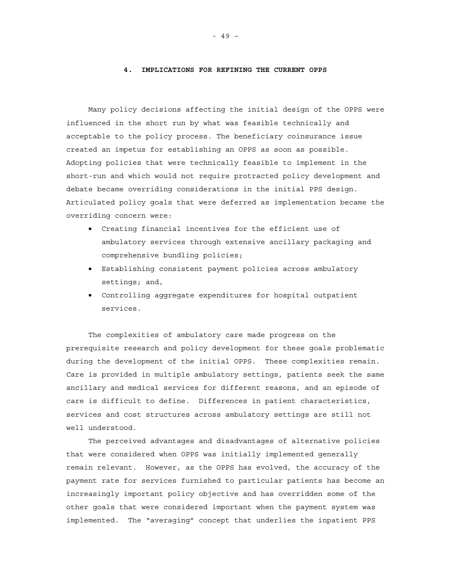#### **4. IMPLICATIONS FOR REFINING THE CURRENT OPPS**

Many policy decisions affecting the initial design of the OPPS were influenced in the short run by what was feasible technically and acceptable to the policy process. The beneficiary coinsurance issue created an impetus for establishing an OPPS as soon as possible. Adopting policies that were technically feasible to implement in the short-run and which would not require protracted policy development and debate became overriding considerations in the initial PPS design. Articulated policy goals that were deferred as implementation became the overriding concern were:

- Creating financial incentives for the efficient use of ambulatory services through extensive ancillary packaging and comprehensive bundling policies;
- Establishing consistent payment policies across ambulatory settings; and,
- Controlling aggregate expenditures for hospital outpatient services.

The complexities of ambulatory care made progress on the prerequisite research and policy development for these goals problematic during the development of the initial OPPS. These complexities remain. Care is provided in multiple ambulatory settings, patients seek the same ancillary and medical services for different reasons, and an episode of care is difficult to define. Differences in patient characteristics, services and cost structures across ambulatory settings are still not well understood.

The perceived advantages and disadvantages of alternative policies that were considered when OPPS was initially implemented generally remain relevant. However, as the OPPS has evolved, the accuracy of the payment rate for services furnished to particular patients has become an increasingly important policy objective and has overridden some of the other goals that were considered important when the payment system was implemented. The "averaging" concept that underlies the inpatient PPS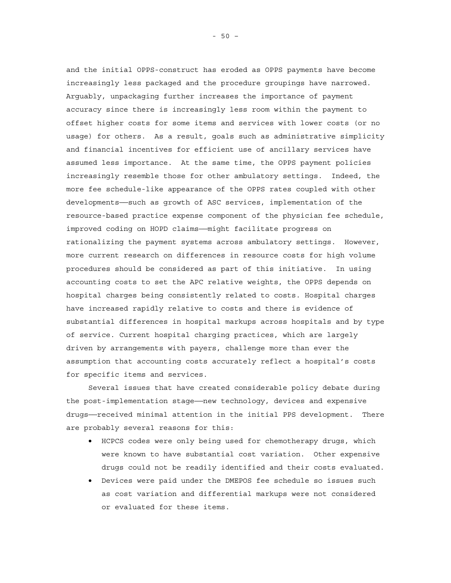and the initial OPPS-construct has eroded as OPPS payments have become increasingly less packaged and the procedure groupings have narrowed. Arguably, unpackaging further increases the importance of payment accuracy since there is increasingly less room within the payment to offset higher costs for some items and services with lower costs (or no usage) for others. As a result, goals such as administrative simplicity and financial incentives for efficient use of ancillary services have assumed less importance. At the same time, the OPPS payment policies increasingly resemble those for other ambulatory settings. Indeed, the more fee schedule-like appearance of the OPPS rates coupled with other developments——such as growth of ASC services, implementation of the resource-based practice expense component of the physician fee schedule, improved coding on HOPD claims——might facilitate progress on rationalizing the payment systems across ambulatory settings. However, more current research on differences in resource costs for high volume procedures should be considered as part of this initiative. In using accounting costs to set the APC relative weights, the OPPS depends on hospital charges being consistently related to costs. Hospital charges have increased rapidly relative to costs and there is evidence of substantial differences in hospital markups across hospitals and by type of service. Current hospital charging practices, which are largely driven by arrangements with payers, challenge more than ever the assumption that accounting costs accurately reflect a hospital's costs for specific items and services.

Several issues that have created considerable policy debate during the post-implementation stage——new technology, devices and expensive drugs——received minimal attention in the initial PPS development. There are probably several reasons for this:

- HCPCS codes were only being used for chemotherapy drugs, which were known to have substantial cost variation. Other expensive drugs could not be readily identified and their costs evaluated.
- Devices were paid under the DMEPOS fee schedule so issues such as cost variation and differential markups were not considered or evaluated for these items.

- 50 –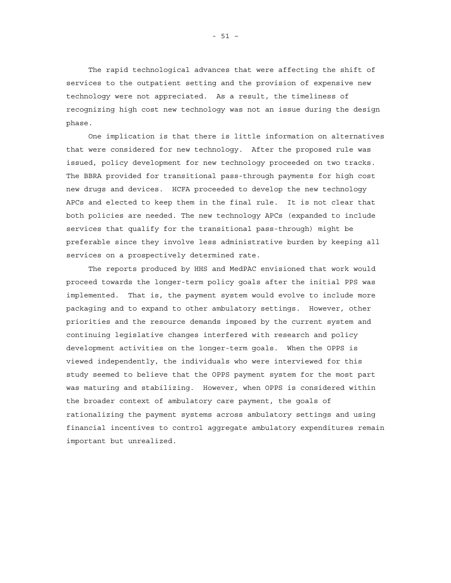The rapid technological advances that were affecting the shift of services to the outpatient setting and the provision of expensive new technology were not appreciated. As a result, the timeliness of recognizing high cost new technology was not an issue during the design phase.

One implication is that there is little information on alternatives that were considered for new technology. After the proposed rule was issued, policy development for new technology proceeded on two tracks. The BBRA provided for transitional pass-through payments for high cost new drugs and devices. HCFA proceeded to develop the new technology APCs and elected to keep them in the final rule. It is not clear that both policies are needed. The new technology APCs (expanded to include services that qualify for the transitional pass-through) might be preferable since they involve less administrative burden by keeping all services on a prospectively determined rate.

The reports produced by HHS and MedPAC envisioned that work would proceed towards the longer-term policy goals after the initial PPS was implemented. That is, the payment system would evolve to include more packaging and to expand to other ambulatory settings. However, other priorities and the resource demands imposed by the current system and continuing legislative changes interfered with research and policy development activities on the longer-term goals. When the OPPS is viewed independently, the individuals who were interviewed for this study seemed to believe that the OPPS payment system for the most part was maturing and stabilizing. However, when OPPS is considered within the broader context of ambulatory care payment, the goals of rationalizing the payment systems across ambulatory settings and using financial incentives to control aggregate ambulatory expenditures remain important but unrealized.

- 51 –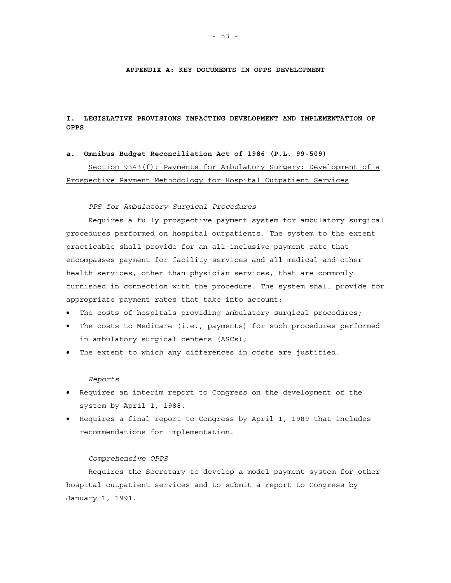### **APPENDIX A: KEY DOCUMENTS IN OPPS DEVELOPMENT**

# **I. LEGISLATIVE PROVISIONS IMPACTING DEVELOPMENT AND IMPLEMENTATION OF OPPS**

### **a. Omnibus Budget Reconciliation Act of 1986 (P.L. 99-509)**

Section 9343(f): Payments for Ambulatory Surgery: Development of a Prospective Payment Methodology for Hospital Outpatient Services

### *PPS for Ambulatory Surgical Procedures*

Requires a fully prospective payment system for ambulatory surgical procedures performed on hospital outpatients. The system to the extent practicable shall provide for an all-inclusive payment rate that encompasses payment for facility services and all medical and other health services, other than physician services, that are commonly furnished in connection with the procedure. The system shall provide for appropriate payment rates that take into account:

- The costs of hospitals providing ambulatory surgical procedures;
- The costs to Medicare (i.e., payments) for such procedures performed in ambulatory surgical centers (ASCs);
- The extent to which any differences in costs are justified.

### *Reports*

- Requires an interim report to Congress on the development of the system by April 1, 1988.
- Requires a final report to Congress by April 1, 1989 that includes recommendations for implementation.

#### *Comprehensive OPPS*

Requires the Secretary to develop a model payment system for other hospital outpatient services and to submit a report to Congress by January 1, 1991.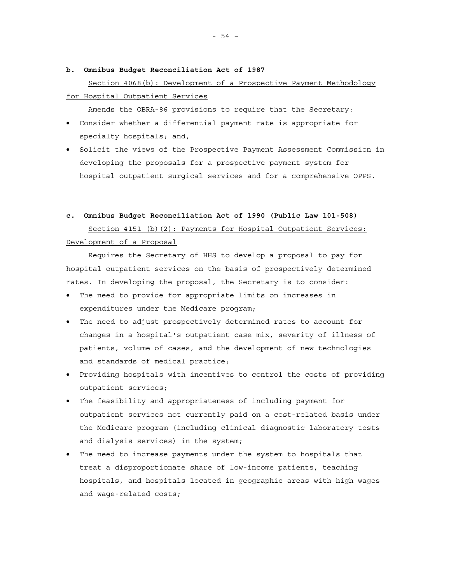### **b. Omnibus Budget Reconciliation Act of 1987**

# Section 4068(b): Development of a Prospective Payment Methodology for Hospital Outpatient Services

Amends the OBRA-86 provisions to require that the Secretary:

- Consider whether a differential payment rate is appropriate for specialty hospitals; and,
- Solicit the views of the Prospective Payment Assessment Commission in developing the proposals for a prospective payment system for hospital outpatient surgical services and for a comprehensive OPPS.

### **c. Omnibus Budget Reconciliation Act of 1990 (Public Law 101-508)**

Section 4151 (b)(2): Payments for Hospital Outpatient Services: Development of a Proposal

Requires the Secretary of HHS to develop a proposal to pay for hospital outpatient services on the basis of prospectively determined rates. In developing the proposal, the Secretary is to consider:

- The need to provide for appropriate limits on increases in expenditures under the Medicare program;
- The need to adjust prospectively determined rates to account for changes in a hospital's outpatient case mix, severity of illness of patients, volume of cases, and the development of new technologies and standards of medical practice;
- Providing hospitals with incentives to control the costs of providing outpatient services;
- The feasibility and appropriateness of including payment for outpatient services not currently paid on a cost-related basis under the Medicare program (including clinical diagnostic laboratory tests and dialysis services) in the system;
- The need to increase payments under the system to hospitals that treat a disproportionate share of low-income patients, teaching hospitals, and hospitals located in geographic areas with high wages and wage-related costs;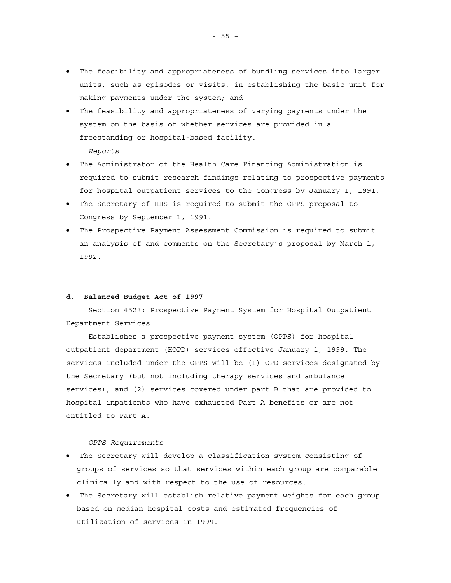- The feasibility and appropriateness of bundling services into larger units, such as episodes or visits, in establishing the basic unit for making payments under the system; and
- The feasibility and appropriateness of varying payments under the system on the basis of whether services are provided in a freestanding or hospital-based facility.

*Reports* 

- The Administrator of the Health Care Financing Administration is required to submit research findings relating to prospective payments for hospital outpatient services to the Congress by January 1, 1991.
- The Secretary of HHS is required to submit the OPPS proposal to Congress by September 1, 1991.
- The Prospective Payment Assessment Commission is required to submit an analysis of and comments on the Secretary's proposal by March 1, 1992.

### **d. Balanced Budget Act of 1997**

# Section 4523: Prospective Payment System for Hospital Outpatient Department Services

Establishes a prospective payment system (OPPS) for hospital outpatient department (HOPD) services effective January 1, 1999. The services included under the OPPS will be (1) OPD services designated by the Secretary (but not including therapy services and ambulance services), and (2) services covered under part B that are provided to hospital inpatients who have exhausted Part A benefits or are not entitled to Part A.

*OPPS Requirements* 

- The Secretary will develop a classification system consisting of groups of services so that services within each group are comparable clinically and with respect to the use of resources.
- The Secretary will establish relative payment weights for each group based on median hospital costs and estimated frequencies of utilization of services in 1999.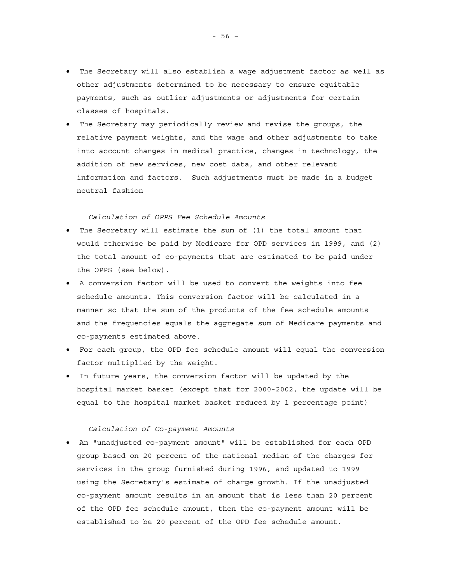- The Secretary will also establish a wage adjustment factor as well as other adjustments determined to be necessary to ensure equitable payments, such as outlier adjustments or adjustments for certain classes of hospitals.
- The Secretary may periodically review and revise the groups, the relative payment weights, and the wage and other adjustments to take into account changes in medical practice, changes in technology, the addition of new services, new cost data, and other relevant information and factors. Such adjustments must be made in a budget neutral fashion

## *Calculation of OPPS Fee Schedule Amounts*

- The Secretary will estimate the sum of (1) the total amount that would otherwise be paid by Medicare for OPD services in 1999, and (2) the total amount of co-payments that are estimated to be paid under the OPPS (see below).
- A conversion factor will be used to convert the weights into fee schedule amounts. This conversion factor will be calculated in a manner so that the sum of the products of the fee schedule amounts and the frequencies equals the aggregate sum of Medicare payments and co-payments estimated above.
- For each group, the OPD fee schedule amount will equal the conversion factor multiplied by the weight.
- In future years, the conversion factor will be updated by the hospital market basket (except that for 2000-2002, the update will be equal to the hospital market basket reduced by 1 percentage point)

### *Calculation of Co-payment Amounts*

• An "unadjusted co-payment amount" will be established for each OPD group based on 20 percent of the national median of the charges for services in the group furnished during 1996, and updated to 1999 using the Secretary's estimate of charge growth. If the unadjusted co-payment amount results in an amount that is less than 20 percent of the OPD fee schedule amount, then the co-payment amount will be established to be 20 percent of the OPD fee schedule amount.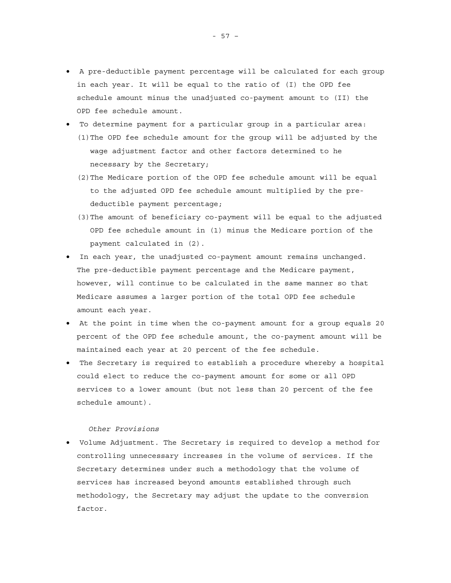- A pre-deductible payment percentage will be calculated for each group in each year. It will be equal to the ratio of (I) the OPD fee schedule amount minus the unadjusted co-payment amount to (II) the OPD fee schedule amount.
- To determine payment for a particular group in a particular area: (1)The OPD fee schedule amount for the group will be adjusted by the wage adjustment factor and other factors determined to he necessary by the Secretary;
	- (2)The Medicare portion of the OPD fee schedule amount will be equal to the adjusted OPD fee schedule amount multiplied by the predeductible payment percentage;
	- (3)The amount of beneficiary co-payment will be equal to the adjusted OPD fee schedule amount in (1) minus the Medicare portion of the payment calculated in (2).
- In each year, the unadjusted co-payment amount remains unchanged. The pre-deductible payment percentage and the Medicare payment, however, will continue to be calculated in the same manner so that Medicare assumes a larger portion of the total OPD fee schedule amount each year.
- At the point in time when the co-payment amount for a group equals 20 percent of the OPD fee schedule amount, the co-payment amount will be maintained each year at 20 percent of the fee schedule.
- The Secretary is required to establish a procedure whereby a hospital could elect to reduce the co-payment amount for some or all OPD services to a lower amount (but not less than 20 percent of the fee schedule amount).

### *Other Provisions*

• Volume Adjustment*.* The Secretary is required to develop a method for controlling unnecessary increases in the volume of services. If the Secretary determines under such a methodology that the volume of services has increased beyond amounts established through such methodology, the Secretary may adjust the update to the conversion factor.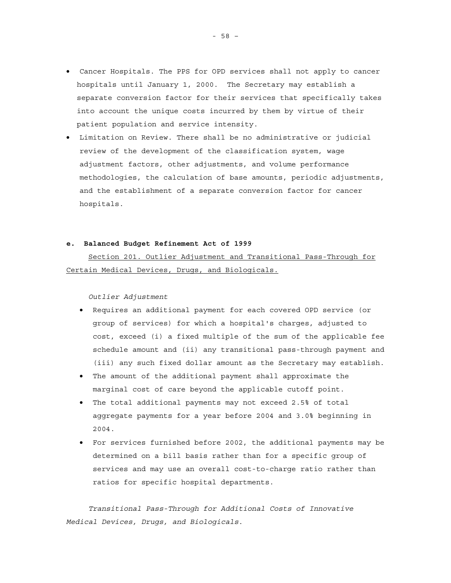- Cancer Hospitals. The PPS for OPD services shall not apply to cancer hospitals until January 1, 2000. The Secretary may establish a separate conversion factor for their services that specifically takes into account the unique costs incurred by them by virtue of their patient population and service intensity.
- Limitation on Review*.* There shall be no administrative or judicial review of the development of the classification system, wage adjustment factors, other adjustments, and volume performance methodologies, the calculation of base amounts, periodic adjustments, and the establishment of a separate conversion factor for cancer hospitals.

### **e. Balanced Budget Refinement Act of 1999**

Section 201. Outlier Adjustment and Transitional Pass-Through for Certain Medical Devices, Drugs, and Biologicals.

*Outlier Adjustment* 

- Requires an additional payment for each covered OPD service (or group of services) for which a hospital's charges, adjusted to cost, exceed (i) a fixed multiple of the sum of the applicable fee schedule amount and (ii) any transitional pass-through payment and (iii) any such fixed dollar amount as the Secretary may establish.
- The amount of the additional payment shall approximate the marginal cost of care beyond the applicable cutoff point.
- The total additional payments may not exceed 2.5% of total aggregate payments for a year before 2004 and 3.0% beginning in 2004.
- For services furnished before 2002, the additional payments may be determined on a bill basis rather than for a specific group of services and may use an overall cost-to-charge ratio rather than ratios for specific hospital departments.

*Transitional Pass-Through for Additional Costs of Innovative Medical Devices, Drugs, and Biologicals*.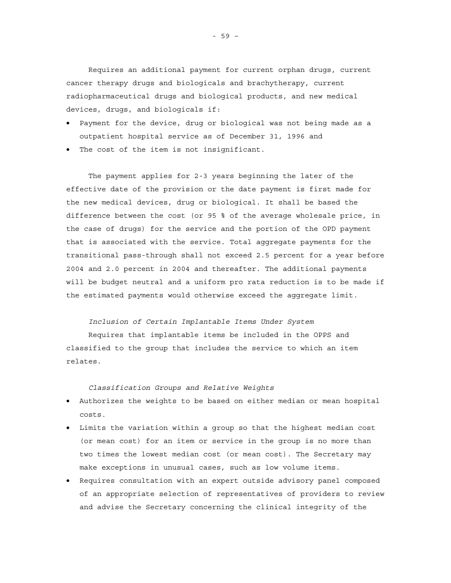Requires an additional payment for current orphan drugs, current cancer therapy drugs and biologicals and brachytherapy, current radiopharmaceutical drugs and biological products, and new medical devices, drugs, and biologicals if:

- Payment for the device, drug or biological was not being made as a outpatient hospital service as of December 31, 1996 and
- The cost of the item is not insignificant.

The payment applies for 2-3 years beginning the later of the effective date of the provision or the date payment is first made for the new medical devices, drug or biological. It shall be based the difference between the cost (or 95 % of the average wholesale price, in the case of drugs) for the service and the portion of the OPD payment that is associated with the service. Total aggregate payments for the transitional pass-through shall not exceed 2.5 percent for a year before 2004 and 2.0 percent in 2004 and thereafter. The additional payments will be budget neutral and a uniform pro rata reduction is to be made if the estimated payments would otherwise exceed the aggregate limit.

# *Inclusion of Certain Implantable Items Under System*

Requires that implantable items be included in the OPPS and classified to the group that includes the service to which an item relates.

*Classification Groups and Relative Weights* 

- Authorizes the weights to be based on either median or mean hospital costs.
- Limits the variation within a group so that the highest median cost (or mean cost) for an item or service in the group is no more than two times the lowest median cost (or mean cost). The Secretary may make exceptions in unusual cases, such as low volume items.
- Requires consultation with an expert outside advisory panel composed of an appropriate selection of representatives of providers to review and advise the Secretary concerning the clinical integrity of the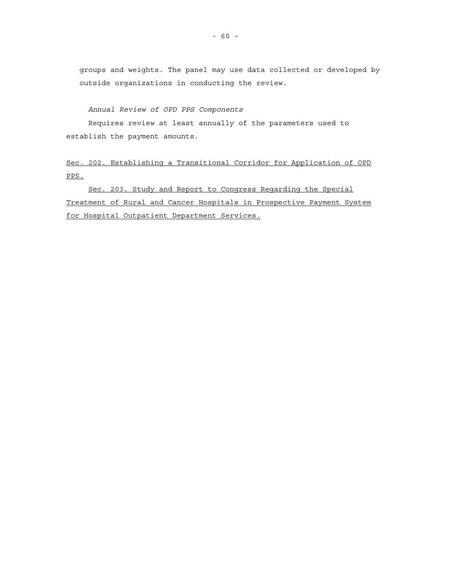groups and weights. The panel may use data collected or developed by outside organizations in conducting the review.

*Annual Review of OPD PPS Components* 

Requires review at least annually of the parameters used to establish the payment amounts.

Sec. 202*.* Establishing a Transitional Corridor for Application of OPD PPS.

Sec. 203. Study and Report to Congress Regarding the Special Treatment of Rural and Cancer Hospitals in Prospective Payment System for Hospital Outpatient Department Services*.*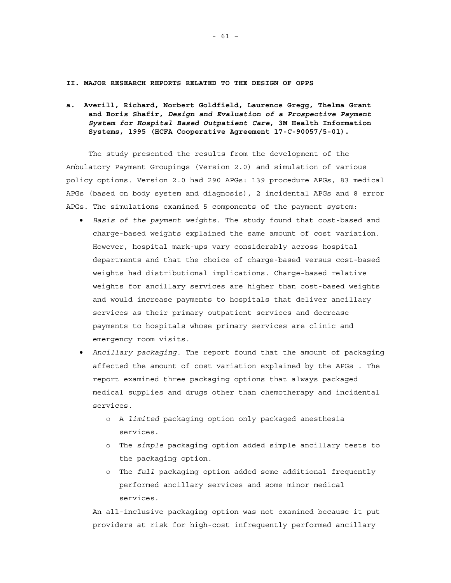### **II. MAJOR RESEARCH REPORTS RELATED TO THE DESIGN OF OPPS**

**a. Averill, Richard, Norbert Goldfield, Laurence Gregg, Thelma Grant and Boris Shafir,** *Design and Evaluation of a Prospective Payment System for Hospital Based Outpatient Care***, 3M Health Information Systems, 1995 (HCFA Cooperative Agreement 17-C-90057/5-01).** 

The study presented the results from the development of the Ambulatory Payment Groupings (Version 2.0) and simulation of various policy options. Version 2.0 had 290 APGs: 139 procedure APGs, 83 medical APGs (based on body system and diagnosis), 2 incidental APGs and 8 error APGs. The simulations examined 5 components of the payment system:

- *Basis of the payment weights*. The study found that cost-based and charge-based weights explained the same amount of cost variation. However, hospital mark-ups vary considerably across hospital departments and that the choice of charge-based versus cost-based weights had distributional implications. Charge-based relative weights for ancillary services are higher than cost-based weights and would increase payments to hospitals that deliver ancillary services as their primary outpatient services and decrease payments to hospitals whose primary services are clinic and emergency room visits.
- *Ancillary packaging.* The report found that the amount of packaging affected the amount of cost variation explained by the APGs . The report examined three packaging options that always packaged medical supplies and drugs other than chemotherapy and incidental services.
	- o A *limited* packaging option only packaged anesthesia services.
	- o The *simple* packaging option added simple ancillary tests to the packaging option.
	- o The *full* packaging option added some additional frequently performed ancillary services and some minor medical services.

An all-inclusive packaging option was not examined because it put providers at risk for high-cost infrequently performed ancillary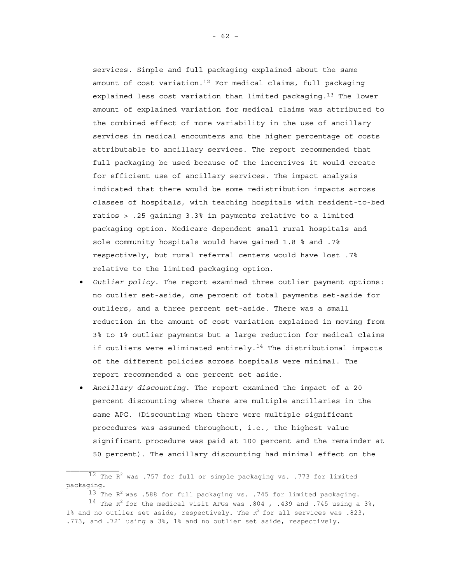services. Simple and full packaging explained about the same amount of cost variation.<sup>12</sup> For medical claims, full packaging explained less cost variation than limited packaging.<sup>13</sup> The lower amount of explained variation for medical claims was attributed to the combined effect of more variability in the use of ancillary services in medical encounters and the higher percentage of costs attributable to ancillary services. The report recommended that full packaging be used because of the incentives it would create for efficient use of ancillary services. The impact analysis indicated that there would be some redistribution impacts across classes of hospitals, with teaching hospitals with resident-to-bed ratios > .25 gaining 3.3% in payments relative to a limited packaging option. Medicare dependent small rural hospitals and sole community hospitals would have gained 1.8 % and .7% respectively, but rural referral centers would have lost .7% relative to the limited packaging option.

- *Outlier policy.* The report examined three outlier payment options: no outlier set-aside, one percent of total payments set-aside for outliers, and a three percent set-aside. There was a small reduction in the amount of cost variation explained in moving from 3% to 1% outlier payments but a large reduction for medical claims if outliers were eliminated entirely.<sup>14</sup> The distributional impacts of the different policies across hospitals were minimal. The report recommended a one percent set aside.
- *Ancillary discounting.* The report examined the impact of a 20 percent discounting where there are multiple ancillaries in the same APG. (Discounting when there were multiple significant procedures was assumed throughout, i.e., the highest value significant procedure was paid at 100 percent and the remainder at 50 percent). The ancillary discounting had minimal effect on the

 $13$  The R<sup>2</sup> was .588 for full packaging vs. .745 for limited packaging. <sup>14</sup> The R<sup>2</sup> for the medical visit APGs was .804, .439 and .745 using a 3%, 1% and no outlier set aside, respectively. The  $R^2$  for all services was .823, .773, and .721 using a 3%, 1% and no outlier set aside, respectively.

 $12$  The R<sup>2</sup> was .757 for full or simple packaging vs. .773 for limited packaging.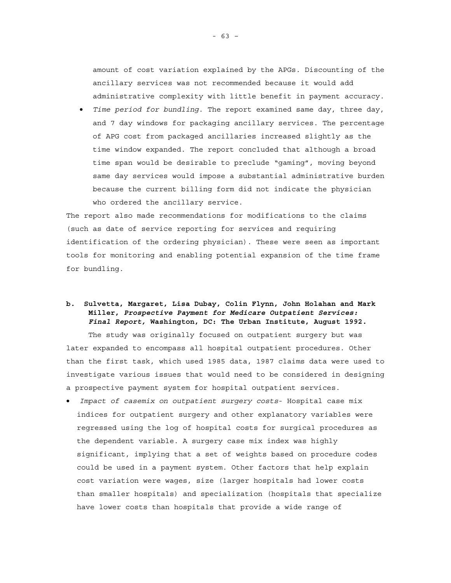amount of cost variation explained by the APGs. Discounting of the ancillary services was not recommended because it would add administrative complexity with little benefit in payment accuracy.

• *Time period for bundling*. The report examined same day, three day, and 7 day windows for packaging ancillary services. The percentage of APG cost from packaged ancillaries increased slightly as the time window expanded. The report concluded that although a broad time span would be desirable to preclude "gaming", moving beyond same day services would impose a substantial administrative burden because the current billing form did not indicate the physician who ordered the ancillary service.

The report also made recommendations for modifications to the claims (such as date of service reporting for services and requiring identification of the ordering physician). These were seen as important tools for monitoring and enabling potential expansion of the time frame for bundling.

# **b. Sulvetta, Margaret, Lisa Dubay, Colin Flynn, John Holahan and Mark Miller,** *Prospective Payment for Medicare Outpatient Services: Final Report,* **Washington, DC: The Urban Institute, August 1992.**

The study was originally focused on outpatient surgery but was later expanded to encompass all hospital outpatient procedures. Other than the first task, which used 1985 data, 1987 claims data were used to investigate various issues that would need to be considered in designing a prospective payment system for hospital outpatient services.

• *Impact of casemix on outpatient surgery costs*- Hospital case mix indices for outpatient surgery and other explanatory variables were regressed using the log of hospital costs for surgical procedures as the dependent variable. A surgery case mix index was highly significant, implying that a set of weights based on procedure codes could be used in a payment system. Other factors that help explain cost variation were wages, size (larger hospitals had lower costs than smaller hospitals) and specialization (hospitals that specialize have lower costs than hospitals that provide a wide range of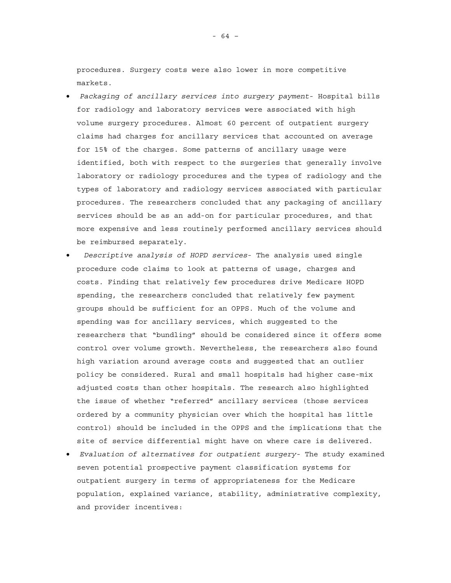procedures. Surgery costs were also lower in more competitive markets.

- *Packaging of ancillary services into surgery payment* Hospital bills for radiology and laboratory services were associated with high volume surgery procedures. Almost 60 percent of outpatient surgery claims had charges for ancillary services that accounted on average for 15% of the charges. Some patterns of ancillary usage were identified, both with respect to the surgeries that generally involve laboratory or radiology procedures and the types of radiology and the types of laboratory and radiology services associated with particular procedures. The researchers concluded that any packaging of ancillary services should be as an add-on for particular procedures, and that more expensive and less routinely performed ancillary services should be reimbursed separately.
- *Descriptive analysis of HOPD services* The analysis used single procedure code claims to look at patterns of usage, charges and costs. Finding that relatively few procedures drive Medicare HOPD spending, the researchers concluded that relatively few payment groups should be sufficient for an OPPS. Much of the volume and spending was for ancillary services, which suggested to the researchers that "bundling" should be considered since it offers some control over volume growth. Nevertheless, the researchers also found high variation around average costs and suggested that an outlier policy be considered. Rural and small hospitals had higher case-mix adjusted costs than other hospitals. The research also highlighted the issue of whether "referred" ancillary services (those services ordered by a community physician over which the hospital has little control) should be included in the OPPS and the implications that the site of service differential might have on where care is delivered.
- *Evaluation of alternatives for outpatient surgery-* The study examined seven potential prospective payment classification systems for outpatient surgery in terms of appropriateness for the Medicare population, explained variance, stability, administrative complexity, and provider incentives:

- 64 –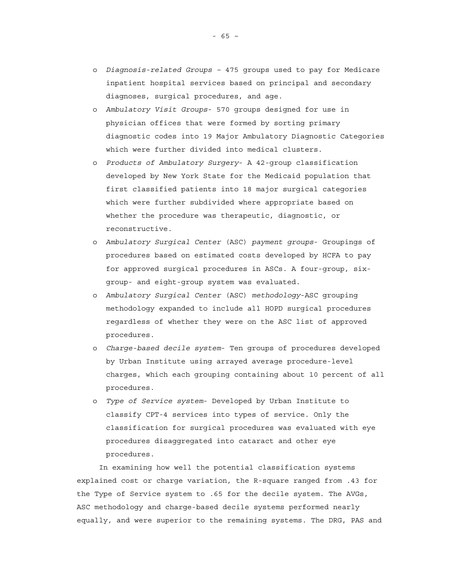- o *Diagnosis-related Groups –* 475 groups used to pay for Medicare inpatient hospital services based on principal and secondary diagnoses, surgical procedures, and age.
- o *Ambulatory Visit Groups* 570 groups designed for use in physician offices that were formed by sorting primary diagnostic codes into 19 Major Ambulatory Diagnostic Categories which were further divided into medical clusters.
- o *Products of Ambulatory Surgery* A 42-group classification developed by New York State for the Medicaid population that first classified patients into 18 major surgical categories which were further subdivided where appropriate based on whether the procedure was therapeutic, diagnostic, or reconstructive.
- o *Ambulatory Surgical Center* (ASC) *payment groups* Groupings of procedures based on estimated costs developed by HCFA to pay for approved surgical procedures in ASCs. A four-group, sixgroup- and eight-group system was evaluated.
- o *Ambulatory Surgical Center* (ASC) *methodology*-ASC grouping methodology expanded to include all HOPD surgical procedures regardless of whether they were on the ASC list of approved procedures.
- o *Charge-based decile system* Ten groups of procedures developed by Urban Institute using arrayed average procedure-level charges, which each grouping containing about 10 percent of all procedures.
- o *Type of Service system* Developed by Urban Institute to classify CPT-4 services into types of service. Only the classification for surgical procedures was evaluated with eye procedures disaggregated into cataract and other eye procedures.

In examining how well the potential classification systems explained cost or charge variation, the R-square ranged from .43 for the Type of Service system to .65 for the decile system. The AVGs, ASC methodology and charge-based decile systems performed nearly equally, and were superior to the remaining systems. The DRG, PAS and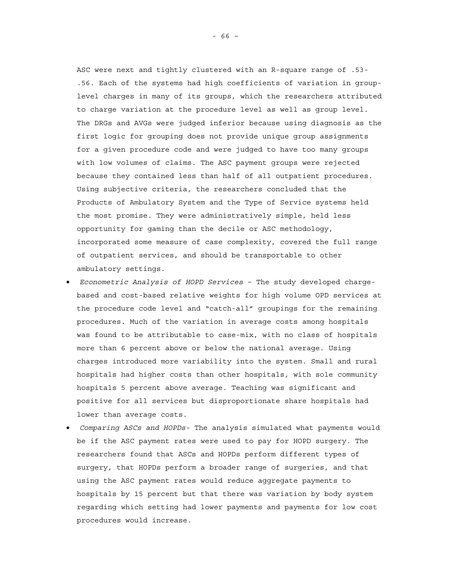ASC were next and tightly clustered with an R-square range of .53- .56. Each of the systems had high coefficients of variation in grouplevel charges in many of its groups, which the researchers attributed to charge variation at the procedure level as well as group level. The DRGs and AVGs were judged inferior because using diagnosis as the first logic for grouping does not provide unique group assignments for a given procedure code and were judged to have too many groups with low volumes of claims. The ASC payment groups were rejected because they contained less than half of all outpatient procedures. Using subjective criteria, the researchers concluded that the Products of Ambulatory System and the Type of Service systems held the most promise. They were administratively simple, held less opportunity for gaming than the decile or ASC methodology, incorporated some measure of case complexity, covered the full range of outpatient services, and should be transportable to other ambulatory settings.

- *Econometric Analysis of HOPD Services* The study developed chargebased and cost-based relative weights for high volume OPD services at the procedure code level and "catch-all" groupings for the remaining procedures. Much of the variation in average costs among hospitals was found to be attributable to case-mix, with no class of hospitals more than 6 percent above or below the national average. Using charges introduced more variability into the system. Small and rural hospitals had higher costs than other hospitals, with sole community hospitals 5 percent above average. Teaching was significant and positive for all services but disproportionate share hospitals had lower than average costs.
- *Comparing ASCs and HOPDs-* The analysis simulated what payments would be if the ASC payment rates were used to pay for HOPD surgery. The researchers found that ASCs and HOPDs perform different types of surgery, that HOPDs perform a broader range of surgeries, and that using the ASC payment rates would reduce aggregate payments to hospitals by 15 percent but that there was variation by body system regarding which setting had lower payments and payments for low cost procedures would increase.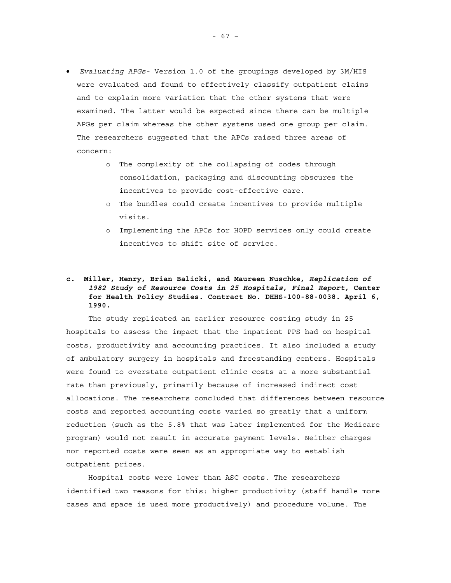- *Evaluating APGs-* Version 1.0 of the groupings developed by 3M/HIS were evaluated and found to effectively classify outpatient claims and to explain more variation that the other systems that were examined. The latter would be expected since there can be multiple APGs per claim whereas the other systems used one group per claim. The researchers suggested that the APCs raised three areas of concern:
	- o The complexity of the collapsing of codes through consolidation, packaging and discounting obscures the incentives to provide cost-effective care.
	- o The bundles could create incentives to provide multiple visits.
	- o Implementing the APCs for HOPD services only could create incentives to shift site of service.

# **c. Miller, Henry, Brian Balicki, and Maureen Nuschke,** *Replication of 1982 Study of Resource Costs in 25 Hospitals, Final Report,* **Center for Health Policy Studies. Contract No. DHHS-100-88-0038. April 6, 1990.**

The study replicated an earlier resource costing study in 25 hospitals to assess the impact that the inpatient PPS had on hospital costs, productivity and accounting practices. It also included a study of ambulatory surgery in hospitals and freestanding centers. Hospitals were found to overstate outpatient clinic costs at a more substantial rate than previously, primarily because of increased indirect cost allocations. The researchers concluded that differences between resource costs and reported accounting costs varied so greatly that a uniform reduction (such as the 5.8% that was later implemented for the Medicare program) would not result in accurate payment levels. Neither charges nor reported costs were seen as an appropriate way to establish outpatient prices.

Hospital costs were lower than ASC costs. The researchers identified two reasons for this: higher productivity (staff handle more cases and space is used more productively) and procedure volume. The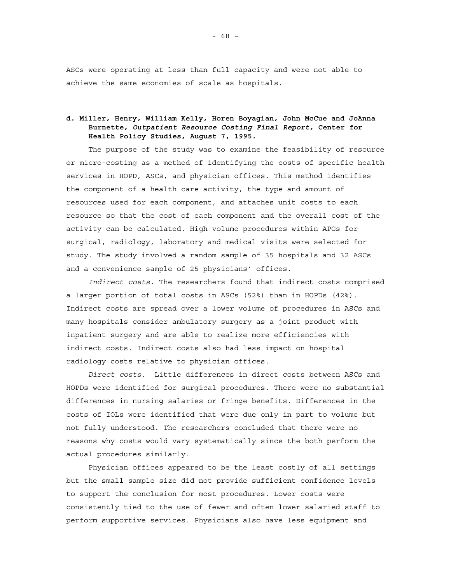ASCs were operating at less than full capacity and were not able to achieve the same economies of scale as hospitals.

# **d. Miller, Henry, William Kelly, Horen Boyagian, John McCue and JoAnna Burnette,** *Outpatient Resource Costing Final Report,* **Center for Health Policy Studies, August 7, 1995.**

The purpose of the study was to examine the feasibility of resource or micro-costing as a method of identifying the costs of specific health services in HOPD, ASCs, and physician offices. This method identifies the component of a health care activity, the type and amount of resources used for each component, and attaches unit costs to each resource so that the cost of each component and the overall cost of the activity can be calculated. High volume procedures within APGs for surgical, radiology, laboratory and medical visits were selected for study. The study involved a random sample of 35 hospitals and 32 ASCs and a convenience sample of 25 physicians' offices.

*Indirect costs.* The researchers found that indirect costs comprised a larger portion of total costs in ASCs (52%) than in HOPDs (42%). Indirect costs are spread over a lower volume of procedures in ASCs and many hospitals consider ambulatory surgery as a joint product with inpatient surgery and are able to realize more efficiencies with indirect costs. Indirect costs also had less impact on hospital radiology costs relative to physician offices.

*Direct costs.* Little differences in direct costs between ASCs and HOPDs were identified for surgical procedures. There were no substantial differences in nursing salaries or fringe benefits. Differences in the costs of IOLs were identified that were due only in part to volume but not fully understood. The researchers concluded that there were no reasons why costs would vary systematically since the both perform the actual procedures similarly.

Physician offices appeared to be the least costly of all settings but the small sample size did not provide sufficient confidence levels to support the conclusion for most procedures. Lower costs were consistently tied to the use of fewer and often lower salaried staff to perform supportive services. Physicians also have less equipment and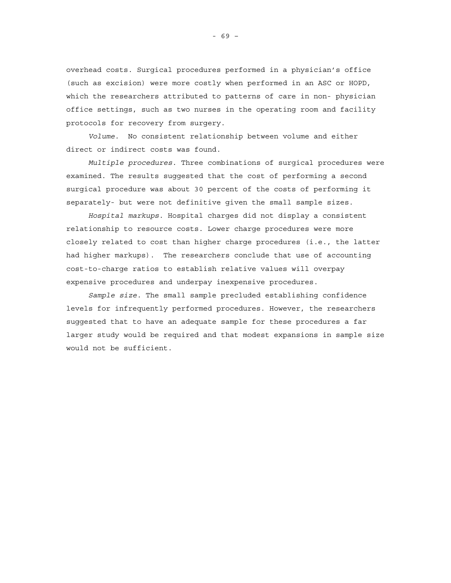overhead costs. Surgical procedures performed in a physician's office (such as excision) were more costly when performed in an ASC or HOPD, which the researchers attributed to patterns of care in non- physician office settings, such as two nurses in the operating room and facility protocols for recovery from surgery.

*Volume.* No consistent relationship between volume and either direct or indirect costs was found.

*Multiple procedures.* Three combinations of surgical procedures were examined. The results suggested that the cost of performing a second surgical procedure was about 30 percent of the costs of performing it separately- but were not definitive given the small sample sizes.

*Hospital markups.* Hospital charges did not display a consistent relationship to resource costs. Lower charge procedures were more closely related to cost than higher charge procedures (i.e., the latter had higher markups). The researchers conclude that use of accounting cost-to-charge ratios to establish relative values will overpay expensive procedures and underpay inexpensive procedures.

*Sample size.* The small sample precluded establishing confidence levels for infrequently performed procedures. However, the researchers suggested that to have an adequate sample for these procedures a far larger study would be required and that modest expansions in sample size would not be sufficient.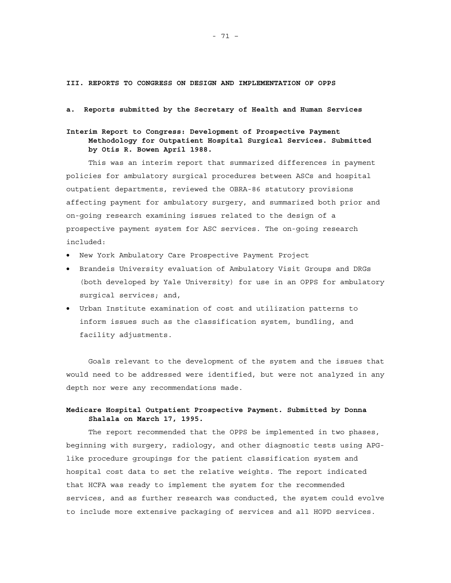**III. REPORTS TO CONGRESS ON DESIGN AND IMPLEMENTATION OF OPPS** 

#### **a. Reports submitted by the Secretary of Health and Human Services**

# **Interim Report to Congress: Development of Prospective Payment Methodology for Outpatient Hospital Surgical Services. Submitted by Otis R. Bowen April 1988.**

This was an interim report that summarized differences in payment policies for ambulatory surgical procedures between ASCs and hospital outpatient departments, reviewed the OBRA-86 statutory provisions affecting payment for ambulatory surgery, and summarized both prior and on-going research examining issues related to the design of a prospective payment system for ASC services. The on-going research included:

- New York Ambulatory Care Prospective Payment Project
- Brandeis University evaluation of Ambulatory Visit Groups and DRGs (both developed by Yale University) for use in an OPPS for ambulatory surgical services; and,
- Urban Institute examination of cost and utilization patterns to inform issues such as the classification system, bundling, and facility adjustments.

Goals relevant to the development of the system and the issues that would need to be addressed were identified, but were not analyzed in any depth nor were any recommendations made.

## **Medicare Hospital Outpatient Prospective Payment. Submitted by Donna Shalala on March 17, 1995.**

The report recommended that the OPPS be implemented in two phases, beginning with surgery, radiology, and other diagnostic tests using APGlike procedure groupings for the patient classification system and hospital cost data to set the relative weights. The report indicated that HCFA was ready to implement the system for the recommended services, and as further research was conducted, the system could evolve to include more extensive packaging of services and all HOPD services.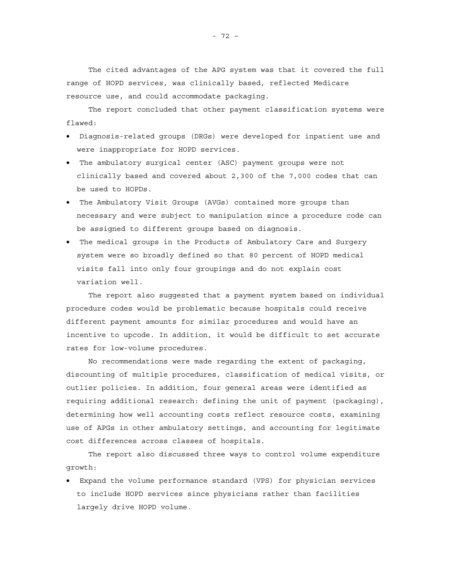The cited advantages of the APG system was that it covered the full range of HOPD services, was clinically based, reflected Medicare resource use, and could accommodate packaging.

The report concluded that other payment classification systems were flawed:

- Diagnosis-related groups (DRGs) were developed for inpatient use and were inappropriate for HOPD services.
- The ambulatory surgical center (ASC) payment groups were not clinically based and covered about 2,300 of the 7,000 codes that can be used to HOPDs.
- The Ambulatory Visit Groups (AVGs) contained more groups than necessary and were subject to manipulation since a procedure code can be assigned to different groups based on diagnosis.
- The medical groups in the Products of Ambulatory Care and Surgery system were so broadly defined so that 80 percent of HOPD medical visits fall into only four groupings and do not explain cost variation well.

The report also suggested that a payment system based on individual procedure codes would be problematic because hospitals could receive different payment amounts for similar procedures and would have an incentive to upcode. In addition, it would be difficult to set accurate rates for low-volume procedures.

No recommendations were made regarding the extent of packaging, discounting of multiple procedures, classification of medical visits, or outlier policies. In addition, four general areas were identified as requiring additional research: defining the unit of payment (packaging), determining how well accounting costs reflect resource costs, examining use of APGs in other ambulatory settings, and accounting for legitimate cost differences across classes of hospitals.

The report also discussed three ways to control volume expenditure growth:

• Expand the volume performance standard (VPS) for physician services to include HOPD services since physicians rather than facilities largely drive HOPD volume.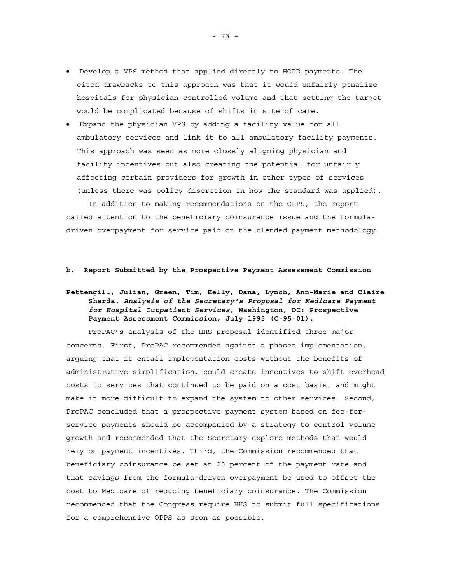- Develop a VPS method that applied directly to HOPD payments. The cited drawbacks to this approach was that it would unfairly penalize hospitals for physician-controlled volume and that setting the target would be complicated because of shifts in site of care.
- Expand the physician VPS by adding a facility value for all ambulatory services and link it to all ambulatory facility payments. This approach was seen as more closely aligning physician and facility incentives but also creating the potential for unfairly affecting certain providers for growth in other types of services (unless there was policy discretion in how the standard was applied).

In addition to making recommendations on the OPPS, the report called attention to the beneficiary coinsurance issue and the formuladriven overpayment for service paid on the blended payment methodology.

### **b. Report Submitted by the Prospective Payment Assessment Commission**

# **Pettengill, Julian, Green, Tim, Kelly, Dana, Lynch, Ann-Marie and Claire Sharda.** *Analysis of the Secretary's Proposal for Medicare Payment for Hospital Outpatient Services***, Washington, DC: Prospective Payment Assessment Commission, July 1995 (C-95-01).**

ProPAC's analysis of the HHS proposal identified three major concerns. First, ProPAC recommended against a phased implementation, arguing that it entail implementation costs without the benefits of administrative simplification, could create incentives to shift overhead costs to services that continued to be paid on a cost basis, and might make it more difficult to expand the system to other services. Second, ProPAC concluded that a prospective payment system based on fee-forservice payments should be accompanied by a strategy to control volume growth and recommended that the Secretary explore methods that would rely on payment incentives. Third, the Commission recommended that beneficiary coinsurance be set at 20 percent of the payment rate and that savings from the formula-driven overpayment be used to offset the cost to Medicare of reducing beneficiary coinsurance. The Commission recommended that the Congress require HHS to submit full specifications for a comprehensive OPPS as soon as possible.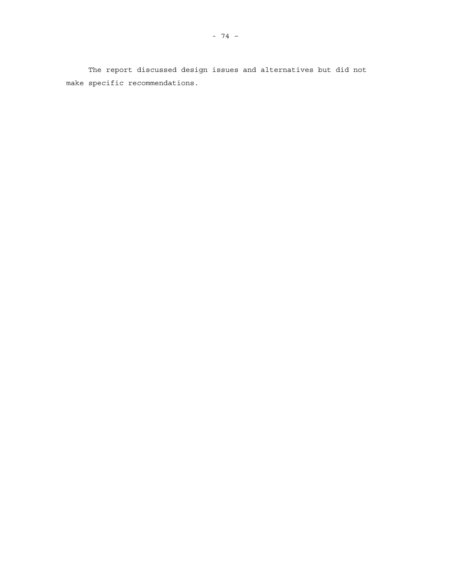The report discussed design issues and alternatives but did not make specific recommendations.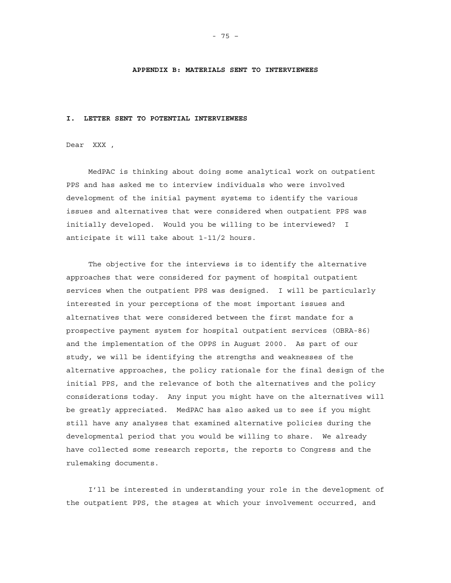### **APPENDIX B: MATERIALS SENT TO INTERVIEWEES**

#### **I. LETTER SENT TO POTENTIAL INTERVIEWEES**

Dear XXX ,

MedPAC is thinking about doing some analytical work on outpatient PPS and has asked me to interview individuals who were involved development of the initial payment systems to identify the various issues and alternatives that were considered when outpatient PPS was initially developed. Would you be willing to be interviewed? I anticipate it will take about 1-11/2 hours.

The objective for the interviews is to identify the alternative approaches that were considered for payment of hospital outpatient services when the outpatient PPS was designed. I will be particularly interested in your perceptions of the most important issues and alternatives that were considered between the first mandate for a prospective payment system for hospital outpatient services (OBRA-86) and the implementation of the OPPS in August 2000. As part of our study, we will be identifying the strengths and weaknesses of the alternative approaches, the policy rationale for the final design of the initial PPS, and the relevance of both the alternatives and the policy considerations today. Any input you might have on the alternatives will be greatly appreciated. MedPAC has also asked us to see if you might still have any analyses that examined alternative policies during the developmental period that you would be willing to share. We already have collected some research reports, the reports to Congress and the rulemaking documents.

I'll be interested in understanding your role in the development of the outpatient PPS, the stages at which your involvement occurred, and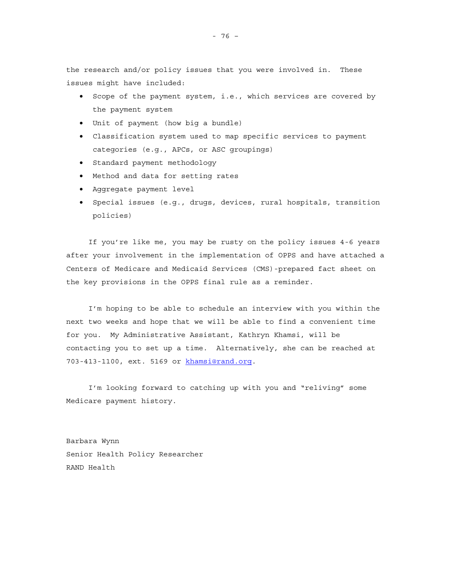the research and/or policy issues that you were involved in. These issues might have included:

- Scope of the payment system, i.e., which services are covered by the payment system
- Unit of payment (how big a bundle)
- Classification system used to map specific services to payment categories (e.g., APCs, or ASC groupings)
- Standard payment methodology
- Method and data for setting rates
- Aggregate payment level
- Special issues (e.g., drugs, devices, rural hospitals, transition policies)

If you're like me, you may be rusty on the policy issues 4-6 years after your involvement in the implementation of OPPS and have attached a Centers of Medicare and Medicaid Services (CMS)-prepared fact sheet on the key provisions in the OPPS final rule as a reminder.

I'm hoping to be able to schedule an interview with you within the next two weeks and hope that we will be able to find a convenient time for you. My Administrative Assistant, Kathryn Khamsi, will be contacting you to set up a time. Alternatively, she can be reached at 703-413-1100, ext. 5169 or khamsi@rand.org.

I'm looking forward to catching up with you and "reliving" some Medicare payment history.

Barbara Wynn Senior Health Policy Researcher RAND Health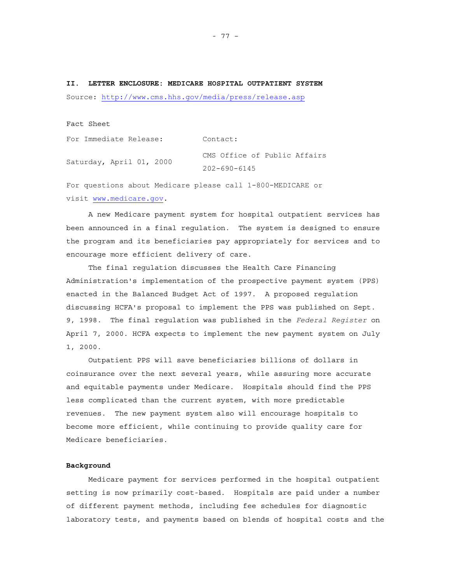**II. LETTER ENCLOSURE: MEDICARE HOSPITAL OUTPATIENT SYSTEM**  Source: http://www.cms.hhs.gov/media/press/release.asp

Fact Sheet

| For Immediate Release:   | Contact:                     |
|--------------------------|------------------------------|
| Saturday, April 01, 2000 | CMS Office of Public Affairs |
|                          | $202 - 690 - 6145$           |

For questions about Medicare please call 1-800-MEDICARE or visit www.medicare.gov.

A new Medicare payment system for hospital outpatient services has been announced in a final regulation. The system is designed to ensure the program and its beneficiaries pay appropriately for services and to encourage more efficient delivery of care.

The final regulation discusses the Health Care Financing Administration's implementation of the prospective payment system (PPS) enacted in the Balanced Budget Act of 1997. A proposed regulation discussing HCFA's proposal to implement the PPS was published on Sept. 9, 1998. The final regulation was published in the *Federal Register* on April 7, 2000. HCFA expects to implement the new payment system on July 1, 2000.

Outpatient PPS will save beneficiaries billions of dollars in coinsurance over the next several years, while assuring more accurate and equitable payments under Medicare. Hospitals should find the PPS less complicated than the current system, with more predictable revenues. The new payment system also will encourage hospitals to become more efficient, while continuing to provide quality care for Medicare beneficiaries.

## **Background**

Medicare payment for services performed in the hospital outpatient setting is now primarily cost-based. Hospitals are paid under a number of different payment methods, including fee schedules for diagnostic laboratory tests, and payments based on blends of hospital costs and the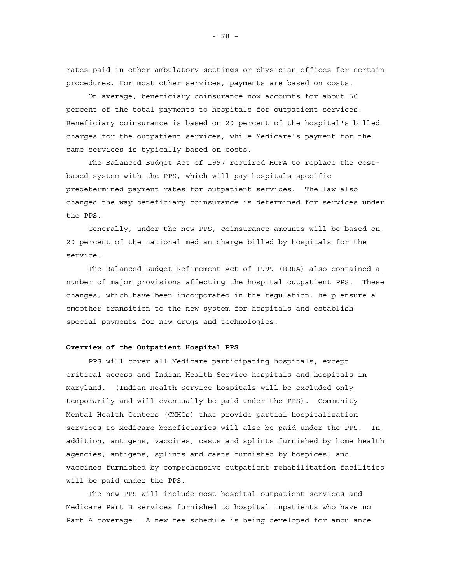rates paid in other ambulatory settings or physician offices for certain procedures. For most other services, payments are based on costs.

On average, beneficiary coinsurance now accounts for about 50 percent of the total payments to hospitals for outpatient services. Beneficiary coinsurance is based on 20 percent of the hospital's billed charges for the outpatient services, while Medicare's payment for the same services is typically based on costs.

The Balanced Budget Act of 1997 required HCFA to replace the costbased system with the PPS, which will pay hospitals specific predetermined payment rates for outpatient services. The law also changed the way beneficiary coinsurance is determined for services under the PPS.

Generally, under the new PPS, coinsurance amounts will be based on 20 percent of the national median charge billed by hospitals for the service.

The Balanced Budget Refinement Act of 1999 (BBRA) also contained a number of major provisions affecting the hospital outpatient PPS. These changes, which have been incorporated in the regulation, help ensure a smoother transition to the new system for hospitals and establish special payments for new drugs and technologies.

#### **Overview of the Outpatient Hospital PPS**

PPS will cover all Medicare participating hospitals, except critical access and Indian Health Service hospitals and hospitals in Maryland. (Indian Health Service hospitals will be excluded only temporarily and will eventually be paid under the PPS). Community Mental Health Centers (CMHCs) that provide partial hospitalization services to Medicare beneficiaries will also be paid under the PPS. In addition, antigens, vaccines, casts and splints furnished by home health agencies; antigens, splints and casts furnished by hospices; and vaccines furnished by comprehensive outpatient rehabilitation facilities will be paid under the PPS.

The new PPS will include most hospital outpatient services and Medicare Part B services furnished to hospital inpatients who have no Part A coverage. A new fee schedule is being developed for ambulance

- 78 –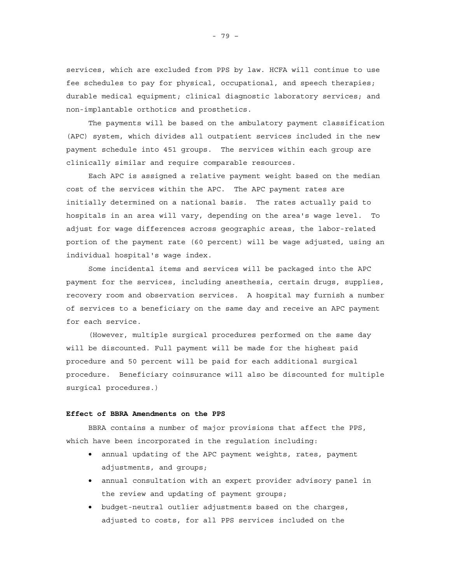services, which are excluded from PPS by law. HCFA will continue to use fee schedules to pay for physical, occupational, and speech therapies; durable medical equipment; clinical diagnostic laboratory services; and non-implantable orthotics and prosthetics.

The payments will be based on the ambulatory payment classification (APC) system, which divides all outpatient services included in the new payment schedule into 451 groups. The services within each group are clinically similar and require comparable resources.

Each APC is assigned a relative payment weight based on the median cost of the services within the APC. The APC payment rates are initially determined on a national basis. The rates actually paid to hospitals in an area will vary, depending on the area's wage level. To adjust for wage differences across geographic areas, the labor-related portion of the payment rate (60 percent) will be wage adjusted, using an individual hospital's wage index.

Some incidental items and services will be packaged into the APC payment for the services, including anesthesia, certain drugs, supplies, recovery room and observation services. A hospital may furnish a number of services to a beneficiary on the same day and receive an APC payment for each service.

(However, multiple surgical procedures performed on the same day will be discounted. Full payment will be made for the highest paid procedure and 50 percent will be paid for each additional surgical procedure. Beneficiary coinsurance will also be discounted for multiple surgical procedures.)

### **Effect of BBRA Amendments on the PPS**

BBRA contains a number of major provisions that affect the PPS, which have been incorporated in the regulation including:

- annual updating of the APC payment weights, rates, payment adjustments, and groups;
- annual consultation with an expert provider advisory panel in the review and updating of payment groups;
- budget-neutral outlier adjustments based on the charges, adjusted to costs, for all PPS services included on the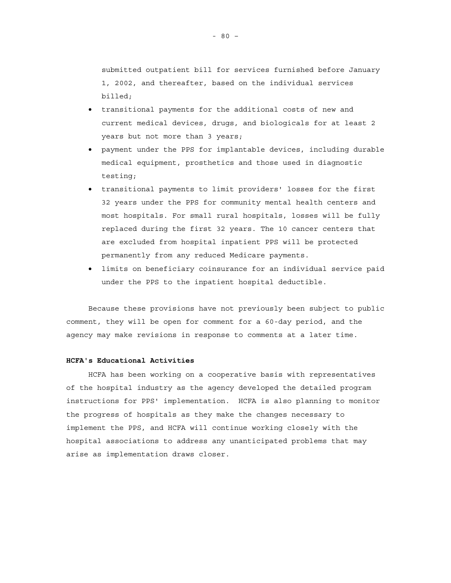submitted outpatient bill for services furnished before January 1, 2002, and thereafter, based on the individual services billed;

- transitional payments for the additional costs of new and current medical devices, drugs, and biologicals for at least 2 years but not more than 3 years;
- payment under the PPS for implantable devices, including durable medical equipment, prosthetics and those used in diagnostic testing;
- transitional payments to limit providers' losses for the first 32 years under the PPS for community mental health centers and most hospitals. For small rural hospitals, losses will be fully replaced during the first 32 years. The 10 cancer centers that are excluded from hospital inpatient PPS will be protected permanently from any reduced Medicare payments.
- limits on beneficiary coinsurance for an individual service paid under the PPS to the inpatient hospital deductible.

Because these provisions have not previously been subject to public comment, they will be open for comment for a 60-day period, and the agency may make revisions in response to comments at a later time.

## **HCFA's Educational Activities**

HCFA has been working on a cooperative basis with representatives of the hospital industry as the agency developed the detailed program instructions for PPS' implementation. HCFA is also planning to monitor the progress of hospitals as they make the changes necessary to implement the PPS, and HCFA will continue working closely with the hospital associations to address any unanticipated problems that may arise as implementation draws closer.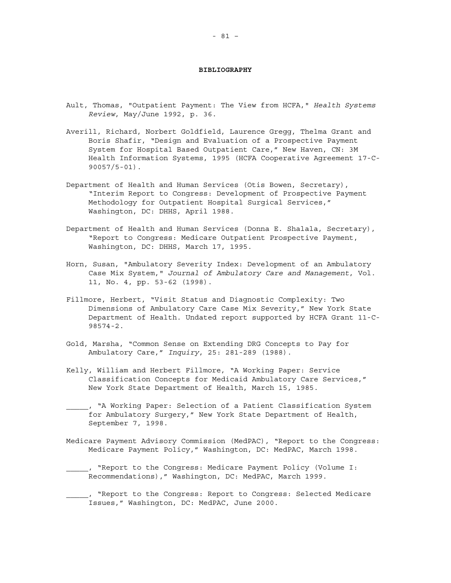#### **BIBLIOGRAPHY**

- Ault, Thomas, "Outpatient Payment: The View from HCFA," *Health Systems Review*, May/June 1992, p. 36.
- Averill, Richard, Norbert Goldfield, Laurence Gregg, Thelma Grant and Boris Shafir, "Design and Evaluation of a Prospective Payment System for Hospital Based Outpatient Care," New Haven, CN: 3M Health Information Systems, 1995 (HCFA Cooperative Agreement 17-C-90057/5-01).
- Department of Health and Human Services (Otis Bowen, Secretary), "Interim Report to Congress: Development of Prospective Payment Methodology for Outpatient Hospital Surgical Services," Washington, DC: DHHS, April 1988.
- Department of Health and Human Services (Donna E. Shalala, Secretary), "Report to Congress: Medicare Outpatient Prospective Payment, Washington, DC: DHHS, March 17, 1995.
- Horn, Susan, "Ambulatory Severity Index: Development of an Ambulatory Case Mix System," *Journal of Ambulatory Care and Management*, Vol. 11, No. 4, pp. 53-62 (1998).
- Fillmore, Herbert, "Visit Status and Diagnostic Complexity: Two Dimensions of Ambulatory Care Case Mix Severity," New York State Department of Health. Undated report supported by HCFA Grant 11-C-98574-2.
- Gold, Marsha, "Common Sense on Extending DRG Concepts to Pay for Ambulatory Care," *Inquiry*, 25: 281-289 (1988).
- Kelly, William and Herbert Fillmore, "A Working Paper: Service Classification Concepts for Medicaid Ambulatory Care Services," New York State Department of Health, March 15, 1985.
- \_\_\_\_\_, "A Working Paper: Selection of a Patient Classification System for Ambulatory Surgery," New York State Department of Health, September 7, 1998.
- Medicare Payment Advisory Commission (MedPAC), "Report to the Congress: Medicare Payment Policy," Washington, DC: MedPAC, March 1998.
- \_\_\_\_\_, "Report to the Congress: Medicare Payment Policy (Volume I: Recommendations)," Washington, DC: MedPAC, March 1999.
- \_\_\_\_\_, "Report to the Congress: Report to Congress: Selected Medicare Issues," Washington, DC: MedPAC, June 2000.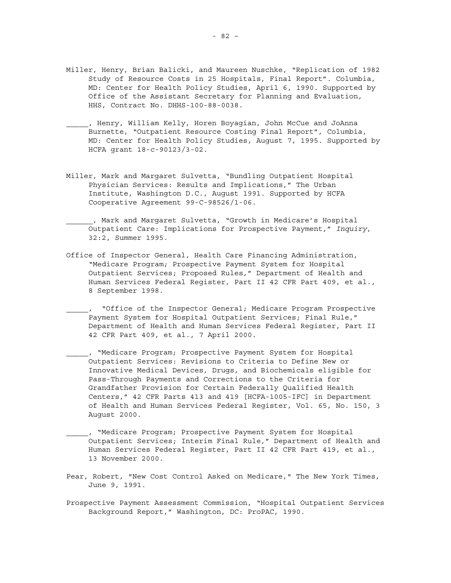- Miller, Henry, Brian Balicki, and Maureen Nuschke, "Replication of 1982 Study of Resource Costs in 25 Hospitals, Final Report". Columbia, MD: Center for Health Policy Studies, April 6, 1990. Supported by Office of the Assistant Secretary for Planning and Evaluation, HHS, Contract No. DHHS-100-88-0038.
- \_\_\_\_\_, Henry, William Kelly, Horen Boyagian, John McCue and JoAnna Burnette, "Outpatient Resource Costing Final Report"*,* Columbia, MD: Center for Health Policy Studies, August 7, 1995. Supported by HCFA grant 18-c-90123/3-02.
- Miller, Mark and Margaret Sulvetta, "Bundling Outpatient Hospital Physician Services: Results and Implications," The Urban Institute, Washington D.C., August 1991. Supported by HCFA Cooperative Agreement 99-C-98526/1-06.
- \_\_\_\_\_\_, Mark and Margaret Sulvetta, "Growth in Medicare's Hospital Outpatient Care: Implications for Prospective Payment," *Inquiry*, 32:2, Summer 1995.
- Office of Inspector General, Health Care Financing Administration, "Medicare Program; Prospective Payment System for Hospital Outpatient Services; Proposed Rules," Department of Health and Human Services Federal Register, Part II 42 CFR Part 409, et al., 8 September 1998.
- \_\_\_\_\_, "Office of the Inspector General; Medicare Program Prospective Payment System for Hospital Outpatient Services; Final Rule," Department of Health and Human Services Federal Register, Part II 42 CFR Part 409, et al., 7 April 2000.
- \_\_\_\_\_, "Medicare Program; Prospective Payment System for Hospital Outpatient Services: Revisions to Criteria to Define New or Innovative Medical Devices, Drugs, and Biochemicals eligible for Pass-Through Payments and Corrections to the Criteria for Grandfather Provision for Certain Federally Qualified Health Centers," 42 CFR Parts 413 and 419 [HCFA-1005-IFC] in Department of Health and Human Services Federal Register, Vol. 65, No. 150, 3 August 2000.
- \_\_\_\_\_, "Medicare Program; Prospective Payment System for Hospital Outpatient Services; Interim Final Rule," Department of Health and Human Services Federal Register, Part II 42 CFR Part 419, et al., 13 November 2000.
- Pear, Robert, "New Cost Control Asked on Medicare," The New York Times, June 9, 1991.
- Prospective Payment Assessment Commission, "Hospital Outpatient Services Background Report," Washington, DC: ProPAC, 1990.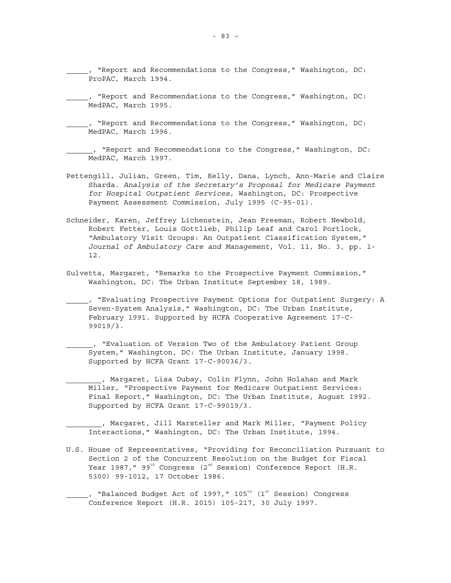- \_\_\_\_\_, "Report and Recommendations to the Congress," Washington, DC: MedPAC, March 1995.
- \_\_\_\_\_, "Report and Recommendations to the Congress," Washington, DC: MedPAC, March 1996.

\_\_\_\_\_\_, "Report and Recommendations to the Congress," Washington, DC: MedPAC, March 1997.

- Pettengill, Julian, Green, Tim, Kelly, Dana, Lynch, Ann-Marie and Claire Sharda. *Analysis of the Secretary's Proposal for Medicare Payment for Hospital Outpatient Services*, Washington, DC: Prospective Payment Assessment Commission, July 1995 (C-95-01).
- Schneider, Karen, Jeffrey Lichenstein, Jean Freeman, Robert Newbold, Robert Fetter, Louis Gottlieb, Philip Leaf and Carol Portlock, "Ambulatory Visit Groups: An Outpatient Classification System," *Journal of Ambulatory Care and Management*, Vol. 11, No. 3, pp. 1- 12.
- Sulvetta, Margaret, "Remarks to the Prospective Payment Commission," Washington, DC: The Urban Institute September 18, 1989.
- \_\_\_\_\_, "Evaluating Prospective Payment Options for Outpatient Surgery: A Seven-System Analysis," Washington, DC: The Urban Institute, February 1991. Supported by HCFA Cooperative Agreement 17-C-99019/3.

\_\_\_\_\_\_, "Evaluation of Version Two of the Ambulatory Patient Group System," Washington, DC: The Urban Institute, January 1998. Supported by HCFA Grant 17-C-90036/3.

\_\_\_\_\_\_\_\_, Margaret, Lisa Dubay, Colin Flynn, John Holahan and Mark Miller, "Prospective Payment for Medicare Outpatient Services: Final Report," Washington, DC: The Urban Institute, August 1992. Supported by HCFA Grant 17-C-99019/3.

\_\_\_\_\_\_\_\_, Margaret, Jill Marsteller and Mark Miller, "Payment Policy Interactions," Washington, DC: The Urban Institute, 1994.

U.S. House of Representatives, "Providing for Reconciliation Pursuant to Section 2 of the Concurrent Resolution on the Budget for Fiscal Year 1987," 99<sup>th</sup> Congress (2<sup>nd</sup> Session) Conference Report (H.R. 5300) 99-1012, 17 October 1986.

 $\_$ , "Balanced Budget Act of 1997," 105 $^{\rm th}$  (1 $^{\rm st}$  Session) Congress Conference Report (H.R. 2015) 105-217, 30 July 1997.